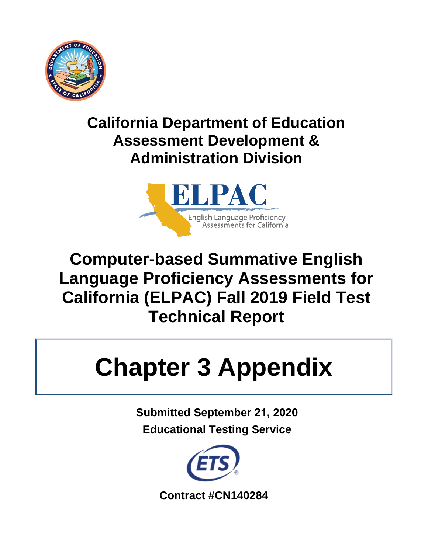

# **California Department of Education Assessment Development & Administration Division**



# **Computer-based Summative English Language Proficiency Assessments for California (ELPAC) Fall 2019 Field Test Technical Report**

# **Chapter 3 Appendix**

**Submitted September 21, 2020 Educational Testing Service** 

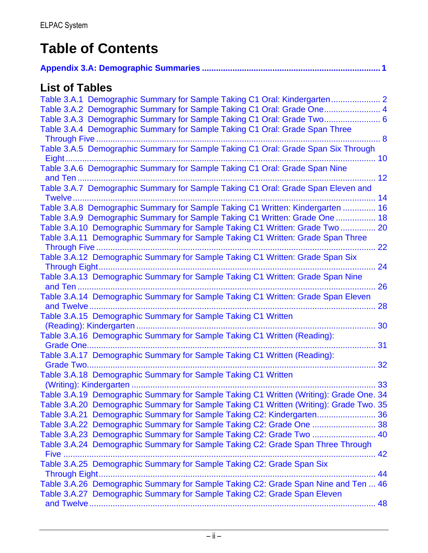# **Table of Contents**

# **List of Tables**

| Table 3.A.1 Demographic Summary for Sample Taking C1 Oral: Kindergarten                        |    |
|------------------------------------------------------------------------------------------------|----|
| Table 3.A.2 Demographic Summary for Sample Taking C1 Oral: Grade One 4                         |    |
| Table 3.A.3 Demographic Summary for Sample Taking C1 Oral: Grade Two 6                         |    |
| Table 3.A.4 Demographic Summary for Sample Taking C1 Oral: Grade Span Three                    |    |
| Through Five                                                                                   |    |
| Table 3.A.5 Demographic Summary for Sample Taking C1 Oral: Grade Span Six Through              |    |
|                                                                                                |    |
| Table 3.A.6 Demographic Summary for Sample Taking C1 Oral: Grade Span Nine                     |    |
|                                                                                                |    |
| Table 3.A.7 Demographic Summary for Sample Taking C1 Oral: Grade Span Eleven and               |    |
| Twelve                                                                                         | 14 |
| Table 3.A.8 Demographic Summary for Sample Taking C1 Written: Kindergarten  16                 |    |
| Table 3.A.9 Demographic Summary for Sample Taking C1 Written: Grade One  18                    |    |
| Table 3.A.10 Demographic Summary for Sample Taking C1 Written: Grade Two 20                    |    |
| Table 3.A.11 Demographic Summary for Sample Taking C1 Written: Grade Span Three                |    |
| Through Five                                                                                   | 22 |
| Table 3.A.12 Demographic Summary for Sample Taking C1 Written: Grade Span Six                  |    |
|                                                                                                | 24 |
| Table 3.A.13 Demographic Summary for Sample Taking C1 Written: Grade Span Nine                 |    |
|                                                                                                | 26 |
| Table 3.A.14 Demographic Summary for Sample Taking C1 Written: Grade Span Eleven<br>and Twelve | 28 |
| Table 3.A.15 Demographic Summary for Sample Taking C1 Written                                  |    |
|                                                                                                | 30 |
| Table 3.A.16 Demographic Summary for Sample Taking C1 Written (Reading):                       |    |
| Grade One                                                                                      | 31 |
| Table 3.A.17 Demographic Summary for Sample Taking C1 Written (Reading):                       |    |
| Grade Two                                                                                      | 32 |
| Table 3.A.18 Demographic Summary for Sample Taking C1 Written                                  |    |
|                                                                                                | 33 |
| Table 3.A.19 Demographic Summary for Sample Taking C1 Written (Writing): Grade One. 34         |    |
| Table 3.A.20 Demographic Summary for Sample Taking C1 Written (Writing): Grade Two. 35         |    |
| Table 3.A.21 Demographic Summary for Sample Taking C2: Kindergarten 36                         |    |
| Table 3.A.22 Demographic Summary for Sample Taking C2: Grade One  38                           |    |
| Table 3.A.23 Demographic Summary for Sample Taking C2: Grade Two  40                           |    |
| Table 3.A.24 Demographic Summary for Sample Taking C2: Grade Span Three Through                |    |
| Five                                                                                           |    |
| Table 3.A.25 Demographic Summary for Sample Taking C2: Grade Span Six                          |    |
|                                                                                                |    |
| Table 3.A.26 Demographic Summary for Sample Taking C2: Grade Span Nine and Ten  46             |    |
| Table 3.A.27 Demographic Summary for Sample Taking C2: Grade Span Eleven                       |    |
|                                                                                                | 48 |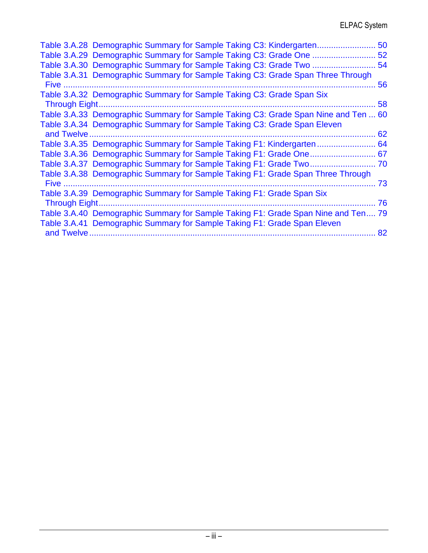|                |                                                                          |  | Table 3.A.28 Demographic Summary for Sample Taking C3: Kindergarten                | 50 |
|----------------|--------------------------------------------------------------------------|--|------------------------------------------------------------------------------------|----|
|                |                                                                          |  |                                                                                    | 52 |
|                | Table 3.A.30 Demographic Summary for Sample Taking C3: Grade Two         |  |                                                                                    | 54 |
| Five           |                                                                          |  | Table 3.A.31 Demographic Summary for Sample Taking C3: Grade Span Three Through    | 56 |
|                | Table 3.A.32 Demographic Summary for Sample Taking C3: Grade Span Six    |  |                                                                                    |    |
| Through Eight. |                                                                          |  |                                                                                    | 58 |
|                |                                                                          |  | Table 3.A.33 Demographic Summary for Sample Taking C3: Grade Span Nine and Ten  60 |    |
|                | Table 3.A.34 Demographic Summary for Sample Taking C3: Grade Span Eleven |  |                                                                                    | 62 |
|                |                                                                          |  | Table 3.A.35 Demographic Summary for Sample Taking F1: Kindergarten                | 64 |
|                |                                                                          |  |                                                                                    | 67 |
|                |                                                                          |  |                                                                                    |    |
| Five           |                                                                          |  | Table 3.A.38 Demographic Summary for Sample Taking F1: Grade Span Three Through    | 73 |
|                | Table 3.A.39 Demographic Summary for Sample Taking F1: Grade Span Six    |  |                                                                                    |    |
| Through Eight. |                                                                          |  |                                                                                    | 76 |
|                |                                                                          |  | Table 3.A.40 Demographic Summary for Sample Taking F1: Grade Span Nine and Ten 79  |    |
|                | Table 3.A.41 Demographic Summary for Sample Taking F1: Grade Span Eleven |  |                                                                                    |    |
|                | and Twelve                                                               |  |                                                                                    | 82 |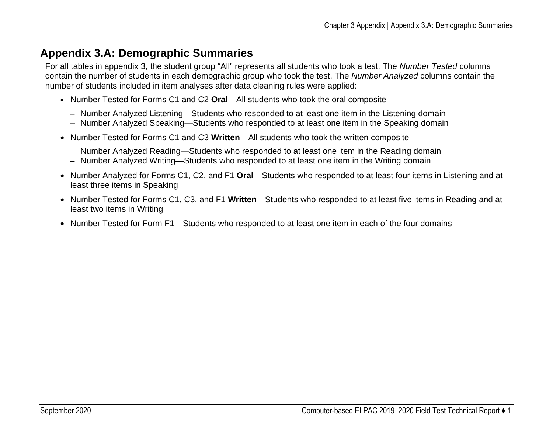# **Appendix 3.A: Demographic Summaries**

For all tables in appendix 3, the student group "All" represents all students who took a test. The *Number Tested* columns contain the number of students in each demographic group who took the test. The *Number Analyzed* columns contain the number of students included in item analyses after data cleaning rules were applied:

- Number Tested for Forms C1 and C2 **Oral**—All students who took the oral composite
	- Number Analyzed Listening—Students who responded to at least one item in the Listening domain
	- Number Analyzed Speaking—Students who responded to at least one item in the Speaking domain
- Number Tested for Forms C1 and C3 **Written**—All students who took the written composite
	- Number Analyzed Reading—Students who responded to at least one item in the Reading domain
	- Number Analyzed Writing—Students who responded to at least one item in the Writing domain
- <span id="page-4-0"></span>• Number Analyzed for Forms C1, C2, and F1 **Oral**—Students who responded to at least four items in Listening and at least three items in Speaking
- Number Tested for Forms C1, C3, and F1 **Written**—Students who responded to at least five items in Reading and at least two items in Writing
- Number Tested for Form F1—Students who responded to at least one item in each of the four domains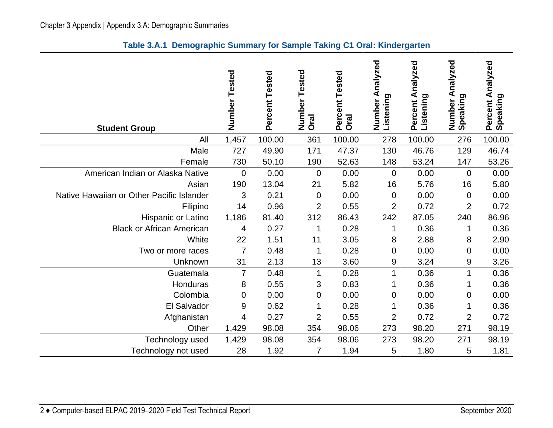|  | Table 3.A.1 Demographic Summary for Sample Taking C1 Oral: Kindergarten |  |  |  |
|--|-------------------------------------------------------------------------|--|--|--|
|--|-------------------------------------------------------------------------|--|--|--|

<span id="page-5-0"></span>

| <b>Student Group</b>                      | Number<br>Tested | Percent Tested | Tested<br>Number<br><b>Oral</b> | Percent Tested<br><b>Oral</b> | Analyzed<br>Listening<br>Number | Percent Analyzed<br>Listening | Analyzed<br>Number A<br>Speaking | Percent Analyzed<br>Speaking |
|-------------------------------------------|------------------|----------------|---------------------------------|-------------------------------|---------------------------------|-------------------------------|----------------------------------|------------------------------|
| All                                       | 1,457            | 100.00         | 361                             | 100.00                        | 278                             | 100.00                        | 276                              | 100.00                       |
| Male                                      | 727              | 49.90          | 171                             | 47.37                         | 130                             | 46.76                         | 129                              | 46.74                        |
| Female                                    | 730              | 50.10          | 190                             | 52.63                         | 148                             | 53.24                         | 147                              | 53.26                        |
| American Indian or Alaska Native          | 0                | 0.00           | $\mathbf 0$                     | 0.00                          | $\overline{0}$                  | 0.00                          | $\overline{0}$                   | 0.00                         |
| Asian                                     | 190              | 13.04          | 21                              | 5.82                          | 16                              | 5.76                          | 16                               | 5.80                         |
| Native Hawaiian or Other Pacific Islander | 3                | 0.21           | $\mathbf 0$                     | 0.00                          | $\mathbf 0$                     | 0.00                          | $\mathbf 0$                      | 0.00                         |
| Filipino                                  | 14               | 0.96           | 2                               | 0.55                          | $\overline{2}$                  | 0.72                          | $\overline{2}$                   | 0.72                         |
| Hispanic or Latino                        | 1,186            | 81.40          | 312                             | 86.43                         | 242                             | 87.05                         | 240                              | 86.96                        |
| <b>Black or African American</b>          | 4                | 0.27           | 1                               | 0.28                          | 1                               | 0.36                          | 1                                | 0.36                         |
| White                                     | 22               | 1.51           | 11                              | 3.05                          | 8                               | 2.88                          | 8                                | 2.90                         |
| Two or more races                         | 7                | 0.48           | 1                               | 0.28                          | 0                               | 0.00                          | $\mathbf 0$                      | 0.00                         |
| Unknown                                   | 31               | 2.13           | 13                              | 3.60                          | 9                               | 3.24                          | 9                                | 3.26                         |
| Guatemala                                 | $\overline{7}$   | 0.48           | 1                               | 0.28                          | $\mathbf{1}$                    | 0.36                          | $\mathbf{1}$                     | 0.36                         |
| Honduras                                  | 8                | 0.55           | 3                               | 0.83                          |                                 | 0.36                          |                                  | 0.36                         |
| Colombia                                  | 0                | 0.00           | 0                               | 0.00                          | 0                               | 0.00                          | 0                                | 0.00                         |
| El Salvador                               | 9                | 0.62           | 1                               | 0.28                          | 1                               | 0.36                          | 1                                | 0.36                         |
| Afghanistan                               | 4                | 0.27           | $\overline{2}$                  | 0.55                          | $\overline{2}$                  | 0.72                          | $\overline{2}$                   | 0.72                         |
| Other                                     | 1,429            | 98.08          | 354                             | 98.06                         | 273                             | 98.20                         | 271                              | 98.19                        |
| Technology used                           | 1,429            | 98.08          | 354                             | 98.06                         | 273                             | 98.20                         | 271                              | 98.19                        |
| Technology not used                       | 28               | 1.92           | 7                               | 1.94                          | 5                               | 1.80                          | 5                                | 1.81                         |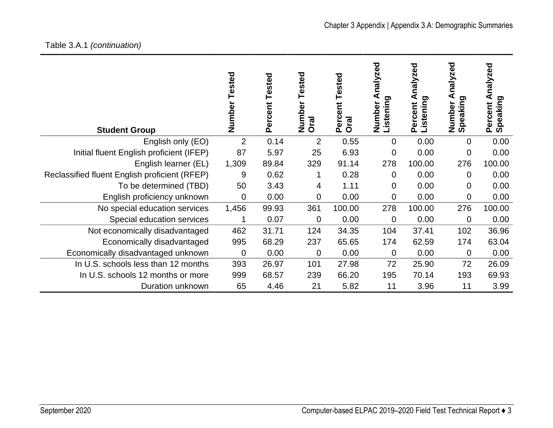| <b>Student Group</b>                          | Number<br>Tested | Percent Tested | Tested<br>Number<br>Oral | Tested<br>Percent<br><b>Oral</b> | nalyzed<br>istening<br>Number | nalyzed<br>⋖<br><b>Listening</b><br>Percent | nalyzed<br>Speaking<br>Number | nalyzed<br>⋖<br>Speaking<br>Percent |
|-----------------------------------------------|------------------|----------------|--------------------------|----------------------------------|-------------------------------|---------------------------------------------|-------------------------------|-------------------------------------|
| English only (EO)                             | $\overline{2}$   | 0.14           | $\overline{2}$           | 0.55                             | $\overline{0}$                | 0.00                                        | 0                             | 0.00                                |
| Initial fluent English proficient (IFEP)      | 87               | 5.97           | 25                       | 6.93                             | $\mathbf 0$                   | 0.00                                        | 0                             | 0.00                                |
| English learner (EL)                          | 1,309            | 89.84          | 329                      | 91.14                            | 278                           | 100.00                                      | 276                           | 100.00                              |
| Reclassified fluent English proficient (RFEP) | 9                | 0.62           |                          | 0.28                             | 0                             | 0.00                                        | 0                             | 0.00                                |
| To be determined (TBD)                        | 50               | 3.43           | 4                        | 1.11                             | $\Omega$                      | 0.00                                        | 0                             | 0.00                                |
| English proficiency unknown                   | 0                | 0.00           | 0                        | 0.00                             | $\mathbf 0$                   | 0.00                                        | 0                             | 0.00                                |
| No special education services                 | 1,456            | 99.93          | 361                      | 100.00                           | 278                           | 100.00                                      | 276                           | 100.00                              |
| Special education services                    |                  | 0.07           | $\mathbf 0$              | 0.00                             | $\overline{0}$                | 0.00                                        | 0                             | 0.00                                |
| Not economically disadvantaged                | 462              | 31.71          | 124                      | 34.35                            | 104                           | 37.41                                       | 102                           | 36.96                               |
| Economically disadvantaged                    | 995              | 68.29          | 237                      | 65.65                            | 174                           | 62.59                                       | 174                           | 63.04                               |
| Economically disadvantaged unknown            | 0                | 0.00           | $\mathbf 0$              | 0.00                             | $\overline{0}$                | 0.00                                        | 0                             | 0.00                                |
| In U.S. schools less than 12 months           | 393              | 26.97          | 101                      | 27.98                            | 72                            | 25.90                                       | 72                            | 26.09                               |
| In U.S. schools 12 months or more             | 999              | 68.57          | 239                      | 66.20                            | 195                           | 70.14                                       | 193                           | 69.93                               |
| Duration unknown                              | 65               | 4.46           | 21                       | 5.82                             | 11                            | 3.96                                        | 11                            | 3.99                                |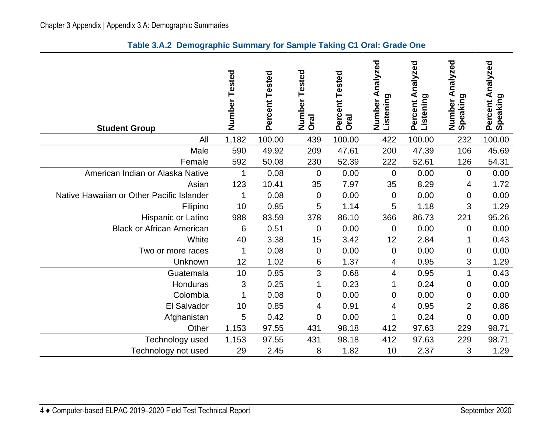|  |  |  |  |  | Table 3.A.2 Demographic Summary for Sample Taking C1 Oral: Grade One |
|--|--|--|--|--|----------------------------------------------------------------------|
|--|--|--|--|--|----------------------------------------------------------------------|

<span id="page-7-0"></span>

| <b>Student Group</b>                      | Number<br>Tested | Percent Tested | Tested<br>Number<br><b>Oral</b> | Percent Tested<br><b>Oral</b> | Analyzed<br>Listening<br>Number | Percent Analyzed<br>Listening | Analyzed<br>Number A<br>Speaking | Percent Analyzed<br>Speaking |
|-------------------------------------------|------------------|----------------|---------------------------------|-------------------------------|---------------------------------|-------------------------------|----------------------------------|------------------------------|
| All                                       | 1,182            | 100.00         | 439                             | 100.00                        | 422                             | 100.00                        | 232                              | 100.00                       |
| Male                                      | 590              | 49.92          | 209                             | 47.61                         | 200                             | 47.39                         | 106                              | 45.69                        |
| Female                                    | 592              | 50.08          | 230                             | 52.39                         | 222                             | 52.61                         | 126                              | 54.31                        |
| American Indian or Alaska Native          | 1                | 0.08           | $\mathbf 0$                     | 0.00                          | $\overline{0}$                  | 0.00                          | $\overline{0}$                   | 0.00                         |
| Asian                                     | 123              | 10.41          | 35                              | 7.97                          | 35                              | 8.29                          | 4                                | 1.72                         |
| Native Hawaiian or Other Pacific Islander | 1                | 0.08           | $\mathbf 0$                     | 0.00                          | $\mathbf 0$                     | 0.00                          | $\mathbf 0$                      | 0.00                         |
| Filipino                                  | 10               | 0.85           | 5                               | 1.14                          | 5                               | 1.18                          | 3                                | 1.29                         |
| Hispanic or Latino                        | 988              | 83.59          | 378                             | 86.10                         | 366                             | 86.73                         | 221                              | 95.26                        |
| <b>Black or African American</b>          | 6                | 0.51           | $\mathbf 0$                     | 0.00                          | $\mathbf 0$                     | 0.00                          | $\mathbf 0$                      | 0.00                         |
| White                                     | 40               | 3.38           | 15                              | 3.42                          | 12                              | 2.84                          | 1                                | 0.43                         |
| Two or more races                         | 1                | 0.08           | $\boldsymbol{0}$                | 0.00                          | $\mathbf 0$                     | 0.00                          | 0                                | 0.00                         |
| Unknown                                   | 12               | 1.02           | 6                               | 1.37                          | 4                               | 0.95                          | 3                                | 1.29                         |
| Guatemala                                 | 10               | 0.85           | 3                               | 0.68                          | 4                               | 0.95                          | $\mathbf 1$                      | 0.43                         |
| Honduras                                  | 3                | 0.25           | 1                               | 0.23                          | 1                               | 0.24                          | 0                                | 0.00                         |
| Colombia                                  | 1                | 0.08           | 0                               | 0.00                          | 0                               | 0.00                          | 0                                | 0.00                         |
| El Salvador                               | 10               | 0.85           | 4                               | 0.91                          | 4                               | 0.95                          | $\overline{2}$                   | 0.86                         |
| Afghanistan                               | 5                | 0.42           | $\overline{0}$                  | 0.00                          | 1                               | 0.24                          | $\mathbf 0$                      | 0.00                         |
| Other                                     | 1,153            | 97.55          | 431                             | 98.18                         | 412                             | 97.63                         | 229                              | 98.71                        |
| Technology used                           | 1,153            | 97.55          | 431                             | 98.18                         | 412                             | 97.63                         | 229                              | 98.71                        |
| Technology not used                       | 29               | 2.45           | 8                               | 1.82                          | 10                              | 2.37                          | 3                                | 1.29                         |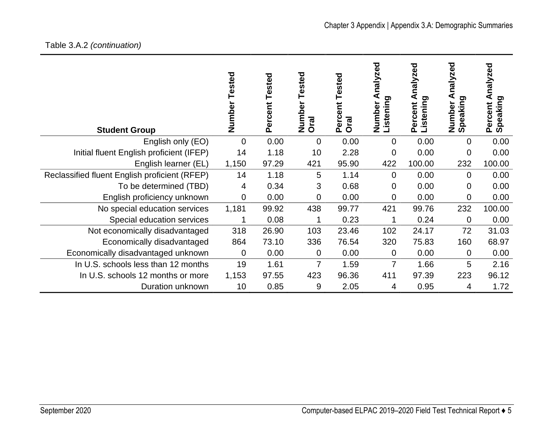# Table 3.A.2 *(continuation)*

| <b>Student Group</b>                          | Tested<br>Number | Tested<br>Percent | ested<br>Φ<br>Numbe<br>Oral | Tested<br>Percent<br><b>Oral</b> | ್ಠಾ<br>nalyze<br>Listening<br>Number | nalyzed<br>⋖<br><b>Listening</b><br>Percent | ್ಠಾ<br>alyze<br>0<br>Speaking<br>Number | nalyzed<br>⋖<br>ರಾ<br>Speaking<br>Percent |
|-----------------------------------------------|------------------|-------------------|-----------------------------|----------------------------------|--------------------------------------|---------------------------------------------|-----------------------------------------|-------------------------------------------|
| English only (EO)                             | $\overline{0}$   | 0.00              | 0                           | 0.00                             | 0                                    | 0.00                                        | $\Omega$                                | 0.00                                      |
| Initial fluent English proficient (IFEP)      | 14               | 1.18              | 10                          | 2.28                             | 0                                    | 0.00                                        | 0                                       | 0.00                                      |
| English learner (EL)                          | 1,150            | 97.29             | 421                         | 95.90                            | 422                                  | 100.00                                      | 232                                     | 100.00                                    |
| Reclassified fluent English proficient (RFEP) | 14               | 1.18              | 5                           | 1.14                             | $\Omega$                             | 0.00                                        | $\Omega$                                | 0.00                                      |
| To be determined (TBD)                        | 4                | 0.34              | 3                           | 0.68                             | 0                                    | 0.00                                        | 0                                       | 0.00                                      |
| English proficiency unknown                   | $\mathbf 0$      | 0.00              | 0                           | 0.00                             | 0                                    | 0.00                                        | 0                                       | 0.00                                      |
| No special education services                 | 1,181            | 99.92             | 438                         | 99.77                            | 421                                  | 99.76                                       | 232                                     | 100.00                                    |
| Special education services                    | 1                | 0.08              | 1                           | 0.23                             | 1                                    | 0.24                                        | $\mathbf 0$                             | 0.00                                      |
| Not economically disadvantaged                | 318              | 26.90             | 103                         | 23.46                            | 102                                  | 24.17                                       | 72                                      | 31.03                                     |
| Economically disadvantaged                    | 864              | 73.10             | 336                         | 76.54                            | 320                                  | 75.83                                       | 160                                     | 68.97                                     |
| Economically disadvantaged unknown            | $\mathbf 0$      | 0.00              | 0                           | 0.00                             | $\mathbf 0$                          | 0.00                                        | 0                                       | 0.00                                      |
| In U.S. schools less than 12 months           | 19               | 1.61              | 7                           | 1.59                             | $\overline{7}$                       | 1.66                                        | 5                                       | 2.16                                      |
| In U.S. schools 12 months or more             | 1,153            | 97.55             | 423                         | 96.36                            | 411                                  | 97.39                                       | 223                                     | 96.12                                     |
| Duration unknown                              | 10               | 0.85              | 9                           | 2.05                             | 4                                    | 0.95                                        | 4                                       | 1.72                                      |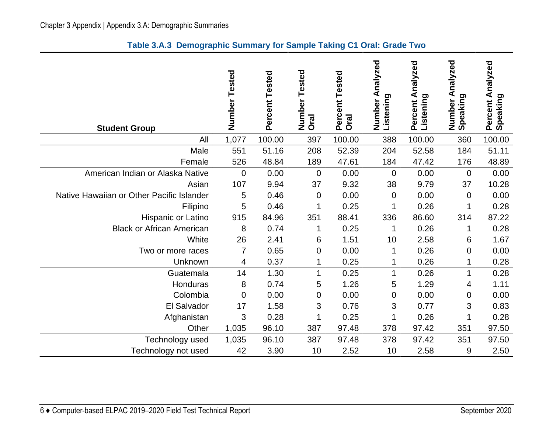|  |  |  |  |  | Table 3.A.3 Demographic Summary for Sample Taking C1 Oral: Grade Two |
|--|--|--|--|--|----------------------------------------------------------------------|
|--|--|--|--|--|----------------------------------------------------------------------|

<span id="page-9-0"></span>

| <b>Student Group</b>                      | Number Tested | Percent Tested | Tested<br>Number<br>Oral | Percent Tested<br><b>Oral</b> | nalyzed<br>⋖<br>Listening<br>Number | Percent Analyzed<br>Listening | Analyzed<br>Number A<br>Speaking | Percent Analyzed<br>Speaking |
|-------------------------------------------|---------------|----------------|--------------------------|-------------------------------|-------------------------------------|-------------------------------|----------------------------------|------------------------------|
| All                                       | 1,077         | 100.00         | 397                      | 100.00                        | 388                                 | 100.00                        | 360                              | 100.00                       |
| Male                                      | 551           | 51.16          | 208                      | 52.39                         | 204                                 | 52.58                         | 184                              | 51.11                        |
| Female                                    | 526           | 48.84          | 189                      | 47.61                         | 184                                 | 47.42                         | 176                              | 48.89                        |
| American Indian or Alaska Native          | 0             | 0.00           | $\mathbf 0$              | 0.00                          | $\overline{0}$                      | 0.00                          | $\overline{0}$                   | 0.00                         |
| Asian                                     | 107           | 9.94           | 37                       | 9.32                          | 38                                  | 9.79                          | 37                               | 10.28                        |
| Native Hawaiian or Other Pacific Islander | 5             | 0.46           | 0                        | 0.00                          | $\overline{0}$                      | 0.00                          | 0                                | 0.00                         |
| Filipino                                  | 5             | 0.46           | 1                        | 0.25                          | 1                                   | 0.26                          | 1                                | 0.28                         |
| Hispanic or Latino                        | 915           | 84.96          | 351                      | 88.41                         | 336                                 | 86.60                         | 314                              | 87.22                        |
| <b>Black or African American</b>          | 8             | 0.74           | 1                        | 0.25                          | 1                                   | 0.26                          | 1                                | 0.28                         |
| White                                     | 26            | 2.41           | 6                        | 1.51                          | 10                                  | 2.58                          | 6                                | 1.67                         |
| Two or more races                         | 7             | 0.65           | 0                        | 0.00                          | 1                                   | 0.26                          | $\mathbf 0$                      | 0.00                         |
| Unknown                                   | 4             | 0.37           | 1                        | 0.25                          |                                     | 0.26                          |                                  | 0.28                         |
| Guatemala                                 | 14            | 1.30           | 1                        | 0.25                          | 1                                   | 0.26                          | 1                                | 0.28                         |
| Honduras                                  | 8             | 0.74           | 5                        | 1.26                          | 5                                   | 1.29                          | 4                                | 1.11                         |
| Colombia                                  | 0             | 0.00           | 0                        | 0.00                          | 0                                   | 0.00                          | $\mathbf 0$                      | 0.00                         |
| El Salvador                               | 17            | 1.58           | 3                        | 0.76                          | 3                                   | 0.77                          | 3                                | 0.83                         |
| Afghanistan                               | 3             | 0.28           | 1                        | 0.25                          |                                     | 0.26                          | 1                                | 0.28                         |
| Other                                     | 1,035         | 96.10          | 387                      | 97.48                         | 378                                 | 97.42                         | 351                              | 97.50                        |
| Technology used                           | 1,035         | 96.10          | 387                      | 97.48                         | 378                                 | 97.42                         | 351                              | 97.50                        |
| Technology not used                       | 42            | 3.90           | 10                       | 2.52                          | 10                                  | 2.58                          | 9                                | 2.50                         |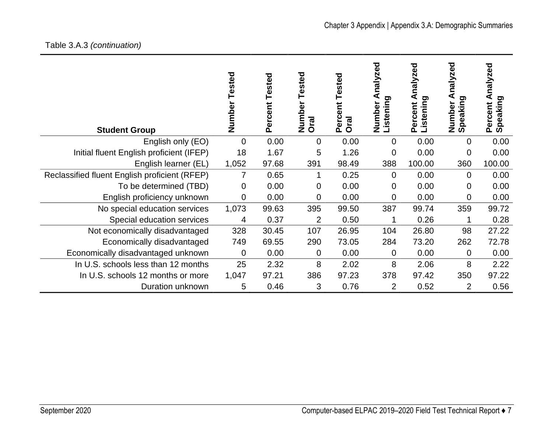# Table 3.A.3 *(continuation)*

| <b>Student Group</b>                          | Tested<br>Number | ercent Tested<br>۵ | ested<br>Numbe<br>Oral | Tested<br>Percent<br><b>Oral</b> | ਠ<br>Ō<br>nalyzo<br>⋖<br>Listening<br><b>Number</b> | nalyzed<br><b>Listening</b><br>Percent | nalyzed<br>peaking<br>Number<br><b>S</b> | zed<br>naly:<br>⋖<br>ರಾ<br>Percent<br>Speaking |
|-----------------------------------------------|------------------|--------------------|------------------------|----------------------------------|-----------------------------------------------------|----------------------------------------|------------------------------------------|------------------------------------------------|
| English only (EO)                             | $\Omega$         | 0.00               | 0                      | 0.00                             | $\overline{0}$                                      | 0.00                                   | 0                                        | 0.00                                           |
| Initial fluent English proficient (IFEP)      | 18               | 1.67               | 5                      | 1.26                             | 0                                                   | 0.00                                   | 0                                        | 0.00                                           |
| English learner (EL)                          | 1,052            | 97.68              | 391                    | 98.49                            | 388                                                 | 100.00                                 | 360                                      | 100.00                                         |
| Reclassified fluent English proficient (RFEP) | $\overline{7}$   | 0.65               | 1                      | 0.25                             | $\mathbf{0}$                                        | 0.00                                   | $\overline{0}$                           | 0.00                                           |
| To be determined (TBD)                        | $\mathbf 0$      | 0.00               | 0                      | 0.00                             | $\Omega$                                            | 0.00                                   | 0                                        | 0.00                                           |
| English proficiency unknown                   | $\mathbf 0$      | 0.00               | 0                      | 0.00                             | $\overline{0}$                                      | 0.00                                   | 0                                        | 0.00                                           |
| No special education services                 | 1,073            | 99.63              | 395                    | 99.50                            | 387                                                 | 99.74                                  | 359                                      | 99.72                                          |
| Special education services                    | 4                | 0.37               | $\overline{2}$         | 0.50                             |                                                     | 0.26                                   |                                          | 0.28                                           |
| Not economically disadvantaged                | 328              | 30.45              | 107                    | 26.95                            | 104                                                 | 26.80                                  | 98                                       | 27.22                                          |
| Economically disadvantaged                    | 749              | 69.55              | 290                    | 73.05                            | 284                                                 | 73.20                                  | 262                                      | 72.78                                          |
| Economically disadvantaged unknown            | $\mathbf 0$      | 0.00               | 0                      | 0.00                             | 0                                                   | 0.00                                   | 0                                        | 0.00                                           |
| In U.S. schools less than 12 months           | 25               | 2.32               | 8                      | 2.02                             | 8                                                   | 2.06                                   | 8                                        | 2.22                                           |
| In U.S. schools 12 months or more             | 1,047            | 97.21              | 386                    | 97.23                            | 378                                                 | 97.42                                  | 350                                      | 97.22                                          |
| Duration unknown                              | 5                | 0.46               | 3                      | 0.76                             | $\overline{2}$                                      | 0.52                                   | $\overline{2}$                           | 0.56                                           |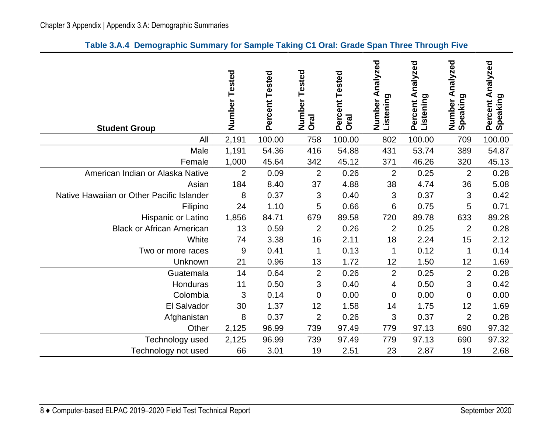|  |  |  |  |  |  |  | Table 3.A.4 Demographic Summary for Sample Taking C1 Oral: Grade Span Three Through Five |
|--|--|--|--|--|--|--|------------------------------------------------------------------------------------------|
|--|--|--|--|--|--|--|------------------------------------------------------------------------------------------|

<span id="page-11-0"></span>

| <b>Student Group</b>                      | Number Tested  | Percent Tested | Tested<br>Number<br><b>Oral</b> | Percent Tested<br><b>Oral</b> | Analyzed<br>Listening<br>Number | Percent Analyzed<br>Listening | nalyzed<br>⋖<br>Number A<br>Speaking | Percent Analyzed<br>Speaking |
|-------------------------------------------|----------------|----------------|---------------------------------|-------------------------------|---------------------------------|-------------------------------|--------------------------------------|------------------------------|
| All                                       | 2,191          | 100.00         | 758                             | 100.00                        | 802                             | 100.00                        | 709                                  | 100.00                       |
| Male                                      | 1,191          | 54.36          | 416                             | 54.88                         | 431                             | 53.74                         | 389                                  | 54.87                        |
| Female                                    | 1,000          | 45.64          | 342                             | 45.12                         | 371                             | 46.26                         | 320                                  | 45.13                        |
| American Indian or Alaska Native          | $\overline{2}$ | 0.09           | $\overline{2}$                  | 0.26                          | $\overline{2}$                  | 0.25                          | $\overline{2}$                       | 0.28                         |
| Asian                                     | 184            | 8.40           | 37                              | 4.88                          | 38                              | 4.74                          | 36                                   | 5.08                         |
| Native Hawaiian or Other Pacific Islander | 8              | 0.37           | 3                               | 0.40                          | 3                               | 0.37                          | 3                                    | 0.42                         |
| Filipino                                  | 24             | 1.10           | 5                               | 0.66                          | 6                               | 0.75                          | 5                                    | 0.71                         |
| Hispanic or Latino                        | 1,856          | 84.71          | 679                             | 89.58                         | 720                             | 89.78                         | 633                                  | 89.28                        |
| <b>Black or African American</b>          | 13             | 0.59           | $\overline{2}$                  | 0.26                          | $\overline{2}$                  | 0.25                          | $\overline{2}$                       | 0.28                         |
| White                                     | 74             | 3.38           | 16                              | 2.11                          | 18                              | 2.24                          | 15                                   | 2.12                         |
| Two or more races                         | 9              | 0.41           | 1                               | 0.13                          | 1                               | 0.12                          | 1                                    | 0.14                         |
| Unknown                                   | 21             | 0.96           | 13                              | 1.72                          | 12                              | 1.50                          | 12                                   | 1.69                         |
| Guatemala                                 | 14             | 0.64           | $\overline{2}$                  | 0.26                          | $\overline{2}$                  | 0.25                          | $\overline{2}$                       | 0.28                         |
| Honduras                                  | 11             | 0.50           | 3                               | 0.40                          | 4                               | 0.50                          | 3                                    | 0.42                         |
| Colombia                                  | 3              | 0.14           | 0                               | 0.00                          | 0                               | 0.00                          | $\mathbf 0$                          | 0.00                         |
| El Salvador                               | 30             | 1.37           | 12                              | 1.58                          | 14                              | 1.75                          | 12                                   | 1.69                         |
| Afghanistan                               | 8              | 0.37           | $\overline{2}$                  | 0.26                          | 3                               | 0.37                          | $\overline{2}$                       | 0.28                         |
| Other                                     | 2,125          | 96.99          | 739                             | 97.49                         | 779                             | 97.13                         | 690                                  | 97.32                        |
| Technology used                           | 2,125          | 96.99          | 739                             | 97.49                         | 779                             | 97.13                         | 690                                  | 97.32                        |
| Technology not used                       | 66             | 3.01           | 19                              | 2.51                          | 23                              | 2.87                          | 19                                   | 2.68                         |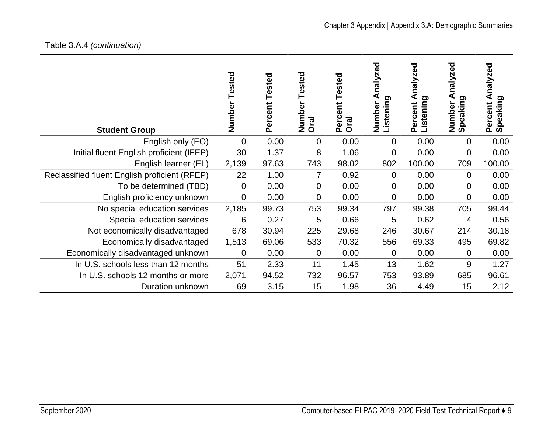# Table 3.A.4 *(continuation)*

| <b>Student Group</b>                          | Tested<br>Number | <b>Tested</b><br>Percent | ested<br>Number<br>Oral | <b>Tested</b><br>Percent<br>Oral | ℧<br>nalyze<br>Listening<br>Number | nalyzed<br><b>Listening</b><br>Percent | zed<br>naly<br>Speaking<br>Number | <b>Dəz</b><br>naly<br>ರಾ<br>Speaking<br>Percent |
|-----------------------------------------------|------------------|--------------------------|-------------------------|----------------------------------|------------------------------------|----------------------------------------|-----------------------------------|-------------------------------------------------|
| English only (EO)                             | $\overline{0}$   | 0.00                     | $\overline{0}$          | 0.00                             | $\overline{0}$                     | 0.00                                   | 0                                 | 0.00                                            |
| Initial fluent English proficient (IFEP)      | 30               | 1.37                     | 8                       | 1.06                             | 0                                  | 0.00                                   | 0                                 | 0.00                                            |
| English learner (EL)                          | 2,139            | 97.63                    | 743                     | 98.02                            | 802                                | 100.00                                 | 709                               | 100.00                                          |
| Reclassified fluent English proficient (RFEP) | 22               | 1.00                     | 7                       | 0.92                             | $\Omega$                           | 0.00                                   | $\Omega$                          | 0.00                                            |
| To be determined (TBD)                        | $\overline{0}$   | 0.00                     | 0                       | 0.00                             | 0                                  | 0.00                                   | 0                                 | 0.00                                            |
| English proficiency unknown                   | $\mathbf 0$      | 0.00                     | 0                       | 0.00                             | 0                                  | 0.00                                   | 0                                 | 0.00                                            |
| No special education services                 | 2,185            | 99.73                    | 753                     | 99.34                            | 797                                | 99.38                                  | 705                               | 99.44                                           |
| Special education services                    | 6                | 0.27                     | 5                       | 0.66                             | 5                                  | 0.62                                   | 4                                 | 0.56                                            |
| Not economically disadvantaged                | 678              | 30.94                    | 225                     | 29.68                            | 246                                | 30.67                                  | 214                               | 30.18                                           |
| Economically disadvantaged                    | 1,513            | 69.06                    | 533                     | 70.32                            | 556                                | 69.33                                  | 495                               | 69.82                                           |
| Economically disadvantaged unknown            | $\overline{0}$   | 0.00                     | 0                       | 0.00                             | $\overline{0}$                     | 0.00                                   | 0                                 | 0.00                                            |
| In U.S. schools less than 12 months           | 51               | 2.33                     | 11                      | 1.45                             | 13                                 | 1.62                                   | 9                                 | 1.27                                            |
| In U.S. schools 12 months or more             | 2,071            | 94.52                    | 732                     | 96.57                            | 753                                | 93.89                                  | 685                               | 96.61                                           |
| Duration unknown                              | 69               | 3.15                     | 15                      | 1.98                             | 36                                 | 4.49                                   | 15                                | 2.12                                            |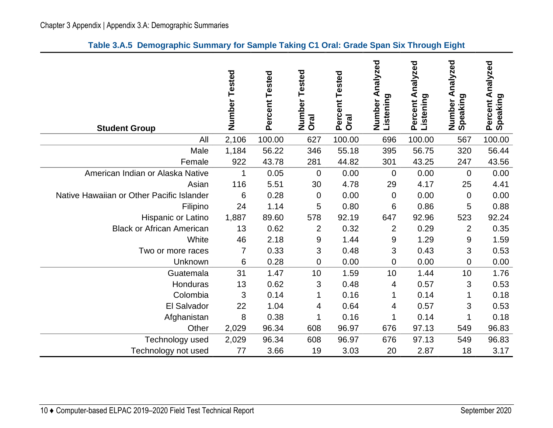|  |  |  |  |  |  | Table 3.A.5 Demographic Summary for Sample Taking C1 Oral: Grade Span Six Through Eight |  |
|--|--|--|--|--|--|-----------------------------------------------------------------------------------------|--|
|--|--|--|--|--|--|-----------------------------------------------------------------------------------------|--|

<span id="page-13-0"></span>

| <b>Student Group</b>                      | Number Tested  | Percent Tested | Tested<br>Number<br><b>Oral</b> | Percent Tested<br><b>Oral</b> | Analyzed<br>Listening<br>Number | Percent Analyzed<br>Listening | Analyzed<br>Number A<br>Speaking | Percent Analyzed<br>Speaking |
|-------------------------------------------|----------------|----------------|---------------------------------|-------------------------------|---------------------------------|-------------------------------|----------------------------------|------------------------------|
| All                                       | 2,106          | 100.00         | 627                             | 100.00                        | 696                             | 100.00                        | 567                              | 100.00                       |
| Male                                      | 1,184          | 56.22          | 346                             | 55.18                         | 395                             | 56.75                         | 320                              | 56.44                        |
| Female                                    | 922            | 43.78          | 281                             | 44.82                         | 301                             | 43.25                         | 247                              | 43.56                        |
| American Indian or Alaska Native          | 1              | 0.05           | $\mathbf 0$                     | 0.00                          | $\overline{0}$                  | 0.00                          | $\Omega$                         | 0.00                         |
| Asian                                     | 116            | 5.51           | 30                              | 4.78                          | 29                              | 4.17                          | 25                               | 4.41                         |
| Native Hawaiian or Other Pacific Islander | 6              | 0.28           | $\mathbf 0$                     | 0.00                          | $\overline{0}$                  | 0.00                          | $\overline{0}$                   | 0.00                         |
| Filipino                                  | 24             | 1.14           | 5                               | 0.80                          | 6                               | 0.86                          | 5                                | 0.88                         |
| Hispanic or Latino                        | 1,887          | 89.60          | 578                             | 92.19                         | 647                             | 92.96                         | 523                              | 92.24                        |
| <b>Black or African American</b>          | 13             | 0.62           | $\overline{2}$                  | 0.32                          | $\overline{2}$                  | 0.29                          | $\overline{2}$                   | 0.35                         |
| White                                     | 46             | 2.18           | 9                               | 1.44                          | 9                               | 1.29                          | $9\,$                            | 1.59                         |
| Two or more races                         | $\overline{7}$ | 0.33           | 3                               | 0.48                          | 3                               | 0.43                          | 3                                | 0.53                         |
| Unknown                                   | 6              | 0.28           | 0                               | 0.00                          | 0                               | 0.00                          | $\mathbf 0$                      | 0.00                         |
| Guatemala                                 | 31             | 1.47           | 10                              | 1.59                          | 10                              | 1.44                          | 10                               | 1.76                         |
| Honduras                                  | 13             | 0.62           | 3                               | 0.48                          | 4                               | 0.57                          | 3                                | 0.53                         |
| Colombia                                  | 3              | 0.14           | 1                               | 0.16                          | 1                               | 0.14                          | 1                                | 0.18                         |
| El Salvador                               | 22             | 1.04           | 4                               | 0.64                          | 4                               | 0.57                          | 3                                | 0.53                         |
| Afghanistan                               | 8              | 0.38           | 1                               | 0.16                          |                                 | 0.14                          | 1                                | 0.18                         |
| Other                                     | 2,029          | 96.34          | 608                             | 96.97                         | 676                             | 97.13                         | 549                              | 96.83                        |
| Technology used                           | 2,029          | 96.34          | 608                             | 96.97                         | 676                             | 97.13                         | 549                              | 96.83                        |
| Technology not used                       | 77             | 3.66           | 19                              | 3.03                          | 20                              | 2.87                          | 18                               | 3.17                         |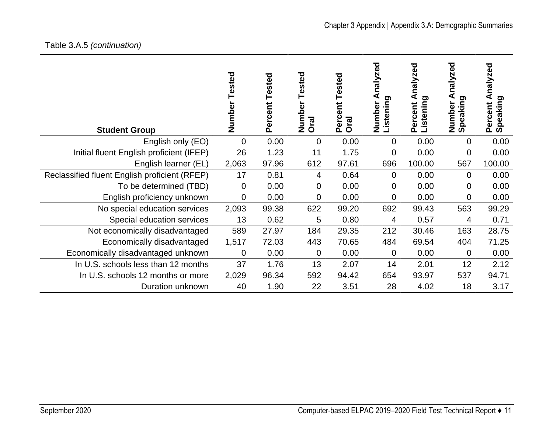# Table 3.A.5 *(continuation)*

| <b>Student Group</b>                          | Tested<br>Number | Tested<br>ercent<br>۵ | ested<br>Numbe<br>Oral | Tested<br>Percent<br><b>Oral</b> | ਠ<br>Φ<br>nalyzr<br>Listening<br>Number | nalyzed<br>⋖<br><b>Listening</b><br>Percent | nalyzed<br>ත<br>jpeaking<br>Number<br>ທ | zed<br>naly<br>⋖<br>ರಾ<br>Speaking<br>Percent |
|-----------------------------------------------|------------------|-----------------------|------------------------|----------------------------------|-----------------------------------------|---------------------------------------------|-----------------------------------------|-----------------------------------------------|
| English only (EO)                             | $\overline{0}$   | 0.00                  | 0                      | 0.00                             | $\overline{0}$                          | 0.00                                        | 0                                       | 0.00                                          |
| Initial fluent English proficient (IFEP)      | 26               | 1.23                  | 11                     | 1.75                             | 0                                       | 0.00                                        | 0                                       | 0.00                                          |
| English learner (EL)                          | 2,063            | 97.96                 | 612                    | 97.61                            | 696                                     | 100.00                                      | 567                                     | 100.00                                        |
| Reclassified fluent English proficient (RFEP) | 17               | 0.81                  | 4                      | 0.64                             | $\Omega$                                | 0.00                                        | $\Omega$                                | 0.00                                          |
| To be determined (TBD)                        | $\mathbf 0$      | 0.00                  | 0                      | 0.00                             | 0                                       | 0.00                                        | 0                                       | 0.00                                          |
| English proficiency unknown                   | $\overline{0}$   | 0.00                  | 0                      | 0.00                             | $\overline{0}$                          | 0.00                                        | 0                                       | 0.00                                          |
| No special education services                 | 2,093            | 99.38                 | 622                    | 99.20                            | 692                                     | 99.43                                       | 563                                     | 99.29                                         |
| Special education services                    | 13               | 0.62                  | 5                      | 0.80                             | 4                                       | 0.57                                        | 4                                       | 0.71                                          |
| Not economically disadvantaged                | 589              | 27.97                 | 184                    | 29.35                            | 212                                     | 30.46                                       | 163                                     | 28.75                                         |
| Economically disadvantaged                    | 1,517            | 72.03                 | 443                    | 70.65                            | 484                                     | 69.54                                       | 404                                     | 71.25                                         |
| Economically disadvantaged unknown            | 0                | 0.00                  | 0                      | 0.00                             | 0                                       | 0.00                                        | 0                                       | 0.00                                          |
| In U.S. schools less than 12 months           | 37               | 1.76                  | 13                     | 2.07                             | 14                                      | 2.01                                        | 12                                      | 2.12                                          |
| In U.S. schools 12 months or more             | 2,029            | 96.34                 | 592                    | 94.42                            | 654                                     | 93.97                                       | 537                                     | 94.71                                         |
| Duration unknown                              | 40               | 1.90                  | 22                     | 3.51                             | 28                                      | 4.02                                        | 18                                      | 3.17                                          |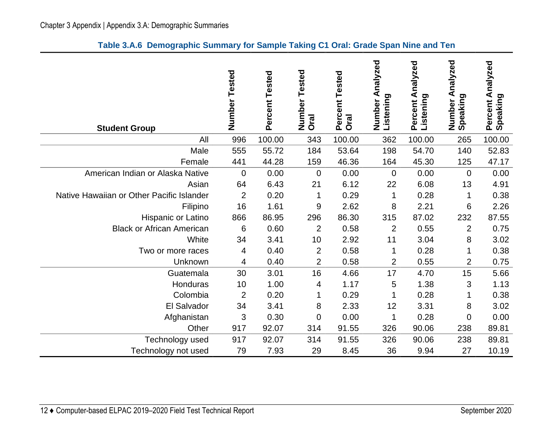|  | Table 3.A.6 Demographic Summary for Sample Taking C1 Oral: Grade Span Nine and Ten |  |  |  |  |  |  |  |
|--|------------------------------------------------------------------------------------|--|--|--|--|--|--|--|
|--|------------------------------------------------------------------------------------|--|--|--|--|--|--|--|

<span id="page-15-0"></span>

| <b>Student Group</b>                      | Number<br>Tested | Percent Tested | Tested<br>Number<br>Oral | Percent Tested<br><b>Oral</b> | nalyzed<br>₹<br>Listening<br>Number | Percent Analyzed<br>Listening | Analyzed<br>Number A<br>Speaking | Percent Analyzed<br>Speaking |
|-------------------------------------------|------------------|----------------|--------------------------|-------------------------------|-------------------------------------|-------------------------------|----------------------------------|------------------------------|
| All                                       | 996              | 100.00         | 343                      | 100.00                        | 362                                 | 100.00                        | 265                              | 100.00                       |
| Male                                      | 555              | 55.72          | 184                      | 53.64                         | 198                                 | 54.70                         | 140                              | 52.83                        |
| Female                                    | 441              | 44.28          | 159                      | 46.36                         | 164                                 | 45.30                         | 125                              | 47.17                        |
| American Indian or Alaska Native          | $\overline{0}$   | 0.00           | $\mathbf 0$              | 0.00                          | $\Omega$                            | 0.00                          | $\overline{0}$                   | 0.00                         |
| Asian                                     | 64               | 6.43           | 21                       | 6.12                          | 22                                  | 6.08                          | 13                               | 4.91                         |
| Native Hawaiian or Other Pacific Islander | $\overline{2}$   | 0.20           | 1                        | 0.29                          | 1                                   | 0.28                          | 1                                | 0.38                         |
| Filipino                                  | 16               | 1.61           | 9                        | 2.62                          | 8                                   | 2.21                          | 6                                | 2.26                         |
| Hispanic or Latino                        | 866              | 86.95          | 296                      | 86.30                         | 315                                 | 87.02                         | 232                              | 87.55                        |
| <b>Black or African American</b>          | 6                | 0.60           | $\overline{2}$           | 0.58                          | $\overline{2}$                      | 0.55                          | $\overline{2}$                   | 0.75                         |
| White                                     | 34               | 3.41           | 10                       | 2.92                          | 11                                  | 3.04                          | 8                                | 3.02                         |
| Two or more races                         | 4                | 0.40           | $\overline{2}$           | 0.58                          | 1                                   | 0.28                          | 1                                | 0.38                         |
| Unknown                                   | 4                | 0.40           | $\overline{2}$           | 0.58                          | $\overline{2}$                      | 0.55                          | $\overline{2}$                   | 0.75                         |
| Guatemala                                 | 30               | 3.01           | 16                       | 4.66                          | 17                                  | 4.70                          | 15                               | 5.66                         |
| Honduras                                  | 10               | 1.00           | 4                        | 1.17                          | 5                                   | 1.38                          | 3                                | 1.13                         |
| Colombia                                  | $\overline{2}$   | 0.20           | 1                        | 0.29                          | 1                                   | 0.28                          | 1                                | 0.38                         |
| El Salvador                               | 34               | 3.41           | 8                        | 2.33                          | 12                                  | 3.31                          | 8                                | 3.02                         |
| Afghanistan                               | 3                | 0.30           | $\mathbf 0$              | 0.00                          | 1                                   | 0.28                          | $\overline{0}$                   | 0.00                         |
| Other                                     | 917              | 92.07          | 314                      | 91.55                         | 326                                 | 90.06                         | 238                              | 89.81                        |
| Technology used                           | 917              | 92.07          | 314                      | 91.55                         | 326                                 | 90.06                         | 238                              | 89.81                        |
| Technology not used                       | 79               | 7.93           | 29                       | 8.45                          | 36                                  | 9.94                          | 27                               | 10.19                        |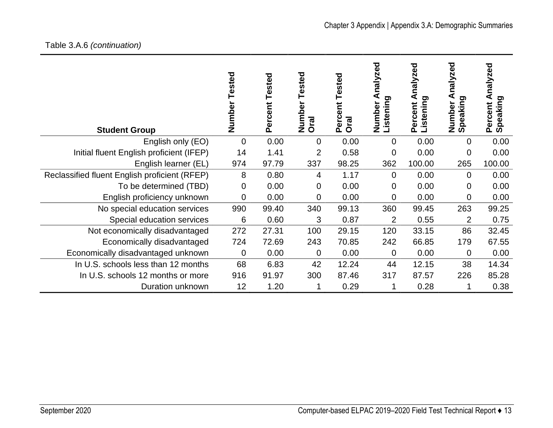| <b>Student Group</b>                          | Tested<br>Number | Tested<br>ercent<br>Ő. | ested<br>Number<br><b>Oral</b> | Tested<br><b>ZE</b><br>Perce<br><b>Oral</b> | ಠ<br>Ñ<br>naly:<br>Listening<br>Number | nalyzed<br>istening<br>Percent | nalyzed<br>peaking<br>Number<br>Speaking | nalyzed<br>peaking<br>Percent<br><u> ທ</u> |
|-----------------------------------------------|------------------|------------------------|--------------------------------|---------------------------------------------|----------------------------------------|--------------------------------|------------------------------------------|--------------------------------------------|
| English only (EO)                             | $\overline{0}$   | 0.00                   | $\overline{0}$                 | 0.00                                        | $\overline{0}$                         | 0.00                           | $\overline{0}$                           | 0.00                                       |
| Initial fluent English proficient (IFEP)      | 14               | 1.41                   | $\overline{2}$                 | 0.58                                        | $\mathbf 0$                            | 0.00                           | $\overline{0}$                           | 0.00                                       |
| English learner (EL)                          | 974              | 97.79                  | 337                            | 98.25                                       | 362                                    | 100.00                         | 265                                      | 100.00                                     |
| Reclassified fluent English proficient (RFEP) | 8                | 0.80                   | 4                              | 1.17                                        | $\Omega$                               | 0.00                           | $\overline{0}$                           | 0.00                                       |
| To be determined (TBD)                        | 0                | 0.00                   | $\overline{0}$                 | 0.00                                        | 0                                      | 0.00                           | 0                                        | 0.00                                       |
| English proficiency unknown                   | 0                | 0.00                   | $\overline{0}$                 | 0.00                                        | 0                                      | 0.00                           | $\overline{0}$                           | 0.00                                       |
| No special education services                 | 990              | 99.40                  | 340                            | 99.13                                       | 360                                    | 99.45                          | 263                                      | 99.25                                      |
| Special education services                    | 6                | 0.60                   | 3                              | 0.87                                        | $\overline{2}$                         | 0.55                           | $\overline{2}$                           | 0.75                                       |
| Not economically disadvantaged                | 272              | 27.31                  | 100                            | 29.15                                       | 120                                    | 33.15                          | 86                                       | 32.45                                      |
| Economically disadvantaged                    | 724              | 72.69                  | 243                            | 70.85                                       | 242                                    | 66.85                          | 179                                      | 67.55                                      |
| Economically disadvantaged unknown            | 0                | 0.00                   | 0                              | 0.00                                        | $\mathbf 0$                            | 0.00                           | 0                                        | 0.00                                       |
| In U.S. schools less than 12 months           | 68               | 6.83                   | 42                             | 12.24                                       | 44                                     | 12.15                          | 38                                       | 14.34                                      |
| In U.S. schools 12 months or more             | 916              | 91.97                  | 300                            | 87.46                                       | 317                                    | 87.57                          | 226                                      | 85.28                                      |
| Duration unknown                              | 12               | 1.20                   |                                | 0.29                                        |                                        | 0.28                           |                                          | 0.38                                       |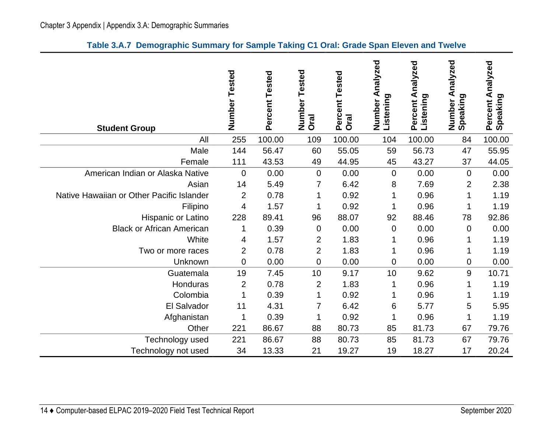|  | Table 3.A.7 Demographic Summary for Sample Taking C1 Oral: Grade Span Eleven and Twelve |  |  |  |  |  |  |  |
|--|-----------------------------------------------------------------------------------------|--|--|--|--|--|--|--|
|--|-----------------------------------------------------------------------------------------|--|--|--|--|--|--|--|

<span id="page-17-0"></span>

| <b>Student Group</b>                      | Number Tested  | Percent Tested | Tested<br>Number<br><b>Oral</b> | Percent Tested<br><b>Oral</b> | nalyzed<br>₹<br>Listening<br>Number | Analyzed<br>Listening<br>Percent | Analyzed<br>Number A<br>Speaking | Percent Analyzed<br>Speaking |
|-------------------------------------------|----------------|----------------|---------------------------------|-------------------------------|-------------------------------------|----------------------------------|----------------------------------|------------------------------|
| All                                       | 255            | 100.00         | 109                             | 100.00                        | 104                                 | 100.00                           | 84                               | 100.00                       |
| Male                                      | 144            | 56.47          | 60                              | 55.05                         | 59                                  | 56.73                            | 47                               | 55.95                        |
| Female                                    | 111            | 43.53          | 49                              | 44.95                         | 45                                  | 43.27                            | 37                               | 44.05                        |
| American Indian or Alaska Native          | $\mathbf 0$    | 0.00           | 0                               | 0.00                          | $\mathbf 0$                         | 0.00                             | $\mathbf 0$                      | 0.00                         |
| Asian                                     | 14             | 5.49           | 7                               | 6.42                          | 8                                   | 7.69                             | $\overline{2}$                   | 2.38                         |
| Native Hawaiian or Other Pacific Islander | $\overline{2}$ | 0.78           | 1                               | 0.92                          |                                     | 0.96                             | 1                                | 1.19                         |
| Filipino                                  | 4              | 1.57           | 1                               | 0.92                          |                                     | 0.96                             | 1                                | 1.19                         |
| Hispanic or Latino                        | 228            | 89.41          | 96                              | 88.07                         | 92                                  | 88.46                            | 78                               | 92.86                        |
| <b>Black or African American</b>          | 1              | 0.39           | 0                               | 0.00                          | $\mathbf 0$                         | 0.00                             | $\mathbf 0$                      | 0.00                         |
| White                                     | 4              | 1.57           | 2                               | 1.83                          |                                     | 0.96                             |                                  | 1.19                         |
| Two or more races                         | $\overline{2}$ | 0.78           | 2                               | 1.83                          |                                     | 0.96                             |                                  | 1.19                         |
| Unknown                                   | 0              | 0.00           | 0                               | 0.00                          | 0                                   | 0.00                             | 0                                | 0.00                         |
| Guatemala                                 | 19             | 7.45           | 10                              | 9.17                          | 10                                  | 9.62                             | $\boldsymbol{9}$                 | 10.71                        |
| Honduras                                  | $\overline{2}$ | 0.78           | $\overline{2}$                  | 1.83                          | 1                                   | 0.96                             | 1                                | 1.19                         |
| Colombia                                  | 1              | 0.39           | 1                               | 0.92                          | 1                                   | 0.96                             | 1                                | 1.19                         |
| El Salvador                               | 11             | 4.31           | $\overline{7}$                  | 6.42                          | 6                                   | 5.77                             | 5                                | 5.95                         |
| Afghanistan                               | 1              | 0.39           | 1                               | 0.92                          | 1                                   | 0.96                             | 1                                | 1.19                         |
| Other                                     | 221            | 86.67          | 88                              | 80.73                         | 85                                  | 81.73                            | 67                               | 79.76                        |
| Technology used                           | 221            | 86.67          | 88                              | 80.73                         | 85                                  | 81.73                            | 67                               | 79.76                        |
| Technology not used                       | 34             | 13.33          | 21                              | 19.27                         | 19                                  | 18.27                            | 17                               | 20.24                        |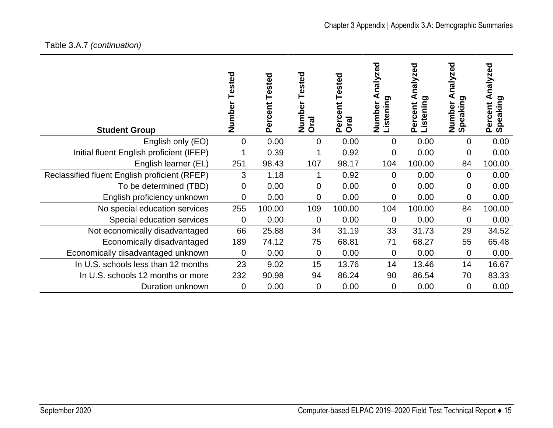# Table 3.A.7 *(continuation)*

| <b>Student Group</b>                          | Tested<br>Number | Percent Tested | ested<br>Number<br>Oral | Tested<br>tent<br>Perce<br><b>Oral</b> | halyzed<br>Listening<br>Number | nalyzed<br>ರಾ<br><b>Listenin</b><br>Percent | halyzed<br>တ<br>Number<br>Speaking | nalyzed<br>ರಾ<br>Speaking<br>Percent |
|-----------------------------------------------|------------------|----------------|-------------------------|----------------------------------------|--------------------------------|---------------------------------------------|------------------------------------|--------------------------------------|
| English only (EO)                             | 0                | 0.00           | 0                       | 0.00                                   | 0                              | 0.00                                        | $\overline{0}$                     | 0.00                                 |
| Initial fluent English proficient (IFEP)      |                  | 0.39           | 1                       | 0.92                                   | 0                              | 0.00                                        | $\overline{0}$                     | 0.00                                 |
| English learner (EL)                          | 251              | 98.43          | 107                     | 98.17                                  | 104                            | 100.00                                      | 84                                 | 100.00                               |
| Reclassified fluent English proficient (RFEP) | 3                | 1.18           | 1                       | 0.92                                   | 0                              | 0.00                                        | $\overline{0}$                     | 0.00                                 |
| To be determined (TBD)                        | 0                | 0.00           | 0                       | 0.00                                   | 0                              | 0.00                                        | 0                                  | 0.00                                 |
| English proficiency unknown                   | 0                | 0.00           | 0                       | 0.00                                   | 0                              | 0.00                                        | $\mathbf 0$                        | 0.00                                 |
| No special education services                 | 255              | 100.00         | 109                     | 100.00                                 | 104                            | 100.00                                      | 84                                 | 100.00                               |
| Special education services                    | $\mathbf 0$      | 0.00           | 0                       | 0.00                                   | $\mathbf 0$                    | 0.00                                        | $\mathbf 0$                        | 0.00                                 |
| Not economically disadvantaged                | 66               | 25.88          | 34                      | 31.19                                  | 33                             | 31.73                                       | 29                                 | 34.52                                |
| Economically disadvantaged                    | 189              | 74.12          | 75                      | 68.81                                  | 71                             | 68.27                                       | 55                                 | 65.48                                |
| Economically disadvantaged unknown            | $\mathbf 0$      | 0.00           | 0                       | 0.00                                   | 0                              | 0.00                                        | 0                                  | 0.00                                 |
| In U.S. schools less than 12 months           | 23               | 9.02           | 15                      | 13.76                                  | 14                             | 13.46                                       | 14                                 | 16.67                                |
| In U.S. schools 12 months or more             | 232              | 90.98          | 94                      | 86.24                                  | 90                             | 86.54                                       | 70                                 | 83.33                                |
| Duration unknown                              | $\mathbf 0$      | 0.00           | 0                       | 0.00                                   | 0                              | 0.00                                        | $\mathbf 0$                        | 0.00                                 |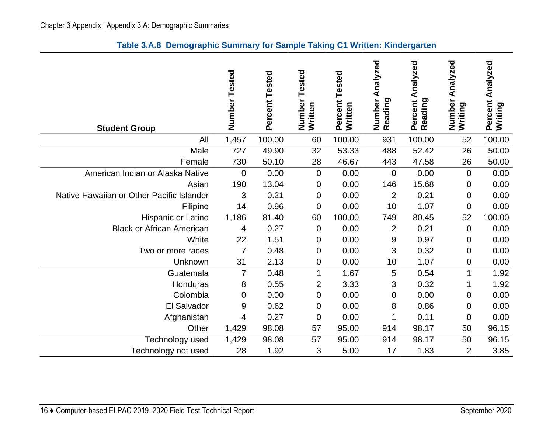<span id="page-19-0"></span>

| <b>Student Group</b>                      | Number Tested  | Percent Tested | Tested<br>Number<br>Written | Tested<br>Percent<br>Written | Analyzed<br>Number<br>Reading | Percent Analyzed<br>Reading | Analyzed<br>Number<br>Writing | Analyzed<br>Percent<br>Writing |
|-------------------------------------------|----------------|----------------|-----------------------------|------------------------------|-------------------------------|-----------------------------|-------------------------------|--------------------------------|
| All                                       | 1,457          | 100.00         | 60                          | 100.00                       | 931                           | 100.00                      | 52                            | 100.00                         |
| Male                                      | 727            | 49.90          | 32                          | 53.33                        | 488                           | 52.42                       | 26                            | 50.00                          |
| Female                                    | 730            | 50.10          | 28                          | 46.67                        | 443                           | 47.58                       | 26                            | 50.00                          |
| American Indian or Alaska Native          | 0              | 0.00           | 0                           | 0.00                         | 0                             | 0.00                        | 0                             | 0.00                           |
| Asian                                     | 190            | 13.04          | 0                           | 0.00                         | 146                           | 15.68                       | 0                             | 0.00                           |
| Native Hawaiian or Other Pacific Islander | $\mathfrak{S}$ | 0.21           | $\boldsymbol{0}$            | 0.00                         | $\overline{2}$                | 0.21                        | 0                             | 0.00                           |
| Filipino                                  | 14             | 0.96           | $\mathbf 0$                 | 0.00                         | 10                            | 1.07                        | 0                             | 0.00                           |
| Hispanic or Latino                        | 1,186          | 81.40          | 60                          | 100.00                       | 749                           | 80.45                       | 52                            | 100.00                         |
| <b>Black or African American</b>          | 4              | 0.27           | 0                           | 0.00                         | $\overline{2}$                | 0.21                        | 0                             | 0.00                           |
| White                                     | 22             | 1.51           | 0                           | 0.00                         | 9                             | 0.97                        | 0                             | 0.00                           |
| Two or more races                         | $\overline{7}$ | 0.48           | 0                           | 0.00                         | 3                             | 0.32                        | 0                             | 0.00                           |
| Unknown                                   | 31             | 2.13           | $\mathbf 0$                 | 0.00                         | 10                            | 1.07                        | 0                             | 0.00                           |
| Guatemala                                 | 7              | 0.48           | $\mathbf{1}$                | 1.67                         | 5                             | 0.54                        | 1                             | 1.92                           |
| Honduras                                  | 8              | 0.55           | $\overline{2}$              | 3.33                         | 3                             | 0.32                        | 1                             | 1.92                           |
| Colombia                                  | 0              | 0.00           | 0                           | 0.00                         | 0                             | 0.00                        | 0                             | 0.00                           |
| El Salvador                               | 9              | 0.62           | 0                           | 0.00                         | 8                             | 0.86                        | 0                             | 0.00                           |
| Afghanistan                               | 4              | 0.27           | $\mathbf 0$                 | 0.00                         | 1                             | 0.11                        | $\mathbf 0$                   | 0.00                           |
| Other                                     | 1,429          | 98.08          | 57                          | 95.00                        | 914                           | 98.17                       | 50                            | 96.15                          |
| Technology used                           | 1,429          | 98.08          | 57                          | 95.00                        | 914                           | 98.17                       | 50                            | 96.15                          |
| Technology not used                       | 28             | 1.92           | 3                           | 5.00                         | 17                            | 1.83                        | $\overline{2}$                | 3.85                           |

#### **Table 3.A.8 Demographic Summary for Sample Taking C1 Written: Kindergarten**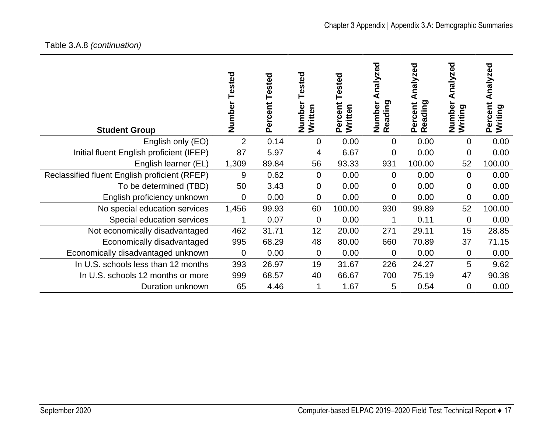# Table 3.A.8 *(continuation)*

| <b>Student Group</b>                          | Tested<br>Number | <b>Tested</b><br>Percent | ested<br>Number<br>Written | <b>Tested</b><br>Percent<br>Written | ℧<br>nalyze<br>₫<br>Reading<br>Number | nalyzed<br>Reading<br>Percent | nalyzed<br>⋖<br>Number<br>Writing | nalyzed<br>⋖<br>Percent<br>Writing |
|-----------------------------------------------|------------------|--------------------------|----------------------------|-------------------------------------|---------------------------------------|-------------------------------|-----------------------------------|------------------------------------|
| English only (EO)                             | $\overline{2}$   | 0.14                     | $\overline{0}$             | 0.00                                | $\mathbf{0}$                          | 0.00                          | 0                                 | 0.00                               |
| Initial fluent English proficient (IFEP)      | 87               | 5.97                     | 4                          | 6.67                                | 0                                     | 0.00                          | $\mathbf 0$                       | 0.00                               |
| English learner (EL)                          | 1,309            | 89.84                    | 56                         | 93.33                               | 931                                   | 100.00                        | 52                                | 100.00                             |
| Reclassified fluent English proficient (RFEP) | 9                | 0.62                     | $\overline{0}$             | 0.00                                | $\Omega$                              | 0.00                          | $\Omega$                          | 0.00                               |
| To be determined (TBD)                        | 50               | 3.43                     | 0                          | 0.00                                | 0                                     | 0.00                          | 0                                 | 0.00                               |
| English proficiency unknown                   | $\mathbf 0$      | 0.00                     | 0                          | 0.00                                | 0                                     | 0.00                          | 0                                 | 0.00                               |
| No special education services                 | 1,456            | 99.93                    | 60                         | 100.00                              | 930                                   | 99.89                         | 52                                | 100.00                             |
| Special education services                    |                  | 0.07                     | 0                          | 0.00                                | 1                                     | 0.11                          | $\mathbf 0$                       | 0.00                               |
| Not economically disadvantaged                | 462              | 31.71                    | 12                         | 20.00                               | 271                                   | 29.11                         | 15                                | 28.85                              |
| Economically disadvantaged                    | 995              | 68.29                    | 48                         | 80.00                               | 660                                   | 70.89                         | 37                                | 71.15                              |
| Economically disadvantaged unknown            | $\overline{0}$   | 0.00                     | 0                          | 0.00                                | $\mathbf{0}$                          | 0.00                          | 0                                 | 0.00                               |
| In U.S. schools less than 12 months           | 393              | 26.97                    | 19                         | 31.67                               | 226                                   | 24.27                         | 5                                 | 9.62                               |
| In U.S. schools 12 months or more             | 999              | 68.57                    | 40                         | 66.67                               | 700                                   | 75.19                         | 47                                | 90.38                              |
| Duration unknown                              | 65               | 4.46                     | 1                          | 1.67                                | 5                                     | 0.54                          | 0                                 | 0.00                               |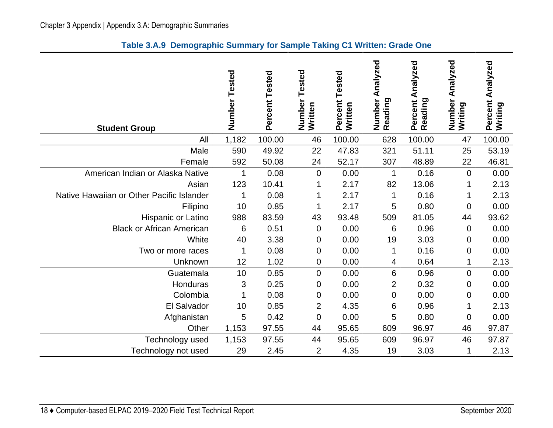|  |  |  |  |  | Table 3.A.9 Demographic Summary for Sample Taking C1 Written: Grade One |
|--|--|--|--|--|-------------------------------------------------------------------------|
|--|--|--|--|--|-------------------------------------------------------------------------|

<span id="page-21-0"></span>

| <b>Student Group</b>                      | Number Tested | Percent Tested | Tested<br>Number<br>Written | Tested<br>Percent<br>Written | Analyzed<br>Number<br>Reading | Percent Analyzed<br>Reading | Analyzed<br>Number<br>Writing | Analyzed<br>Percent<br>Writing |
|-------------------------------------------|---------------|----------------|-----------------------------|------------------------------|-------------------------------|-----------------------------|-------------------------------|--------------------------------|
| All                                       | 1,182         | 100.00         | 46                          | 100.00                       | 628                           | 100.00                      | 47                            | 100.00                         |
| Male                                      | 590           | 49.92          | 22                          | 47.83                        | 321                           | 51.11                       | 25                            | 53.19                          |
| Female                                    | 592           | 50.08          | 24                          | 52.17                        | 307                           | 48.89                       | 22                            | 46.81                          |
| American Indian or Alaska Native          | $\mathbf 1$   | 0.08           | $\mathbf 0$                 | 0.00                         |                               | 0.16                        | $\overline{0}$                | 0.00                           |
| Asian                                     | 123           | 10.41          | 1                           | 2.17                         | 82                            | 13.06                       |                               | 2.13                           |
| Native Hawaiian or Other Pacific Islander | 1             | 0.08           | 1                           | 2.17                         | 1                             | 0.16                        |                               | 2.13                           |
| Filipino                                  | 10            | 0.85           | 1                           | 2.17                         | 5                             | 0.80                        | 0                             | 0.00                           |
| Hispanic or Latino                        | 988           | 83.59          | 43                          | 93.48                        | 509                           | 81.05                       | 44                            | 93.62                          |
| <b>Black or African American</b>          | 6             | 0.51           | 0                           | 0.00                         | 6                             | 0.96                        | $\mathbf 0$                   | 0.00                           |
| White                                     | 40            | 3.38           | 0                           | 0.00                         | 19                            | 3.03                        | 0                             | 0.00                           |
| Two or more races                         | 1             | 0.08           | 0                           | 0.00                         |                               | 0.16                        | $\mathbf 0$                   | 0.00                           |
| Unknown                                   | 12            | 1.02           | 0                           | 0.00                         | 4                             | 0.64                        |                               | 2.13                           |
| Guatemala                                 | 10            | 0.85           | $\mathbf 0$                 | 0.00                         | 6                             | 0.96                        | $\mathbf 0$                   | 0.00                           |
| Honduras                                  | 3             | 0.25           | 0                           | 0.00                         | $\overline{2}$                | 0.32                        | $\boldsymbol{0}$              | 0.00                           |
| Colombia                                  | 1             | 0.08           | 0                           | 0.00                         | 0                             | 0.00                        | 0                             | 0.00                           |
| El Salvador                               | 10            | 0.85           | $\overline{2}$              | 4.35                         | 6                             | 0.96                        | 1                             | 2.13                           |
| Afghanistan                               | 5             | 0.42           | $\mathbf 0$                 | 0.00                         | 5                             | 0.80                        | $\mathbf 0$                   | 0.00                           |
| Other                                     | 1,153         | 97.55          | 44                          | 95.65                        | 609                           | 96.97                       | 46                            | 97.87                          |
| Technology used                           | 1,153         | 97.55          | 44                          | 95.65                        | 609                           | 96.97                       | 46                            | 97.87                          |
| Technology not used                       | 29            | 2.45           | 2                           | 4.35                         | 19                            | 3.03                        | 1                             | 2.13                           |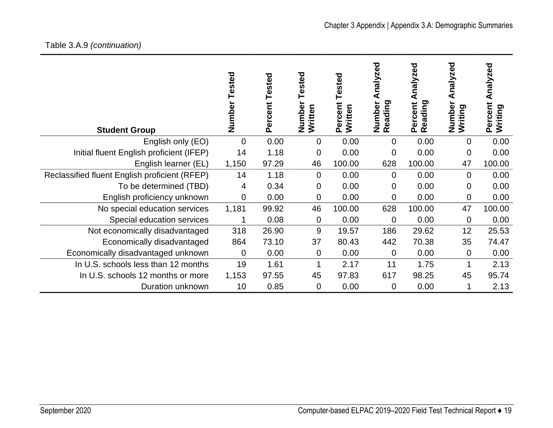# Table 3.A.9 *(continuation)*

| <b>Student Group</b>                          | Tested<br>Number | Tested<br>Percent | ested<br>Numbe<br>Written | Tested<br>Percent<br>Written | ၓ<br>nalyze<br>⋖<br>Reading<br>Number | nalyzed<br>₫<br>Reading<br>Percent | nalyzed<br>⋖<br>Numbe<br>Writing | Analyzed<br>Percent<br>Writing |
|-----------------------------------------------|------------------|-------------------|---------------------------|------------------------------|---------------------------------------|------------------------------------|----------------------------------|--------------------------------|
| English only (EO)                             | $\overline{0}$   | 0.00              | 0                         | 0.00                         | $\overline{0}$                        | 0.00                               | 0                                | 0.00                           |
| Initial fluent English proficient (IFEP)      | 14               | 1.18              | 0                         | 0.00                         | 0                                     | 0.00                               | 0                                | 0.00                           |
| English learner (EL)                          | 1,150            | 97.29             | 46                        | 100.00                       | 628                                   | 100.00                             | 47                               | 100.00                         |
| Reclassified fluent English proficient (RFEP) | 14               | 1.18              | 0                         | 0.00                         | $\overline{0}$                        | 0.00                               | $\overline{0}$                   | 0.00                           |
| To be determined (TBD)                        | 4                | 0.34              | 0                         | 0.00                         | $\overline{0}$                        | 0.00                               | 0                                | 0.00                           |
| English proficiency unknown                   | $\overline{0}$   | 0.00              | 0                         | 0.00                         | 0                                     | 0.00                               | 0                                | 0.00                           |
| No special education services                 | 1,181            | 99.92             | 46                        | 100.00                       | 628                                   | 100.00                             | 47                               | 100.00                         |
| Special education services                    | 1                | 0.08              | 0                         | 0.00                         | 0                                     | 0.00                               | $\mathbf 0$                      | 0.00                           |
| Not economically disadvantaged                | 318              | 26.90             | 9                         | 19.57                        | 186                                   | 29.62                              | 12                               | 25.53                          |
| Economically disadvantaged                    | 864              | 73.10             | 37                        | 80.43                        | 442                                   | 70.38                              | 35                               | 74.47                          |
| Economically disadvantaged unknown            | $\mathbf 0$      | 0.00              | 0                         | 0.00                         | 0                                     | 0.00                               | $\mathbf 0$                      | 0.00                           |
| In U.S. schools less than 12 months           | 19               | 1.61              | 1                         | 2.17                         | 11                                    | 1.75                               |                                  | 2.13                           |
| In U.S. schools 12 months or more             | 1,153            | 97.55             | 45                        | 97.83                        | 617                                   | 98.25                              | 45                               | 95.74                          |
| Duration unknown                              | 10               | 0.85              | 0                         | 0.00                         | $\mathbf 0$                           | 0.00                               |                                  | 2.13                           |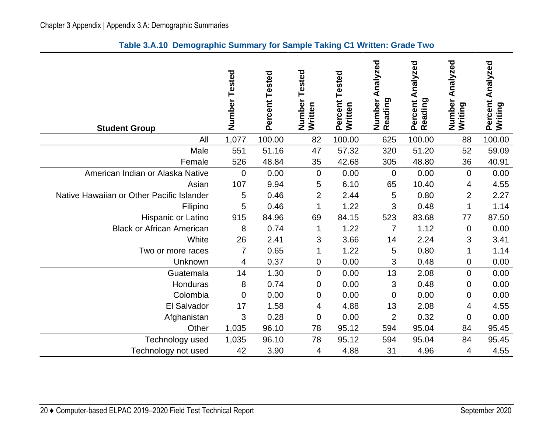<span id="page-23-0"></span>

| <b>Student Group</b>                      | Number<br>Tested | Percent Tested | Tested<br>Number<br>Written | Tested<br>Percent<br>Written | Analyzed<br>Number<br>Reading | Percent Analyzed<br>Reading | Analyzed<br>Number<br>Writing | Percent Analyzed<br>Writing |
|-------------------------------------------|------------------|----------------|-----------------------------|------------------------------|-------------------------------|-----------------------------|-------------------------------|-----------------------------|
| All                                       | 1,077            | 100.00         | 82                          | 100.00                       | 625                           | 100.00                      | 88                            | 100.00                      |
| Male                                      | 551              | 51.16          | 47                          | 57.32                        | 320                           | 51.20                       | 52                            | 59.09                       |
| Female                                    | 526              | 48.84          | 35                          | 42.68                        | 305                           | 48.80                       | 36                            | 40.91                       |
| American Indian or Alaska Native          | $\mathbf 0$      | 0.00           | $\mathbf 0$                 | 0.00                         | $\overline{0}$                | 0.00                        | 0                             | 0.00                        |
| Asian                                     | 107              | 9.94           | 5                           | 6.10                         | 65                            | 10.40                       | 4                             | 4.55                        |
| Native Hawaiian or Other Pacific Islander | 5                | 0.46           | $\overline{2}$              | 2.44                         | 5                             | 0.80                        | $\overline{2}$                | 2.27                        |
| Filipino                                  | 5                | 0.46           |                             | 1.22                         | 3                             | 0.48                        | 1                             | 1.14                        |
| Hispanic or Latino                        | 915              | 84.96          | 69                          | 84.15                        | 523                           | 83.68                       | 77                            | 87.50                       |
| <b>Black or African American</b>          | 8                | 0.74           | 1                           | 1.22                         | 7                             | 1.12                        | 0                             | 0.00                        |
| White                                     | 26               | 2.41           | 3                           | 3.66                         | 14                            | 2.24                        | 3                             | 3.41                        |
| Two or more races                         | $\overline{7}$   | 0.65           | 1                           | 1.22                         | 5                             | 0.80                        | 1                             | 1.14                        |
| Unknown                                   | 4                | 0.37           | 0                           | 0.00                         | 3                             | 0.48                        | 0                             | 0.00                        |
| Guatemala                                 | 14               | 1.30           | 0                           | 0.00                         | 13                            | 2.08                        | $\boldsymbol{0}$              | 0.00                        |
| Honduras                                  | 8                | 0.74           | 0                           | 0.00                         | 3                             | 0.48                        | 0                             | 0.00                        |
| Colombia                                  | $\overline{0}$   | 0.00           | 0                           | 0.00                         | $\mathbf 0$                   | 0.00                        | 0                             | 0.00                        |
| El Salvador                               | 17               | 1.58           | 4                           | 4.88                         | 13                            | 2.08                        | 4                             | 4.55                        |
| Afghanistan                               | 3                | 0.28           | 0                           | 0.00                         | $\overline{2}$                | 0.32                        | 0                             | 0.00                        |
| Other                                     | 1,035            | 96.10          | 78                          | 95.12                        | 594                           | 95.04                       | 84                            | 95.45                       |
| Technology used                           | 1,035            | 96.10          | 78                          | 95.12                        | 594                           | 95.04                       | 84                            | 95.45                       |

Technology not used  $42$  3.90  $4$  4.88 31 4.96 4 4.55

#### **Table 3.A.10 Demographic Summary for Sample Taking C1 Written: Grade Two**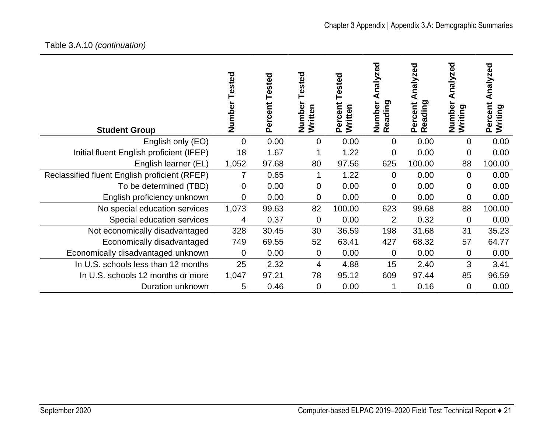# Table 3.A.10 *(continuation)*

| <b>Student Group</b>                          | Tested<br>Number | Tested<br>Percent | ested<br>Numbe<br>Written | ested<br>Percent<br>Written | ್ಥಾ<br>nalyzr<br>Reading<br>Numbe | nalyzed<br>⋖<br>Reading<br>Percent | nalyzed<br>⋖<br>Numbe<br>ත<br>Writing | Analyzed<br>Percent<br>ರಾ<br>Writing |
|-----------------------------------------------|------------------|-------------------|---------------------------|-----------------------------|-----------------------------------|------------------------------------|---------------------------------------|--------------------------------------|
| English only (EO)                             | $\mathbf 0$      | 0.00              | 0                         | 0.00                        | 0                                 | 0.00                               | $\mathbf 0$                           | 0.00                                 |
| Initial fluent English proficient (IFEP)      | 18               | 1.67              |                           | 1.22                        | 0                                 | 0.00                               | 0                                     | 0.00                                 |
| English learner (EL)                          | 1,052            | 97.68             | 80                        | 97.56                       | 625                               | 100.00                             | 88                                    | 100.00                               |
| Reclassified fluent English proficient (RFEP) | 7                | 0.65              | 1                         | 1.22                        | $\mathbf 0$                       | 0.00                               | $\mathbf 0$                           | 0.00                                 |
| To be determined (TBD)                        | 0                | 0.00              | 0                         | 0.00                        | 0                                 | 0.00                               | 0                                     | 0.00                                 |
| English proficiency unknown                   | $\overline{0}$   | 0.00              | 0                         | 0.00                        | 0                                 | 0.00                               | 0                                     | 0.00                                 |
| No special education services                 | 1,073            | 99.63             | 82                        | 100.00                      | 623                               | 99.68                              | 88                                    | 100.00                               |
| Special education services                    | 4                | 0.37              | 0                         | 0.00                        | $\overline{2}$                    | 0.32                               | 0                                     | 0.00                                 |
| Not economically disadvantaged                | 328              | 30.45             | 30                        | 36.59                       | 198                               | 31.68                              | 31                                    | 35.23                                |
| Economically disadvantaged                    | 749              | 69.55             | 52                        | 63.41                       | 427                               | 68.32                              | 57                                    | 64.77                                |
| Economically disadvantaged unknown            | $\overline{0}$   | 0.00              | 0                         | 0.00                        | $\mathbf 0$                       | 0.00                               | $\mathbf 0$                           | 0.00                                 |
| In U.S. schools less than 12 months           | 25               | 2.32              | 4                         | 4.88                        | 15                                | 2.40                               | 3                                     | 3.41                                 |
| In U.S. schools 12 months or more             | 1,047            | 97.21             | 78                        | 95.12                       | 609                               | 97.44                              | 85                                    | 96.59                                |
| Duration unknown                              | 5                | 0.46              | 0                         | 0.00                        | 1                                 | 0.16                               | $\mathbf 0$                           | 0.00                                 |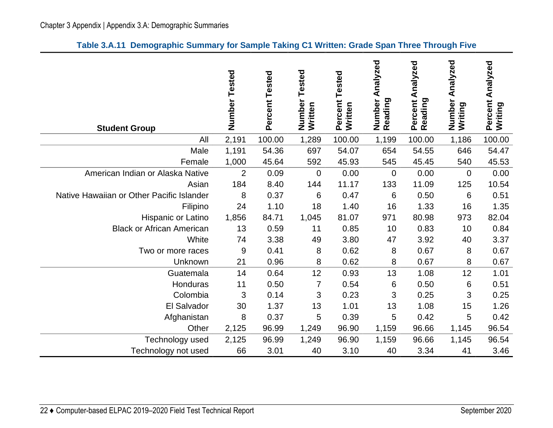|  | Table 3.A.11 Demographic Summary for Sample Taking C1 Written: Grade Span Three Through Five |  |  |  |  |  |  |  |
|--|----------------------------------------------------------------------------------------------|--|--|--|--|--|--|--|
|--|----------------------------------------------------------------------------------------------|--|--|--|--|--|--|--|

<span id="page-25-0"></span>

| <b>Student Group</b>                      | Number Tested  | Percent Tested | Tested<br>Number<br>Written | Percent Tested<br>Written | Analyzed<br>Number<br>Reading | Percent Analyzed<br>Reading | Analyzed<br>Number<br>Writing | Analyzed<br>Percent<br>Writing |
|-------------------------------------------|----------------|----------------|-----------------------------|---------------------------|-------------------------------|-----------------------------|-------------------------------|--------------------------------|
| All                                       | 2,191          | 100.00         | 1,289                       | 100.00                    | 1,199                         | 100.00                      | 1,186                         | 100.00                         |
| Male                                      | 1,191          | 54.36          | 697                         | 54.07                     | 654                           | 54.55                       | 646                           | 54.47                          |
| Female                                    | 1,000          | 45.64          | 592                         | 45.93                     | 545                           | 45.45                       | 540                           | 45.53                          |
| American Indian or Alaska Native          | $\overline{2}$ | 0.09           | $\mathbf 0$                 | 0.00                      | $\mathbf 0$                   | 0.00                        | $\mathbf 0$                   | 0.00                           |
| Asian                                     | 184            | 8.40           | 144                         | 11.17                     | 133                           | 11.09                       | 125                           | 10.54                          |
| Native Hawaiian or Other Pacific Islander | 8              | 0.37           | 6                           | 0.47                      | 6                             | 0.50                        | 6                             | 0.51                           |
| Filipino                                  | 24             | 1.10           | 18                          | 1.40                      | 16                            | 1.33                        | 16                            | 1.35                           |
| Hispanic or Latino                        | 1,856          | 84.71          | 1,045                       | 81.07                     | 971                           | 80.98                       | 973                           | 82.04                          |
| <b>Black or African American</b>          | 13             | 0.59           | 11                          | 0.85                      | 10                            | 0.83                        | 10                            | 0.84                           |
| White                                     | 74             | 3.38           | 49                          | 3.80                      | 47                            | 3.92                        | 40                            | 3.37                           |
| Two or more races                         | 9              | 0.41           | 8                           | 0.62                      | 8                             | 0.67                        | 8                             | 0.67                           |
| Unknown                                   | 21             | 0.96           | 8                           | 0.62                      | 8                             | 0.67                        | 8                             | 0.67                           |
| Guatemala                                 | 14             | 0.64           | 12                          | 0.93                      | 13                            | 1.08                        | 12                            | 1.01                           |
| Honduras                                  | 11             | 0.50           | 7                           | 0.54                      | 6                             | 0.50                        | 6                             | 0.51                           |
| Colombia                                  | 3              | 0.14           | 3                           | 0.23                      | 3                             | 0.25                        | 3                             | 0.25                           |
| El Salvador                               | 30             | 1.37           | 13                          | 1.01                      | 13                            | 1.08                        | 15                            | 1.26                           |
| Afghanistan                               | 8              | 0.37           | 5                           | 0.39                      | 5                             | 0.42                        | 5                             | 0.42                           |
| Other                                     | 2,125          | 96.99          | 1,249                       | 96.90                     | 1,159                         | 96.66                       | 1,145                         | 96.54                          |
| Technology used                           | 2,125          | 96.99          | 1,249                       | 96.90                     | 1,159                         | 96.66                       | 1,145                         | 96.54                          |
| Technology not used                       | 66             | 3.01           | 40                          | 3.10                      | 40                            | 3.34                        | 41                            | 3.46                           |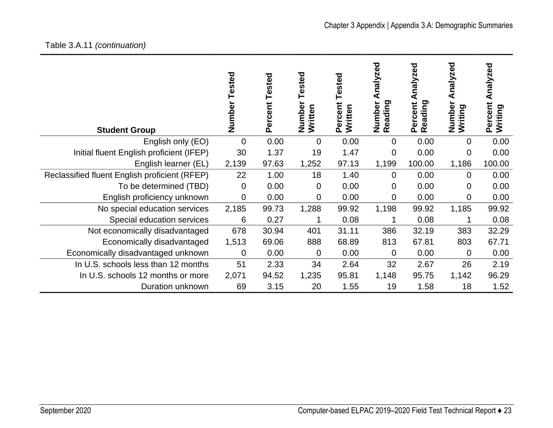# Table 3.A.11 *(continuation)*

| <b>Student Group</b>                          | Tested<br>Number | Tested<br>Percent | sted<br>۵<br>Numbe<br>Written | ested<br>Percent<br>Written | zed<br>naly:<br>Reading<br>Number | nalyzed<br>Reading<br>Percent | Analyzed<br>Number<br>Writing | Analyzed<br>Percent<br>Writing |
|-----------------------------------------------|------------------|-------------------|-------------------------------|-----------------------------|-----------------------------------|-------------------------------|-------------------------------|--------------------------------|
| English only (EO)                             | $\Omega$         | 0.00              | 0                             | 0.00                        | 0                                 | 0.00                          | 0                             | 0.00                           |
| Initial fluent English proficient (IFEP)      | 30               | 1.37              | 19                            | 1.47                        | $\mathbf 0$                       | 0.00                          | 0                             | 0.00                           |
| English learner (EL)                          | 2,139            | 97.63             | 1,252                         | 97.13                       | 1,199                             | 100.00                        | 1,186                         | 100.00                         |
| Reclassified fluent English proficient (RFEP) | 22               | 1.00              | 18                            | 1.40                        | $\Omega$                          | 0.00                          | $\Omega$                      | 0.00                           |
| To be determined (TBD)                        | 0                | 0.00              | 0                             | 0.00                        | 0                                 | 0.00                          | 0                             | 0.00                           |
| English proficiency unknown                   | 0                | 0.00              | 0                             | 0.00                        | 0                                 | 0.00                          | 0                             | 0.00                           |
| No special education services                 | 2,185            | 99.73             | 1,288                         | 99.92                       | 1,198                             | 99.92                         | 1,185                         | 99.92                          |
| Special education services                    | 6                | 0.27              | 1                             | 0.08                        |                                   | 0.08                          |                               | 0.08                           |
| Not economically disadvantaged                | 678              | 30.94             | 401                           | 31.11                       | 386                               | 32.19                         | 383                           | 32.29                          |
| Economically disadvantaged                    | 1,513            | 69.06             | 888                           | 68.89                       | 813                               | 67.81                         | 803                           | 67.71                          |
| Economically disadvantaged unknown            | $\Omega$         | 0.00              | $\mathbf 0$                   | 0.00                        | 0                                 | 0.00                          | 0                             | 0.00                           |
| In U.S. schools less than 12 months           | 51               | 2.33              | 34                            | 2.64                        | 32                                | 2.67                          | 26                            | 2.19                           |
| In U.S. schools 12 months or more             | 2,071            | 94.52             | 1,235                         | 95.81                       | 1,148                             | 95.75                         | 1,142                         | 96.29                          |
| Duration unknown                              | 69               | 3.15              | 20                            | 1.55                        | 19                                | 1.58                          | 18                            | 1.52                           |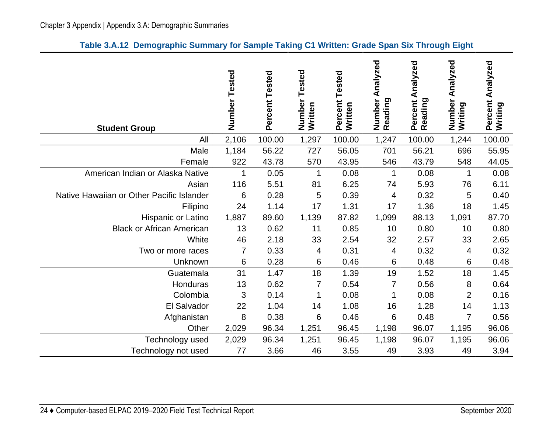<span id="page-27-0"></span>

| <b>Student Group</b>                      | Number Tested | Percent Tested | Tested<br>Number<br>Written | Tested<br>Percent<br>Written | Analyzed<br>Number<br>Reading | Analyzed<br>Percent<br>Reading | Analyzed<br>Number<br>Writing | Analyzed<br>Percent<br>Writing |
|-------------------------------------------|---------------|----------------|-----------------------------|------------------------------|-------------------------------|--------------------------------|-------------------------------|--------------------------------|
| All                                       | 2,106         | 100.00         | 1,297                       | 100.00                       | 1,247                         | 100.00                         | 1,244                         | 100.00                         |
| Male                                      | 1,184         | 56.22          | 727                         | 56.05                        | 701                           | 56.21                          | 696                           | 55.95                          |
| Female                                    | 922           | 43.78          | 570                         | 43.95                        | 546                           | 43.79                          | 548                           | 44.05                          |
| American Indian or Alaska Native          | 1             | 0.05           | 1                           | 0.08                         | 1                             | 0.08                           | 1                             | 0.08                           |
| Asian                                     | 116           | 5.51           | 81                          | 6.25                         | 74                            | 5.93                           | 76                            | 6.11                           |
| Native Hawaiian or Other Pacific Islander | 6             | 0.28           | 5                           | 0.39                         | 4                             | 0.32                           | 5                             | 0.40                           |
| Filipino                                  | 24            | 1.14           | 17                          | 1.31                         | 17                            | 1.36                           | 18                            | 1.45                           |
| Hispanic or Latino                        | 1,887         | 89.60          | 1,139                       | 87.82                        | 1,099                         | 88.13                          | 1,091                         | 87.70                          |
| <b>Black or African American</b>          | 13            | 0.62           | 11                          | 0.85                         | 10                            | 0.80                           | 10                            | 0.80                           |
| White                                     | 46            | 2.18           | 33                          | 2.54                         | 32                            | 2.57                           | 33                            | 2.65                           |
| Two or more races                         | 7             | 0.33           | 4                           | 0.31                         | 4                             | 0.32                           | 4                             | 0.32                           |
| Unknown                                   | 6             | 0.28           | 6                           | 0.46                         | 6                             | 0.48                           | 6                             | 0.48                           |
| Guatemala                                 | 31            | 1.47           | 18                          | 1.39                         | 19                            | 1.52                           | 18                            | 1.45                           |
| Honduras                                  | 13            | 0.62           | 7                           | 0.54                         | 7                             | 0.56                           | 8                             | 0.64                           |
| Colombia                                  | 3             | 0.14           | 1                           | 0.08                         | 1                             | 0.08                           | $\overline{2}$                | 0.16                           |
| El Salvador                               | 22            | 1.04           | 14                          | 1.08                         | 16                            | 1.28                           | 14                            | 1.13                           |
| Afghanistan                               | 8             | 0.38           | 6                           | 0.46                         | 6                             | 0.48                           | $\overline{7}$                | 0.56                           |
| Other                                     | 2,029         | 96.34          | 1,251                       | 96.45                        | 1,198                         | 96.07                          | 1,195                         | 96.06                          |
| Technology used                           | 2,029         | 96.34          | 1,251                       | 96.45                        | 1,198                         | 96.07                          | 1,195                         | 96.06                          |
| Technology not used                       | 77            | 3.66           | 46                          | 3.55                         | 49                            | 3.93                           | 49                            | 3.94                           |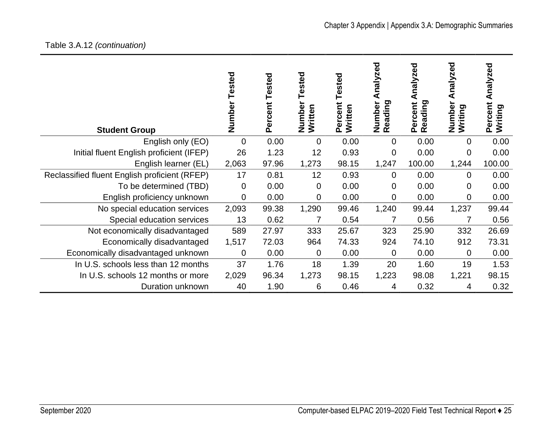# Chapter 3 Appendix | Appendix 3.A: Demographic Summaries

# Table 3.A.12 *(continuation)*

| <b>Student Group</b>                          | Tested<br>Number | ercent Tested<br>Ő. | sted<br>Numbe<br>Written | Tested<br>Percent<br>Written | ਠ<br>Ō<br>nalyze<br>⋖<br>Reading<br>Number | nalyzed<br>⋖<br>Percent<br>eading<br>œ | nalyzed<br>๔<br>Numbe<br>Writing | Analyzed<br>Percent<br>Writing |
|-----------------------------------------------|------------------|---------------------|--------------------------|------------------------------|--------------------------------------------|----------------------------------------|----------------------------------|--------------------------------|
| English only (EO)                             | $\overline{0}$   | 0.00                | 0                        | 0.00                         | $\overline{0}$                             | 0.00                                   | $\mathbf 0$                      | 0.00                           |
| Initial fluent English proficient (IFEP)      | 26               | 1.23                | 12                       | 0.93                         | 0                                          | 0.00                                   | 0                                | 0.00                           |
| English learner (EL)                          | 2,063            | 97.96               | 1,273                    | 98.15                        | 1,247                                      | 100.00                                 | 1,244                            | 100.00                         |
| Reclassified fluent English proficient (RFEP) | 17               | 0.81                | 12                       | 0.93                         | $\mathbf 0$                                | 0.00                                   | 0                                | 0.00                           |
| To be determined (TBD)                        | $\overline{0}$   | 0.00                | 0                        | 0.00                         | 0                                          | 0.00                                   | 0                                | 0.00                           |
| English proficiency unknown                   | $\mathbf 0$      | 0.00                | 0                        | 0.00                         | 0                                          | 0.00                                   | 0                                | 0.00                           |
| No special education services                 | 2,093            | 99.38               | 1,290                    | 99.46                        | 1,240                                      | 99.44                                  | 1,237                            | 99.44                          |
| Special education services                    | 13               | 0.62                | 7                        | 0.54                         | 7                                          | 0.56                                   | 7                                | 0.56                           |
| Not economically disadvantaged                | 589              | 27.97               | 333                      | 25.67                        | 323                                        | 25.90                                  | 332                              | 26.69                          |
| Economically disadvantaged                    | 1,517            | 72.03               | 964                      | 74.33                        | 924                                        | 74.10                                  | 912                              | 73.31                          |
| Economically disadvantaged unknown            | 0                | 0.00                | 0                        | 0.00                         | $\mathbf 0$                                | 0.00                                   | $\mathbf 0$                      | 0.00                           |
| In U.S. schools less than 12 months           | 37               | 1.76                | 18                       | 1.39                         | 20                                         | 1.60                                   | 19                               | 1.53                           |
| In U.S. schools 12 months or more             | 2,029            | 96.34               | 1,273                    | 98.15                        | 1,223                                      | 98.08                                  | 1,221                            | 98.15                          |
| Duration unknown                              | 40               | 1.90                | 6                        | 0.46                         | 4                                          | 0.32                                   | 4                                | 0.32                           |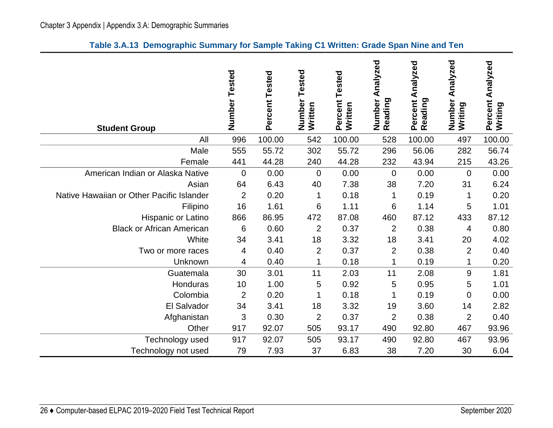<span id="page-29-0"></span>

| <b>Student Group</b>                      | Number<br>Tested | Percent Tested | Tested<br>Number<br>Written | Tested<br>Percent<br>Written | Number Analyzed<br>Reading | Percent Analyzed<br>Reading | Analyzed<br>Number<br>Writing | Analyzed<br>Percent<br>Writing |
|-------------------------------------------|------------------|----------------|-----------------------------|------------------------------|----------------------------|-----------------------------|-------------------------------|--------------------------------|
| All                                       | 996              | 100.00         | 542                         | 100.00                       | 528                        | 100.00                      | 497                           | 100.00                         |
| Male                                      | 555              | 55.72          | 302                         | 55.72                        | 296                        | 56.06                       | 282                           | 56.74                          |
| Female                                    | 441              | 44.28          | 240                         | 44.28                        | 232                        | 43.94                       | 215                           | 43.26                          |
| American Indian or Alaska Native          | $\mathbf 0$      | 0.00           | $\mathbf 0$                 | 0.00                         | 0                          | 0.00                        | $\mathbf 0$                   | 0.00                           |
| Asian                                     | 64               | 6.43           | 40                          | 7.38                         | 38                         | 7.20                        | 31                            | 6.24                           |
| Native Hawaiian or Other Pacific Islander | $\overline{2}$   | 0.20           | 1                           | 0.18                         | 1                          | 0.19                        | 1                             | 0.20                           |
| Filipino                                  | 16               | 1.61           | 6                           | 1.11                         | 6                          | 1.14                        | 5                             | 1.01                           |
| Hispanic or Latino                        | 866              | 86.95          | 472                         | 87.08                        | 460                        | 87.12                       | 433                           | 87.12                          |
| <b>Black or African American</b>          | 6                | 0.60           | $\overline{2}$              | 0.37                         | $\overline{2}$             | 0.38                        | 4                             | 0.80                           |
| White                                     | 34               | 3.41           | 18                          | 3.32                         | 18                         | 3.41                        | 20                            | 4.02                           |
| Two or more races                         | 4                | 0.40           | $\overline{2}$              | 0.37                         | $\overline{2}$             | 0.38                        | $\overline{2}$                | 0.40                           |
| Unknown                                   | 4                | 0.40           | 1                           | 0.18                         | 1                          | 0.19                        | 1                             | 0.20                           |
| Guatemala                                 | 30               | 3.01           | 11                          | 2.03                         | 11                         | 2.08                        | 9                             | 1.81                           |
| Honduras                                  | 10               | 1.00           | 5                           | 0.92                         | 5                          | 0.95                        | 5                             | 1.01                           |
| Colombia                                  | $\overline{2}$   | 0.20           | 1                           | 0.18                         | 1                          | 0.19                        | 0                             | 0.00                           |
| El Salvador                               | 34               | 3.41           | 18                          | 3.32                         | 19                         | 3.60                        | 14                            | 2.82                           |
| Afghanistan                               | 3                | 0.30           | $\overline{2}$              | 0.37                         | $\overline{2}$             | 0.38                        | $\overline{2}$                | 0.40                           |
| Other                                     | 917              | 92.07          | 505                         | 93.17                        | 490                        | 92.80                       | 467                           | 93.96                          |
| Technology used                           | 917              | 92.07          | 505                         | 93.17                        | 490                        | 92.80                       | 467                           | 93.96                          |
| Technology not used                       | 79               | 7.93           | 37                          | 6.83                         | 38                         | 7.20                        | 30                            | 6.04                           |

#### **Table 3.A.13 Demographic Summary for Sample Taking C1 Written: Grade Span Nine and Ten**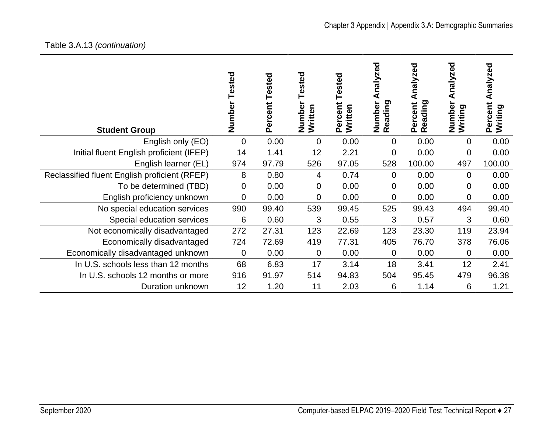#### Table 3.A.13 *(continuation)*

| <b>Student Group</b>                          | Tested<br>Number | <b>Tested</b><br>Percent | Tested<br>Number<br>Written | Tested<br>Percent<br>Written | Analyzed<br>Reading<br>Number | Analyzed<br>Reading<br>Percent | Analyzed<br>Number<br>Writing | Analyzed<br>Percent<br>Writing |
|-----------------------------------------------|------------------|--------------------------|-----------------------------|------------------------------|-------------------------------|--------------------------------|-------------------------------|--------------------------------|
| English only (EO)                             | $\overline{0}$   | 0.00                     | $\overline{0}$              | 0.00                         | $\overline{0}$                | 0.00                           | 0                             | 0.00                           |
| Initial fluent English proficient (IFEP)      | 14               | 1.41                     | 12                          | 2.21                         | 0                             | 0.00                           | 0                             | 0.00                           |
| English learner (EL)                          | 974              | 97.79                    | 526                         | 97.05                        | 528                           | 100.00                         | 497                           | 100.00                         |
| Reclassified fluent English proficient (RFEP) | 8                | 0.80                     | 4                           | 0.74                         | $\overline{0}$                | 0.00                           | $\mathbf 0$                   | 0.00                           |
| To be determined (TBD)                        | 0                | 0.00                     | $\mathbf 0$                 | 0.00                         | $\overline{0}$                | 0.00                           | $\overline{0}$                | 0.00                           |
| English proficiency unknown                   | 0                | 0.00                     | 0                           | 0.00                         | $\overline{0}$                | 0.00                           | 0                             | 0.00                           |
| No special education services                 | 990              | 99.40                    | 539                         | 99.45                        | 525                           | 99.43                          | 494                           | 99.40                          |
| Special education services                    | 6                | 0.60                     | 3                           | 0.55                         | 3                             | 0.57                           | 3                             | 0.60                           |
| Not economically disadvantaged                | 272              | 27.31                    | 123                         | 22.69                        | 123                           | 23.30                          | 119                           | 23.94                          |
| Economically disadvantaged                    | 724              | 72.69                    | 419                         | 77.31                        | 405                           | 76.70                          | 378                           | 76.06                          |
| Economically disadvantaged unknown            | $\mathbf 0$      | 0.00                     | $\mathbf 0$                 | 0.00                         | $\mathbf 0$                   | 0.00                           | 0                             | 0.00                           |
| In U.S. schools less than 12 months           | 68               | 6.83                     | 17                          | 3.14                         | 18                            | 3.41                           | 12                            | 2.41                           |
| In U.S. schools 12 months or more             | 916              | 91.97                    | 514                         | 94.83                        | 504                           | 95.45                          | 479                           | 96.38                          |
| Duration unknown                              | 12               | 1.20                     | 11                          | 2.03                         | 6                             | 1.14                           | 6                             | 1.21                           |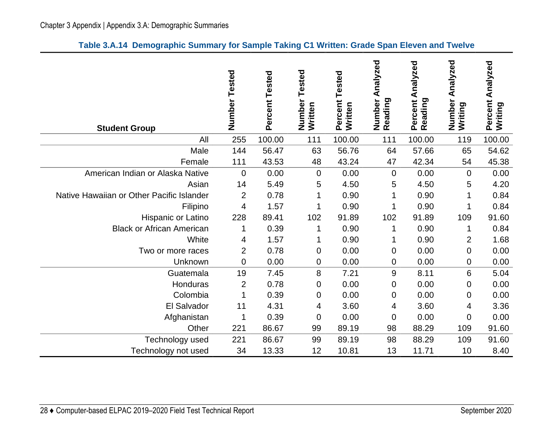| Table 3.A.14 Demographic Summary for Sample Taking C1 Written: Grade Span Eleven and Twelve |  |  |  |  |  |  |  |  |
|---------------------------------------------------------------------------------------------|--|--|--|--|--|--|--|--|
|---------------------------------------------------------------------------------------------|--|--|--|--|--|--|--|--|

<span id="page-31-0"></span>

| <b>Student Group</b>                      | Number<br>Tested | Percent Tested | Tested<br>Number<br>Written | Percent Tested<br>Written | Analyzed<br>Number<br>Reading | Analyzed<br>Percent<br>Reading | Analyzed<br>Number<br>Writing | Analyzed<br>Percent<br>Writing |
|-------------------------------------------|------------------|----------------|-----------------------------|---------------------------|-------------------------------|--------------------------------|-------------------------------|--------------------------------|
| All                                       | 255              | 100.00         | 111                         | 100.00                    | 111                           | 100.00                         | 119                           | 100.00                         |
| Male                                      | 144              | 56.47          | 63                          | 56.76                     | 64                            | 57.66                          | 65                            | 54.62                          |
| Female                                    | 111              | 43.53          | 48                          | 43.24                     | 47                            | 42.34                          | 54                            | 45.38                          |
| American Indian or Alaska Native          | $\overline{0}$   | 0.00           | 0                           | 0.00                      | $\mathbf 0$                   | 0.00                           | $\mathbf 0$                   | 0.00                           |
| Asian                                     | 14               | 5.49           | 5                           | 4.50                      | 5                             | 4.50                           | 5                             | 4.20                           |
| Native Hawaiian or Other Pacific Islander | $\overline{2}$   | 0.78           | 1                           | 0.90                      |                               | 0.90                           |                               | 0.84                           |
| Filipino                                  | 4                | 1.57           | 1                           | 0.90                      |                               | 0.90                           |                               | 0.84                           |
| Hispanic or Latino                        | 228              | 89.41          | 102                         | 91.89                     | 102                           | 91.89                          | 109                           | 91.60                          |
| <b>Black or African American</b>          | 1                | 0.39           | 1                           | 0.90                      | 1                             | 0.90                           | 1                             | 0.84                           |
| White                                     | 4                | 1.57           | 1                           | 0.90                      |                               | 0.90                           | $\overline{c}$                | 1.68                           |
| Two or more races                         | $\overline{2}$   | 0.78           | 0                           | 0.00                      | 0                             | 0.00                           | $\mathbf 0$                   | 0.00                           |
| Unknown                                   | $\mathbf 0$      | 0.00           | 0                           | 0.00                      | $\mathbf 0$                   | 0.00                           | $\mathbf 0$                   | 0.00                           |
| Guatemala                                 | 19               | 7.45           | 8                           | 7.21                      | 9                             | 8.11                           | $6\phantom{1}6$               | 5.04                           |
| Honduras                                  | $\overline{2}$   | 0.78           | 0                           | 0.00                      | $\pmb{0}$                     | 0.00                           | $\mathbf 0$                   | 0.00                           |
| Colombia                                  | 1                | 0.39           | 0                           | 0.00                      | 0                             | 0.00                           | 0                             | 0.00                           |
| El Salvador                               | 11               | 4.31           | 4                           | 3.60                      | 4                             | 3.60                           | 4                             | 3.36                           |
| Afghanistan                               | 1                | 0.39           | 0                           | 0.00                      | 0                             | 0.00                           | $\mathbf 0$                   | 0.00                           |
| Other                                     | 221              | 86.67          | 99                          | 89.19                     | 98                            | 88.29                          | 109                           | 91.60                          |
| Technology used                           | 221              | 86.67          | 99                          | 89.19                     | 98                            | 88.29                          | 109                           | 91.60                          |
| Technology not used                       | 34               | 13.33          | 12                          | 10.81                     | 13                            | 11.71                          | 10                            | 8.40                           |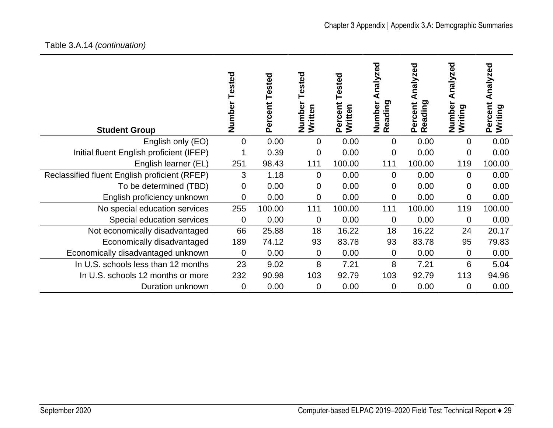#### Table 3.A.14 *(continuation)*

| <b>Student Group</b>                          | Tested<br>Number | Tested<br>Percent | ested<br>Number<br>Written | ested<br>Percent<br>Written | ਠ<br>Ō<br>Ñ<br>naly<br>₫<br>eading<br>Number<br>$\tilde{\mathbf{r}}$ | nalyzed<br>eading<br>Percent<br>œ | Analyzed<br>Number<br>Writing | Analyzed<br>Percent<br>Writing |
|-----------------------------------------------|------------------|-------------------|----------------------------|-----------------------------|----------------------------------------------------------------------|-----------------------------------|-------------------------------|--------------------------------|
| English only (EO)                             | 0                | 0.00              | 0                          | 0.00                        | 0                                                                    | 0.00                              | $\Omega$                      | 0.00                           |
| Initial fluent English proficient (IFEP)      |                  | 0.39              | 0                          | 0.00                        | $\mathbf 0$                                                          | 0.00                              | 0                             | 0.00                           |
| English learner (EL)                          | 251              | 98.43             | 111                        | 100.00                      | 111                                                                  | 100.00                            | 119                           | 100.00                         |
| Reclassified fluent English proficient (RFEP) | 3                | 1.18              | 0                          | 0.00                        | $\Omega$                                                             | 0.00                              | $\Omega$                      | 0.00                           |
| To be determined (TBD)                        | 0                | 0.00              | 0                          | 0.00                        | 0                                                                    | 0.00                              | $\Omega$                      | 0.00                           |
| English proficiency unknown                   | 0                | 0.00              | 0                          | 0.00                        | $\overline{0}$                                                       | 0.00                              | $\overline{0}$                | 0.00                           |
| No special education services                 | 255              | 100.00            | 111                        | 100.00                      | 111                                                                  | 100.00                            | 119                           | 100.00                         |
| Special education services                    | $\mathbf 0$      | 0.00              | 0                          | 0.00                        | $\mathbf 0$                                                          | 0.00                              | $\overline{0}$                | 0.00                           |
| Not economically disadvantaged                | 66               | 25.88             | 18                         | 16.22                       | 18                                                                   | 16.22                             | 24                            | 20.17                          |
| Economically disadvantaged                    | 189              | 74.12             | 93                         | 83.78                       | 93                                                                   | 83.78                             | 95                            | 79.83                          |
| Economically disadvantaged unknown            | 0                | 0.00              | 0                          | 0.00                        | $\mathbf{0}$                                                         | 0.00                              | $\overline{0}$                | 0.00                           |
| In U.S. schools less than 12 months           | 23               | 9.02              | 8                          | 7.21                        | 8                                                                    | 7.21                              | 6                             | 5.04                           |
| In U.S. schools 12 months or more             | 232              | 90.98             | 103                        | 92.79                       | 103                                                                  | 92.79                             | 113                           | 94.96                          |
| Duration unknown                              | 0                | 0.00              | 0                          | 0.00                        | $\mathbf 0$                                                          | 0.00                              | 0                             | 0.00                           |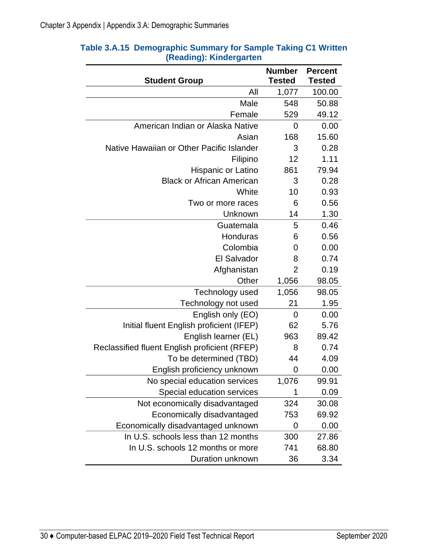| <b>Student Group</b>                          | <b>Number</b><br><b>Tested</b> | <b>Percent</b><br><b>Tested</b> |
|-----------------------------------------------|--------------------------------|---------------------------------|
| All                                           | 1,077                          | 100.00                          |
| Male                                          | 548                            | 50.88                           |
| Female                                        | 529                            | 49.12                           |
| American Indian or Alaska Native              | 0                              | 0.00                            |
| Asian                                         | 168                            | 15.60                           |
| Native Hawaiian or Other Pacific Islander     | 3                              | 0.28                            |
| Filipino                                      | 12                             | 1.11                            |
| Hispanic or Latino                            | 861                            | 79.94                           |
| <b>Black or African American</b>              | 3                              | 0.28                            |
| White                                         | 10                             | 0.93                            |
| Two or more races                             | 6                              | 0.56                            |
| Unknown                                       | 14                             | 1.30                            |
| Guatemala                                     | 5                              | 0.46                            |
| Honduras                                      | 6                              | 0.56                            |
| Colombia                                      | 0                              | 0.00                            |
| <b>El Salvador</b>                            | 8                              | 0.74                            |
| Afghanistan                                   | $\overline{2}$                 | 0.19                            |
| Other                                         | 1,056                          | 98.05                           |
| Technology used                               | 1,056                          | 98.05                           |
| Technology not used                           | 21                             | 1.95                            |
| English only (EO)                             | $\mathbf 0$                    | 0.00                            |
| Initial fluent English proficient (IFEP)      | 62                             | 5.76                            |
| English learner (EL)                          | 963                            | 89.42                           |
| Reclassified fluent English proficient (RFEP) | 8                              | 0.74                            |
| To be determined (TBD)                        | 44                             | 4.09                            |
| English proficiency unknown                   | 0                              | 0.00                            |
| No special education services                 | 1,076                          | 99.91                           |
| Special education services                    |                                | 0.09                            |
| Not economically disadvantaged                | 324                            | 30.08                           |
| Economically disadvantaged                    | 753                            | 69.92                           |
| Economically disadvantaged unknown            | 0                              | 0.00                            |
| In U.S. schools less than 12 months           | 300                            | 27.86                           |
| In U.S. schools 12 months or more             | 741                            | 68.80                           |
| Duration unknown                              | 36                             | 3.34                            |

#### <span id="page-33-0"></span>**Table 3.A.15 Demographic Summary for Sample Taking C1 Written (Reading): Kindergarten**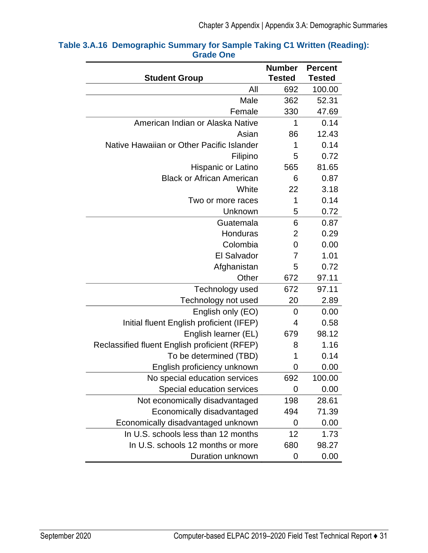| <b>Student Group</b>                          | <b>Number</b><br><b>Tested</b> | <b>Percent</b><br><b>Tested</b> |
|-----------------------------------------------|--------------------------------|---------------------------------|
| All                                           | 692                            | 100.00                          |
| Male                                          | 362                            | 52.31                           |
| Female                                        | 330                            | 47.69                           |
| American Indian or Alaska Native              | 1                              | 0.14                            |
| Asian                                         | 86                             | 12.43                           |
| Native Hawaiian or Other Pacific Islander     | 1                              | 0.14                            |
| Filipino                                      | 5                              | 0.72                            |
| Hispanic or Latino                            | 565                            | 81.65                           |
| <b>Black or African American</b>              | 6                              | 0.87                            |
| White                                         | 22                             | 3.18                            |
| Two or more races                             | 1                              | 0.14                            |
| Unknown                                       | 5                              | 0.72                            |
| Guatemala                                     | 6                              | 0.87                            |
| Honduras                                      | $\overline{2}$                 | 0.29                            |
| Colombia                                      | 0                              | 0.00                            |
| <b>El Salvador</b>                            | 7                              | 1.01                            |
| Afghanistan                                   | 5                              | 0.72                            |
| Other                                         | 672                            | 97.11                           |
| Technology used                               | 672                            | 97.11                           |
| Technology not used                           | 20                             | 2.89                            |
| English only (EO)                             | 0                              | 0.00                            |
| Initial fluent English proficient (IFEP)      | 4                              | 0.58                            |
| English learner (EL)                          | 679                            | 98.12                           |
| Reclassified fluent English proficient (RFEP) | 8                              | 1.16                            |
| To be determined (TBD)                        | 1                              | 0.14                            |
| English proficiency unknown                   | 0                              | 0.00                            |
| No special education services                 | 692                            | 100.00                          |
| Special education services                    | 0                              | 0.00                            |
| Not economically disadvantaged                | 198                            | 28.61                           |
| Economically disadvantaged                    | 494                            | 71.39                           |
| Economically disadvantaged unknown            | 0                              | 0.00                            |
| In U.S. schools less than 12 months           | 12                             | 1.73                            |
| In U.S. schools 12 months or more             | 680                            | 98.27                           |
| Duration unknown                              | 0                              | 0.00                            |

#### <span id="page-34-0"></span>**Table 3.A.16 Demographic Summary for Sample Taking C1 Written (Reading): Grade One**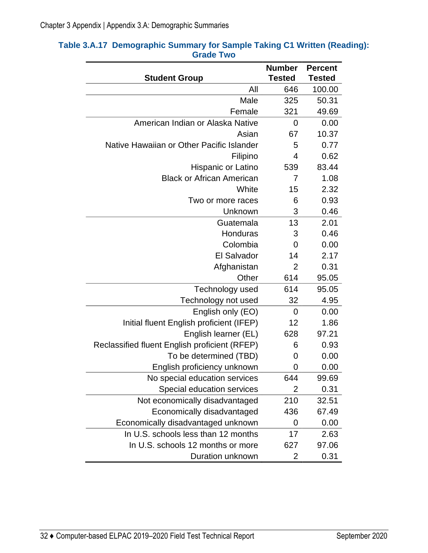| <b>Student Group</b>                          | <b>Number</b><br><b>Tested</b> | <b>Percent</b><br><b>Tested</b> |
|-----------------------------------------------|--------------------------------|---------------------------------|
| All                                           | 646                            | 100.00                          |
| Male                                          | 325                            | 50.31                           |
| Female                                        | 321                            | 49.69                           |
| American Indian or Alaska Native              | 0                              | 0.00                            |
| Asian                                         | 67                             | 10.37                           |
| Native Hawaiian or Other Pacific Islander     | 5                              | 0.77                            |
| Filipino                                      | 4                              | 0.62                            |
| Hispanic or Latino                            | 539                            | 83.44                           |
| <b>Black or African American</b>              | 7                              | 1.08                            |
| White                                         | 15                             | 2.32                            |
| Two or more races                             | 6                              | 0.93                            |
| Unknown                                       | 3                              | 0.46                            |
| Guatemala                                     | 13                             | 2.01                            |
| Honduras                                      | 3                              | 0.46                            |
| Colombia                                      | 0                              | 0.00                            |
| <b>El Salvador</b>                            | 14                             | 2.17                            |
| Afghanistan                                   | 2                              | 0.31                            |
| Other                                         | 614                            | 95.05                           |
| Technology used                               | 614                            | 95.05                           |
| Technology not used                           | 32                             | 4.95                            |
| English only (EO)                             | 0                              | 0.00                            |
| Initial fluent English proficient (IFEP)      | 12                             | 1.86                            |
| English learner (EL)                          | 628                            | 97.21                           |
| Reclassified fluent English proficient (RFEP) | 6                              | 0.93                            |
| To be determined (TBD)                        | 0                              | 0.00                            |
| English proficiency unknown                   | 0                              | 0.00                            |
| No special education services                 | 644                            | 99.69                           |
| Special education services                    | 2                              | 0.31                            |
| Not economically disadvantaged                | 210                            | 32.51                           |
| Economically disadvantaged                    | 436                            | 67.49                           |
| Economically disadvantaged unknown            | 0                              | 0.00                            |
| In U.S. schools less than 12 months           | 17                             | 2.63                            |
| In U.S. schools 12 months or more             | 627                            | 97.06                           |
| Duration unknown                              | 2                              | 0.31                            |

#### <span id="page-35-0"></span>**Table 3.A.17 Demographic Summary for Sample Taking C1 Written (Reading): Grade Two**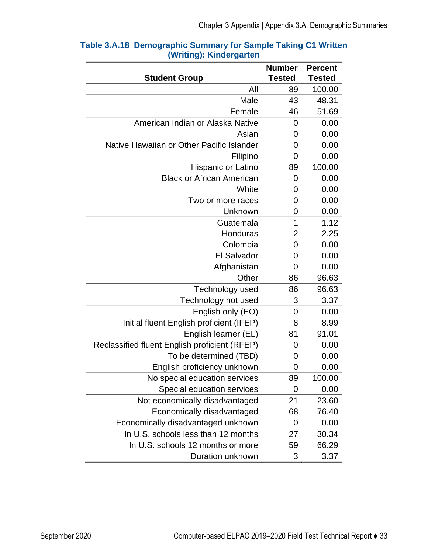| <b>Student Group</b>                          | <b>Number</b><br><b>Tested</b> | <b>Percent</b><br><b>Tested</b> |
|-----------------------------------------------|--------------------------------|---------------------------------|
| All                                           | 89                             | 100.00                          |
| Male                                          | 43                             | 48.31                           |
| Female                                        | 46                             | 51.69                           |
| American Indian or Alaska Native              | 0                              | 0.00                            |
| Asian                                         | 0                              | 0.00                            |
| Native Hawaiian or Other Pacific Islander     | 0                              | 0.00                            |
| Filipino                                      | 0                              | 0.00                            |
| Hispanic or Latino                            | 89                             | 100.00                          |
| <b>Black or African American</b>              | 0                              | 0.00                            |
| White                                         | 0                              | 0.00                            |
| Two or more races                             | 0                              | 0.00                            |
| Unknown                                       | 0                              | 0.00                            |
| Guatemala                                     | 1                              | 1.12                            |
| Honduras                                      | $\overline{2}$                 | 2.25                            |
| Colombia                                      | 0                              | 0.00                            |
| El Salvador                                   | 0                              | 0.00                            |
| Afghanistan                                   | 0                              | 0.00                            |
| Other                                         | 86                             | 96.63                           |
| Technology used                               | 86                             | 96.63                           |
| Technology not used                           | 3                              | 3.37                            |
| English only (EO)                             | $\overline{0}$                 | 0.00                            |
| Initial fluent English proficient (IFEP)      | 8                              | 8.99                            |
| English learner (EL)                          | 81                             | 91.01                           |
| Reclassified fluent English proficient (RFEP) | 0                              | 0.00                            |
| To be determined (TBD)                        | 0                              | 0.00                            |
| English proficiency unknown                   | 0                              | 0.00                            |
| No special education services                 | 89                             | 100.00                          |
| Special education services                    | 0                              | 0.00                            |
| Not economically disadvantaged                | 21                             | 23.60                           |
| Economically disadvantaged                    | 68                             | 76.40                           |
| Economically disadvantaged unknown            | 0                              | 0.00                            |
| In U.S. schools less than 12 months           | 27                             | 30.34                           |
| In U.S. schools 12 months or more             | 59                             | 66.29                           |
| Duration unknown                              | 3                              | 3.37                            |

#### **Table 3.A.18 Demographic Summary for Sample Taking C1 Written (Writing): Kindergarten**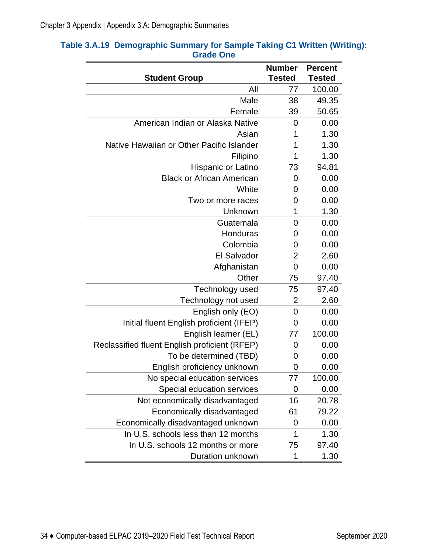| <b>Student Group</b>                          | <b>Number</b><br><b>Tested</b> | <b>Percent</b><br><b>Tested</b> |
|-----------------------------------------------|--------------------------------|---------------------------------|
| All                                           | 77                             | 100.00                          |
| Male                                          | 38                             | 49.35                           |
| Female                                        | 39                             | 50.65                           |
| American Indian or Alaska Native              | 0                              | 0.00                            |
| Asian                                         | 1                              | 1.30                            |
| Native Hawaiian or Other Pacific Islander     | 1                              | 1.30                            |
| Filipino                                      | 1                              | 1.30                            |
| Hispanic or Latino                            | 73                             | 94.81                           |
| <b>Black or African American</b>              | 0                              | 0.00                            |
| White                                         | 0                              | 0.00                            |
| Two or more races                             | 0                              | 0.00                            |
| Unknown                                       | 1                              | 1.30                            |
| Guatemala                                     | 0                              | 0.00                            |
| Honduras                                      | 0                              | 0.00                            |
| Colombia                                      | 0                              | 0.00                            |
| <b>El Salvador</b>                            | 2                              | 2.60                            |
| Afghanistan                                   | 0                              | 0.00                            |
| Other                                         | 75                             | 97.40                           |
| Technology used                               | 75                             | 97.40                           |
| Technology not used                           | 2                              | 2.60                            |
| English only (EO)                             | $\overline{0}$                 | 0.00                            |
| Initial fluent English proficient (IFEP)      | 0                              | 0.00                            |
| English learner (EL)                          | 77                             | 100.00                          |
| Reclassified fluent English proficient (RFEP) | 0                              | 0.00                            |
| To be determined (TBD)                        | 0                              | 0.00                            |
| English proficiency unknown                   | 0                              | 0.00                            |
| No special education services                 | 77                             | 100.00                          |
| Special education services                    | 0                              | 0.00                            |
| Not economically disadvantaged                | 16                             | 20.78                           |
| Economically disadvantaged                    | 61                             | 79.22                           |
| Economically disadvantaged unknown            | 0                              | 0.00                            |
| In U.S. schools less than 12 months           | 1                              | 1.30                            |
| In U.S. schools 12 months or more             | 75                             | 97.40                           |
| Duration unknown                              | 1                              | 1.30                            |

#### **Table 3.A.19 Demographic Summary for Sample Taking C1 Written (Writing): Grade One**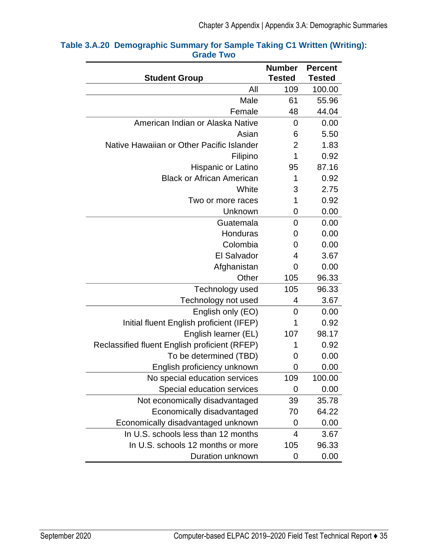| <b>Student Group</b>                          | <b>Number</b><br><b>Tested</b> | <b>Percent</b><br><b>Tested</b> |
|-----------------------------------------------|--------------------------------|---------------------------------|
| All                                           | 109                            | 100.00                          |
| Male                                          | 61                             | 55.96                           |
| Female                                        | 48                             | 44.04                           |
| American Indian or Alaska Native              | 0                              | 0.00                            |
| Asian                                         | 6                              | 5.50                            |
| Native Hawaiian or Other Pacific Islander     | $\overline{2}$                 | 1.83                            |
| Filipino                                      | 1                              | 0.92                            |
| Hispanic or Latino                            | 95                             | 87.16                           |
| <b>Black or African American</b>              | 1                              | 0.92                            |
| White                                         | 3                              | 2.75                            |
| Two or more races                             | 1                              | 0.92                            |
| Unknown                                       | 0                              | 0.00                            |
| Guatemala                                     | 0                              | 0.00                            |
| Honduras                                      | 0                              | 0.00                            |
| Colombia                                      | 0                              | 0.00                            |
| <b>El Salvador</b>                            | 4                              | 3.67                            |
| Afghanistan                                   | 0                              | 0.00                            |
| Other                                         | 105                            | 96.33                           |
| Technology used                               | 105                            | 96.33                           |
| Technology not used                           | 4                              | 3.67                            |
| English only (EO)                             | $\overline{0}$                 | 0.00                            |
| Initial fluent English proficient (IFEP)      | 1                              | 0.92                            |
| English learner (EL)                          | 107                            | 98.17                           |
| Reclassified fluent English proficient (RFEP) | 1                              | 0.92                            |
| To be determined (TBD)                        | 0                              | 0.00                            |
| English proficiency unknown                   | 0                              | 0.00                            |
| No special education services                 | 109                            | 100.00                          |
| Special education services                    | 0                              | 0.00                            |
| Not economically disadvantaged                | 39                             | 35.78                           |
| Economically disadvantaged                    | 70                             | 64.22                           |
| Economically disadvantaged unknown            | 0                              | 0.00                            |
| In U.S. schools less than 12 months           | 4                              | 3.67                            |
| In U.S. schools 12 months or more             | 105                            | 96.33                           |
| Duration unknown                              | 0                              | 0.00                            |

#### **Table 3.A.20 Demographic Summary for Sample Taking C1 Written (Writing): Grade Two**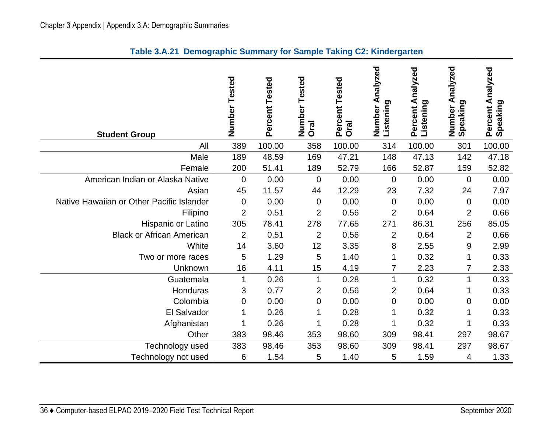| <b>Student Group</b>                      | Number Tested  | Percent Tested | Number Tested<br>Oral | Percent Tested<br>Oral | Number Analyzed<br>Listening | Percent Analyzed<br>Listening | Number Analyzed<br>Speaking | Percent Analyzed<br>Speaking |
|-------------------------------------------|----------------|----------------|-----------------------|------------------------|------------------------------|-------------------------------|-----------------------------|------------------------------|
| All                                       | 389            | 100.00         | 358                   | 100.00                 | 314                          | 100.00                        | 301                         | 100.00                       |
| Male                                      | 189            | 48.59          | 169                   | 47.21                  | 148                          | 47.13                         | 142                         | 47.18                        |
| Female                                    | 200            | 51.41          | 189                   | 52.79                  | 166                          | 52.87                         | 159                         | 52.82                        |
| American Indian or Alaska Native          | $\mathbf 0$    | 0.00           | $\mathbf 0$           | 0.00                   | 0                            | 0.00                          | $\boldsymbol{0}$            | 0.00                         |
| Asian                                     | 45             | 11.57          | 44                    | 12.29                  | 23                           | 7.32                          | 24                          | 7.97                         |
| Native Hawaiian or Other Pacific Islander | $\mathbf 0$    | 0.00           | $\mathbf 0$           | 0.00                   | 0                            | 0.00                          | $\mathbf 0$                 | 0.00                         |
| Filipino                                  | $\overline{2}$ | 0.51           | $\overline{2}$        | 0.56                   | $\overline{2}$               | 0.64                          | $\overline{2}$              | 0.66                         |
| Hispanic or Latino                        | 305            | 78.41          | 278                   | 77.65                  | 271                          | 86.31                         | 256                         | 85.05                        |
| <b>Black or African American</b>          | $\overline{2}$ | 0.51           | $\overline{2}$        | 0.56                   | $\overline{2}$               | 0.64                          | $\overline{2}$              | 0.66                         |
| White                                     | 14             | 3.60           | 12                    | 3.35                   | 8                            | 2.55                          | $9$                         | 2.99                         |
| Two or more races                         | 5              | 1.29           | 5                     | 1.40                   | 1                            | 0.32                          | $\mathbf{1}$                | 0.33                         |
| Unknown                                   | 16             | 4.11           | 15                    | 4.19                   | 7                            | 2.23                          | 7                           | 2.33                         |
| Guatemala                                 | 1              | 0.26           | $\mathbf 1$           | 0.28                   | $\mathbf{1}$                 | 0.32                          | $\mathbf{1}$                | 0.33                         |
| Honduras                                  | 3              | 0.77           | $\overline{2}$        | 0.56                   | $\overline{2}$               | 0.64                          | 1                           | 0.33                         |
| Colombia                                  | 0              | 0.00           | 0                     | 0.00                   | 0                            | 0.00                          | 0                           | 0.00                         |
| El Salvador                               |                | 0.26           | 1                     | 0.28                   | 1                            | 0.32                          | 1                           | 0.33                         |
| Afghanistan                               |                | 0.26           | 1                     | 0.28                   | 1                            | 0.32                          | 1                           | 0.33                         |
| Other                                     | 383            | 98.46          | 353                   | 98.60                  | 309                          | 98.41                         | 297                         | 98.67                        |
| Technology used                           | 383            | 98.46          | 353                   | 98.60                  | 309                          | 98.41                         | 297                         | 98.67                        |
| Technology not used                       | 6              | 1.54           | 5                     | 1.40                   | 5                            | 1.59                          | 4                           | 1.33                         |

#### **Table 3.A.21 Demographic Summary for Sample Taking C2: Kindergarten**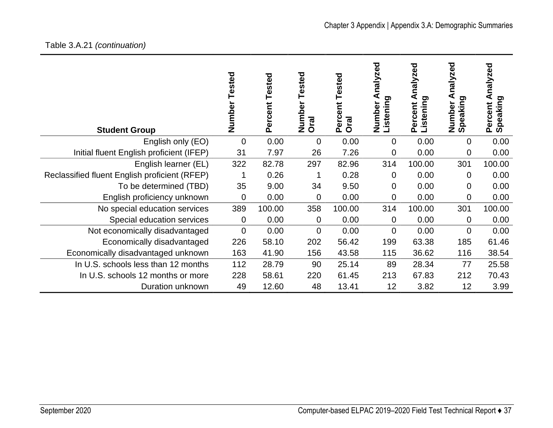#### Table 3.

| Table 3.A.21 (continuation)                   |                  |                   |                          |                                |                                    |                                     |                                 |                                       |
|-----------------------------------------------|------------------|-------------------|--------------------------|--------------------------------|------------------------------------|-------------------------------------|---------------------------------|---------------------------------------|
| <b>Student Group</b>                          | Tested<br>Number | Tested<br>Percent | Tested<br>Number<br>Oral | Tested<br>ent<br>Perce<br>Oral | ಕ್ಷ<br>naly<br>Listening<br>Number | nalyzed<br>⋖<br>istening<br>Percent | nalyzed<br>Number A<br>Speaking | nalyzed<br>⋖<br>Percent A<br>Speaking |
| English only (EO)                             | 0                | 0.00              | $\overline{0}$           | 0.00                           | 0                                  | 0.00                                | 0                               | 0.00                                  |
| Initial fluent English proficient (IFEP)      | 31               | 7.97              | 26                       | 7.26                           | 0                                  | 0.00                                | 0                               | 0.00                                  |
| English learner (EL)                          | 322              | 82.78             | 297                      | 82.96                          | 314                                | 100.00                              | 301                             | 100.00                                |
| Reclassified fluent English proficient (RFEP) |                  | 0.26              |                          | 0.28                           | 0                                  | 0.00                                | 0                               | 0.00                                  |
| To be determined (TBD)                        | 35               | 9.00              | 34                       | 9.50                           | 0                                  | 0.00                                | 0                               | 0.00                                  |
| English proficiency unknown                   | 0                | 0.00              | 0                        | 0.00                           | 0                                  | 0.00                                | 0                               | 0.00                                  |
| No special education services                 | 389              | 100.00            | 358                      | 100.00                         | 314                                | 100.00                              | 301                             | 100.00                                |
| Special education services                    | 0                | 0.00              | 0                        | 0.00                           | 0                                  | 0.00                                | 0                               | 0.00                                  |
| Not economically disadvantaged                | $\overline{0}$   | 0.00              | $\overline{0}$           | 0.00                           | $\overline{0}$                     | 0.00                                | 0                               | 0.00                                  |
| Economically disadvantaged                    | 226              | 58.10             | 202                      | 56.42                          | 199                                | 63.38                               | 185                             | 61.46                                 |
| Economically disadvantaged unknown            | 163              | 41.90             | 156                      | 43.58                          | 115                                | 36.62                               | 116                             | 38.54                                 |
| In U.S. schools less than 12 months           | 112              | 28.79             | 90                       | 25.14                          | 89                                 | 28.34                               | 77                              | 25.58                                 |

In U.S. schools 12 months or more 228 58.61 220 61.45 213 67.83 212 70.43

Duration unknown 49 12.60 48 13.41 12 3.82 12 3.99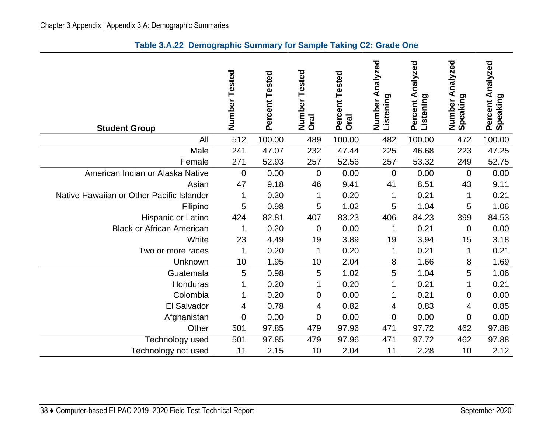| <b>Student Group</b>                      | Number<br>Tested | Percent Tested | Tested<br>Number<br>Oral | Percent Tested<br><b>Oral</b> | Analyzed<br>Listening<br>Number | Percent Analyzed<br>Listening | Analyzed<br>Number A<br>Speaking | Percent Analyzed<br>Speaking |
|-------------------------------------------|------------------|----------------|--------------------------|-------------------------------|---------------------------------|-------------------------------|----------------------------------|------------------------------|
| All                                       | 512              | 100.00         | 489                      | 100.00                        | 482                             | 100.00                        | 472                              | 100.00                       |
| Male                                      | 241              | 47.07          | 232                      | 47.44                         | 225                             | 46.68                         | 223                              | 47.25                        |
| Female                                    | 271              | 52.93          | 257                      | 52.56                         | 257                             | 53.32                         | 249                              | 52.75                        |
| American Indian or Alaska Native          | $\overline{0}$   | 0.00           | 0                        | 0.00                          | $\overline{0}$                  | 0.00                          | $\Omega$                         | 0.00                         |
| Asian                                     | 47               | 9.18           | 46                       | 9.41                          | 41                              | 8.51                          | 43                               | 9.11                         |
| Native Hawaiian or Other Pacific Islander | 1                | 0.20           | 1                        | 0.20                          | 1                               | 0.21                          | 1                                | 0.21                         |
| Filipino                                  | 5                | 0.98           | 5                        | 1.02                          | 5                               | 1.04                          | 5                                | 1.06                         |
| Hispanic or Latino                        | 424              | 82.81          | 407                      | 83.23                         | 406                             | 84.23                         | 399                              | 84.53                        |
| <b>Black or African American</b>          | 1                | 0.20           | 0                        | 0.00                          | 1                               | 0.21                          | $\overline{0}$                   | 0.00                         |
| White                                     | 23               | 4.49           | 19                       | 3.89                          | 19                              | 3.94                          | 15                               | 3.18                         |
| Two or more races                         | 1                | 0.20           | 1                        | 0.20                          | 1                               | 0.21                          | 1                                | 0.21                         |
| Unknown                                   | 10               | 1.95           | 10                       | 2.04                          | 8                               | 1.66                          | 8                                | 1.69                         |
| Guatemala                                 | 5                | 0.98           | 5                        | 1.02                          | 5                               | 1.04                          | 5                                | 1.06                         |
| Honduras                                  | 1                | 0.20           | 1                        | 0.20                          |                                 | 0.21                          | 1                                | 0.21                         |
| Colombia                                  | 1                | 0.20           | 0                        | 0.00                          |                                 | 0.21                          | 0                                | 0.00                         |
| El Salvador                               | 4                | 0.78           | 4                        | 0.82                          | 4                               | 0.83                          | 4                                | 0.85                         |
| Afghanistan                               | $\overline{0}$   | 0.00           | $\mathbf 0$              | 0.00                          | $\overline{0}$                  | 0.00                          | $\overline{0}$                   | 0.00                         |
| Other                                     | 501              | 97.85          | 479                      | 97.96                         | 471                             | 97.72                         | 462                              | 97.88                        |
| Technology used                           | 501              | 97.85          | 479                      | 97.96                         | 471                             | 97.72                         | 462                              | 97.88                        |
| Technology not used                       | 11               | 2.15           | 10                       | 2.04                          | 11                              | 2.28                          | 10                               | 2.12                         |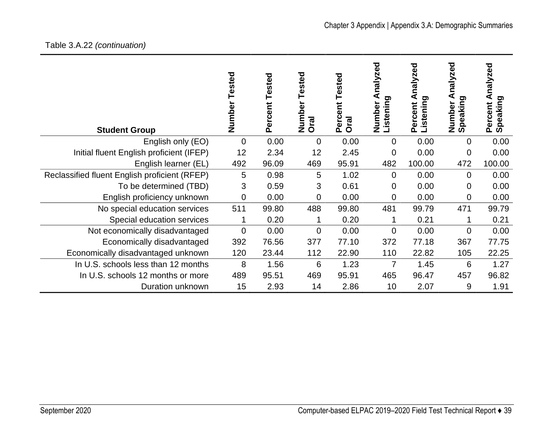| <b>Student Group</b>                          | Tested<br>Number | Tested<br>Percent | ested<br>⊢<br>Numbe<br><b>Oral</b> | Tested<br>ent<br>Perce<br><b>Oral</b> | nalyzed<br>Listening<br>Number | zed<br>naly:<br>ರಾ<br>istenin<br>Percent | nalyzed<br>peaking<br>Number<br>ທ | nalyzed<br>ರಾ<br>Speaking<br>Percent |
|-----------------------------------------------|------------------|-------------------|------------------------------------|---------------------------------------|--------------------------------|------------------------------------------|-----------------------------------|--------------------------------------|
| English only (EO)                             | 0                | 0.00              | $\overline{0}$                     | 0.00                                  | 0                              | 0.00                                     | $\overline{0}$                    | 0.00                                 |
| Initial fluent English proficient (IFEP)      | 12               | 2.34              | 12                                 | 2.45                                  | $\mathbf 0$                    | 0.00                                     | $\mathbf 0$                       | 0.00                                 |
| English learner (EL)                          | 492              | 96.09             | 469                                | 95.91                                 | 482                            | 100.00                                   | 472                               | 100.00                               |
| Reclassified fluent English proficient (RFEP) | 5                | 0.98              | 5                                  | 1.02                                  | $\Omega$                       | 0.00                                     | $\Omega$                          | 0.00                                 |
| To be determined (TBD)                        | 3                | 0.59              | 3                                  | 0.61                                  | 0                              | 0.00                                     | 0                                 | 0.00                                 |
| English proficiency unknown                   | 0                | 0.00              | 0                                  | 0.00                                  | 0                              | 0.00                                     | $\overline{0}$                    | 0.00                                 |
| No special education services                 | 511              | 99.80             | 488                                | 99.80                                 | 481                            | 99.79                                    | 471                               | 99.79                                |
| Special education services                    |                  | 0.20              |                                    | 0.20                                  |                                | 0.21                                     |                                   | 0.21                                 |
| Not economically disadvantaged                | 0                | 0.00              | 0                                  | 0.00                                  | $\Omega$                       | 0.00                                     | $\overline{0}$                    | 0.00                                 |
| Economically disadvantaged                    | 392              | 76.56             | 377                                | 77.10                                 | 372                            | 77.18                                    | 367                               | 77.75                                |
| Economically disadvantaged unknown            | 120              | 23.44             | 112                                | 22.90                                 | 110                            | 22.82                                    | 105                               | 22.25                                |
| In U.S. schools less than 12 months           | 8                | 1.56              | 6                                  | 1.23                                  | $\overline{7}$                 | 1.45                                     | 6                                 | 1.27                                 |
| In U.S. schools 12 months or more             | 489              | 95.51             | 469                                | 95.91                                 | 465                            | 96.47                                    | 457                               | 96.82                                |
| Duration unknown                              | 15               | 2.93              | 14                                 | 2.86                                  | 10                             | 2.07                                     | 9                                 | 1.91                                 |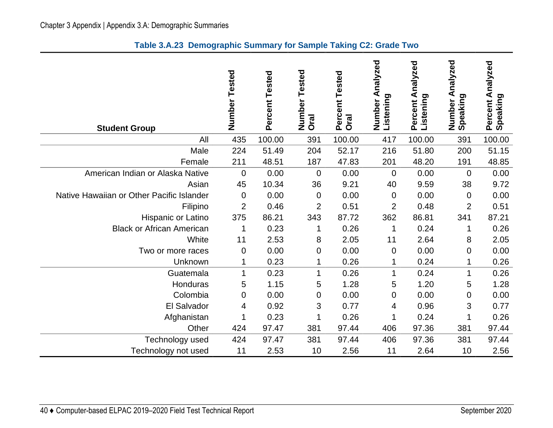|  | Table 3.A.23 Demographic Summary for Sample Taking C2: Grade Two |  |  |
|--|------------------------------------------------------------------|--|--|
|--|------------------------------------------------------------------|--|--|

| <b>Student Group</b>                      | Number Tested  | Percent Tested | Number Tested<br>Oral | Percent Tested<br><b>Oral</b> | Number Analyzed<br>Listening | Percent Analyzed<br>Listening | Analyzed<br>Number A<br>Speaking | Percent Analyzed<br>Speaking |
|-------------------------------------------|----------------|----------------|-----------------------|-------------------------------|------------------------------|-------------------------------|----------------------------------|------------------------------|
| All                                       | 435            | 100.00         | 391                   | 100.00                        | 417                          | 100.00                        | 391                              | 100.00                       |
| Male                                      | 224            | 51.49          | 204                   | 52.17                         | 216                          | 51.80                         | 200                              | 51.15                        |
| Female                                    | 211            | 48.51          | 187                   | 47.83                         | 201                          | 48.20                         | 191                              | 48.85                        |
| American Indian or Alaska Native          | $\mathbf 0$    | 0.00           | $\mathbf 0$           | 0.00                          | $\mathbf 0$                  | 0.00                          | $\overline{0}$                   | 0.00                         |
| Asian                                     | 45             | 10.34          | 36                    | 9.21                          | 40                           | 9.59                          | 38                               | 9.72                         |
| Native Hawaiian or Other Pacific Islander | $\pmb{0}$      | 0.00           | $\pmb{0}$             | 0.00                          | $\mathbf 0$                  | 0.00                          | $\mathbf 0$                      | 0.00                         |
| Filipino                                  | $\overline{2}$ | 0.46           | $\overline{2}$        | 0.51                          | $\overline{2}$               | 0.48                          | $\overline{2}$                   | 0.51                         |
| Hispanic or Latino                        | 375            | 86.21          | 343                   | 87.72                         | 362                          | 86.81                         | 341                              | 87.21                        |
| <b>Black or African American</b>          | 1              | 0.23           | 1                     | 0.26                          | 1                            | 0.24                          | 1                                | 0.26                         |
| White                                     | 11             | 2.53           | 8                     | 2.05                          | 11                           | 2.64                          | 8                                | 2.05                         |
| Two or more races                         | $\mathbf 0$    | 0.00           | 0                     | 0.00                          | $\mathbf 0$                  | 0.00                          | $\mathbf 0$                      | 0.00                         |
| Unknown                                   | 1              | 0.23           | 1                     | 0.26                          | 1                            | 0.24                          |                                  | 0.26                         |
| Guatemala                                 | 1              | 0.23           | 1                     | 0.26                          | 1                            | 0.24                          | 1                                | 0.26                         |
| Honduras                                  | 5              | 1.15           | 5                     | 1.28                          | 5                            | 1.20                          | 5                                | 1.28                         |
| Colombia                                  | 0              | 0.00           | 0                     | 0.00                          | 0                            | 0.00                          | 0                                | 0.00                         |
| El Salvador                               | 4              | 0.92           | 3                     | 0.77                          | 4                            | 0.96                          | 3                                | 0.77                         |
| Afghanistan                               |                | 0.23           | 1                     | 0.26                          |                              | 0.24                          |                                  | 0.26                         |
| Other                                     | 424            | 97.47          | 381                   | 97.44                         | 406                          | 97.36                         | 381                              | 97.44                        |
| Technology used                           | 424            | 97.47          | 381                   | 97.44                         | 406                          | 97.36                         | 381                              | 97.44                        |
| Technology not used                       | 11             | 2.53           | 10                    | 2.56                          | 11                           | 2.64                          | 10                               | 2.56                         |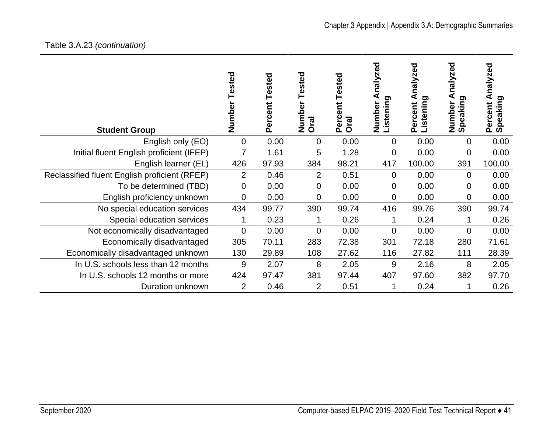# Table 3.A.23 *(continuation)*

| <b>Student Group</b>                          | Tested<br>Number | Tested<br>Percent | ested<br>⊢<br>Number<br><b>Oral</b> | Tested<br>ent<br>Perce<br><b>Oral</b> | nalyzed<br><b>Listening</b><br>Number | zed<br>naly:<br>ರಾ<br>istenin<br>Percent | nalyzed<br>ರಾ<br>Number<br>Speaking | nalyzed<br>ರಾ<br>Speaking<br>Percent |
|-----------------------------------------------|------------------|-------------------|-------------------------------------|---------------------------------------|---------------------------------------|------------------------------------------|-------------------------------------|--------------------------------------|
| English only (EO)                             | 0                | 0.00              | 0                                   | 0.00                                  | $\Omega$                              | 0.00                                     | $\overline{0}$                      | 0.00                                 |
| Initial fluent English proficient (IFEP)      | $\overline{7}$   | 1.61              | 5                                   | 1.28                                  | $\Omega$                              | 0.00                                     | $\mathbf 0$                         | 0.00                                 |
| English learner (EL)                          | 426              | 97.93             | 384                                 | 98.21                                 | 417                                   | 100.00                                   | 391                                 | 100.00                               |
| Reclassified fluent English proficient (RFEP) | $\overline{2}$   | 0.46              | $\overline{2}$                      | 0.51                                  | $\Omega$                              | 0.00                                     | $\Omega$                            | 0.00                                 |
| To be determined (TBD)                        | 0                | 0.00              | 0                                   | 0.00                                  | 0                                     | 0.00                                     | 0                                   | 0.00                                 |
| English proficiency unknown                   | 0                | 0.00              | 0                                   | 0.00                                  | $\Omega$                              | 0.00                                     | $\overline{0}$                      | 0.00                                 |
| No special education services                 | 434              | 99.77             | 390                                 | 99.74                                 | 416                                   | 99.76                                    | 390                                 | 99.74                                |
| Special education services                    |                  | 0.23              |                                     | 0.26                                  |                                       | 0.24                                     |                                     | 0.26                                 |
| Not economically disadvantaged                | $\overline{0}$   | 0.00              | 0                                   | 0.00                                  | $\Omega$                              | 0.00                                     | $\overline{0}$                      | 0.00                                 |
| Economically disadvantaged                    | 305              | 70.11             | 283                                 | 72.38                                 | 301                                   | 72.18                                    | 280                                 | 71.61                                |
| Economically disadvantaged unknown            | 130              | 29.89             | 108                                 | 27.62                                 | 116                                   | 27.82                                    | 111                                 | 28.39                                |
| In U.S. schools less than 12 months           | 9                | 2.07              | 8                                   | 2.05                                  | 9                                     | 2.16                                     | 8                                   | 2.05                                 |
| In U.S. schools 12 months or more             | 424              | 97.47             | 381                                 | 97.44                                 | 407                                   | 97.60                                    | 382                                 | 97.70                                |
| Duration unknown                              | 2                | 0.46              | $\overline{2}$                      | 0.51                                  |                                       | 0.24                                     |                                     | 0.26                                 |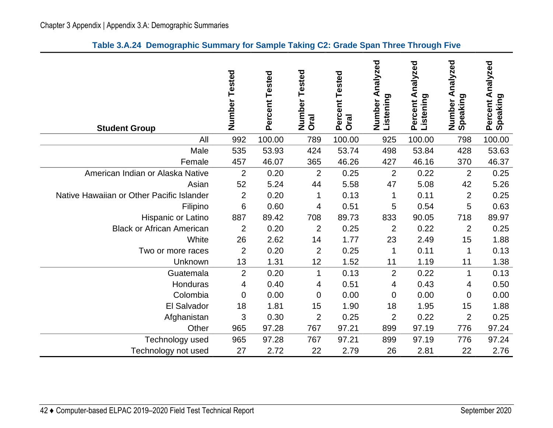|  | Table 3.A.24 Demographic Summary for Sample Taking C2: Grade Span Three Through Five |  |  |  |  |  |  |
|--|--------------------------------------------------------------------------------------|--|--|--|--|--|--|
|--|--------------------------------------------------------------------------------------|--|--|--|--|--|--|

| <b>Student Group</b>                      | Number<br>Tested | Percent Tested | Tested<br>Number<br><b>Oral</b> | Percent Tested<br><b>Oral</b> | nalyzed<br>⋖<br>Listening<br>Number | Analyzed<br>Listening<br>Percent | Analyzed<br>Number A<br>Speaking | Percent Analyzed<br>Speaking |
|-------------------------------------------|------------------|----------------|---------------------------------|-------------------------------|-------------------------------------|----------------------------------|----------------------------------|------------------------------|
| All                                       | 992              | 100.00         | 789                             | 100.00                        | 925                                 | 100.00                           | 798                              | 100.00                       |
| Male                                      | 535              | 53.93          | 424                             | 53.74                         | 498                                 | 53.84                            | 428                              | 53.63                        |
| Female                                    | 457              | 46.07          | 365                             | 46.26                         | 427                                 | 46.16                            | 370                              | 46.37                        |
| American Indian or Alaska Native          | $\overline{2}$   | 0.20           | $\overline{2}$                  | 0.25                          | $\overline{2}$                      | 0.22                             | $\overline{2}$                   | 0.25                         |
| Asian                                     | 52               | 5.24           | 44                              | 5.58                          | 47                                  | 5.08                             | 42                               | 5.26                         |
| Native Hawaiian or Other Pacific Islander | $\overline{2}$   | 0.20           | 1                               | 0.13                          | 1                                   | 0.11                             | $\overline{2}$                   | 0.25                         |
| Filipino                                  | 6                | 0.60           | 4                               | 0.51                          | 5                                   | 0.54                             | 5                                | 0.63                         |
| Hispanic or Latino                        | 887              | 89.42          | 708                             | 89.73                         | 833                                 | 90.05                            | 718                              | 89.97                        |
| <b>Black or African American</b>          | $\overline{2}$   | 0.20           | $\overline{2}$                  | 0.25                          | $\overline{2}$                      | 0.22                             | 2                                | 0.25                         |
| White                                     | 26               | 2.62           | 14                              | 1.77                          | 23                                  | 2.49                             | 15                               | 1.88                         |
| Two or more races                         | $\overline{2}$   | 0.20           | $\overline{2}$                  | 0.25                          | 1                                   | 0.11                             | 1                                | 0.13                         |
| Unknown                                   | 13               | 1.31           | 12                              | 1.52                          | 11                                  | 1.19                             | 11                               | 1.38                         |
| Guatemala                                 | $\overline{2}$   | 0.20           | $\mathbf{1}$                    | 0.13                          | $\overline{2}$                      | 0.22                             | 1                                | 0.13                         |
| Honduras                                  | 4                | 0.40           | 4                               | 0.51                          | 4                                   | 0.43                             | 4                                | 0.50                         |
| Colombia                                  | $\mathbf 0$      | 0.00           | 0                               | 0.00                          | 0                                   | 0.00                             | $\overline{0}$                   | 0.00                         |
| El Salvador                               | 18               | 1.81           | 15                              | 1.90                          | 18                                  | 1.95                             | 15                               | 1.88                         |
| Afghanistan                               | 3                | 0.30           | $\overline{2}$                  | 0.25                          | $\overline{2}$                      | 0.22                             | $\overline{2}$                   | 0.25                         |
| Other                                     | 965              | 97.28          | 767                             | 97.21                         | 899                                 | 97.19                            | 776                              | 97.24                        |
| Technology used                           | 965              | 97.28          | 767                             | 97.21                         | 899                                 | 97.19                            | 776                              | 97.24                        |
| Technology not used                       | 27               | 2.72           | 22                              | 2.79                          | 26                                  | 2.81                             | 22                               | 2.76                         |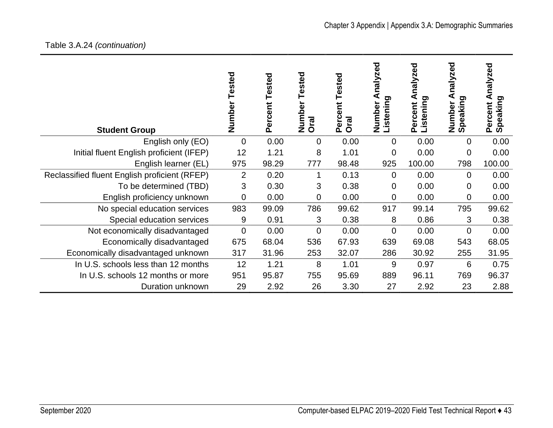| <b>Student Group</b>                          | Number Tested  | Percent Tested | Tested<br>Number<br>Oral | <b>Tested</b><br>ent<br>Perce<br>Oral | nalyzed<br><b>Listening</b><br>Number | nalyzed<br>⋖<br><b>Listening</b><br>Percent | nalyzed<br>Speaking<br>Number | nalyzed<br>∢<br>Speaking<br>Percent |
|-----------------------------------------------|----------------|----------------|--------------------------|---------------------------------------|---------------------------------------|---------------------------------------------|-------------------------------|-------------------------------------|
| English only (EO)                             | $\mathbf 0$    | 0.00           | $\mathbf 0$              | 0.00                                  | $\overline{0}$                        | 0.00                                        | 0                             | 0.00                                |
| Initial fluent English proficient (IFEP)      | 12             | 1.21           | 8                        | 1.01                                  | 0                                     | 0.00                                        | 0                             | 0.00                                |
| English learner (EL)                          | 975            | 98.29          | 777                      | 98.48                                 | 925                                   | 100.00                                      | 798                           | 100.00                              |
| Reclassified fluent English proficient (RFEP) | $\overline{2}$ | 0.20           |                          | 0.13                                  | 0                                     | 0.00                                        | 0                             | 0.00                                |
| To be determined (TBD)                        | 3              | 0.30           | 3                        | 0.38                                  | 0                                     | 0.00                                        | 0                             | 0.00                                |
| English proficiency unknown                   | 0              | 0.00           | $\overline{0}$           | 0.00                                  | 0                                     | 0.00                                        | 0                             | 0.00                                |
| No special education services                 | 983            | 99.09          | 786                      | 99.62                                 | 917                                   | 99.14                                       | 795                           | 99.62                               |
| Special education services                    | 9              | 0.91           | 3                        | 0.38                                  | 8                                     | 0.86                                        | 3                             | 0.38                                |
| Not economically disadvantaged                | $\mathbf 0$    | 0.00           | $\mathbf{0}$             | 0.00                                  | $\mathbf 0$                           | 0.00                                        | 0                             | 0.00                                |
| Economically disadvantaged                    | 675            | 68.04          | 536                      | 67.93                                 | 639                                   | 69.08                                       | 543                           | 68.05                               |
| Economically disadvantaged unknown            | 317            | 31.96          | 253                      | 32.07                                 | 286                                   | 30.92                                       | 255                           | 31.95                               |
| In U.S. schools less than 12 months           | 12             | 1.21           | 8                        | 1.01                                  | 9                                     | 0.97                                        | 6                             | 0.75                                |
| In U.S. schools 12 months or more             | 951            | 95.87          | 755                      | 95.69                                 | 889                                   | 96.11                                       | 769                           | 96.37                               |
| Duration unknown                              | 29             | 2.92           | 26                       | 3.30                                  | 27                                    | 2.92                                        | 23                            | 2.88                                |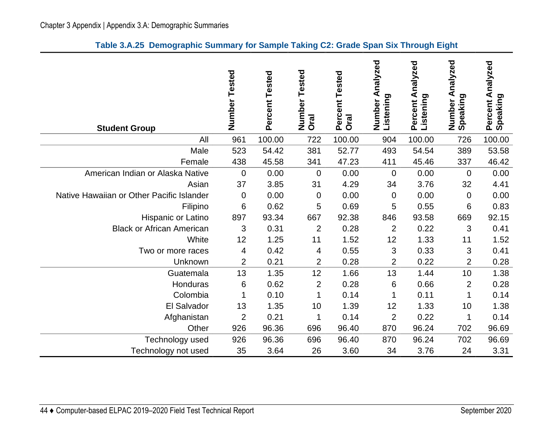| <b>Student Group</b>                      | Number<br>Tested | Percent Tested | Tested<br>Number<br><b>Oral</b> | Percent Tested<br><b>Oral</b> | nalyzed<br>⋖<br>Listening<br>Number | Percent Analyzed<br>Listening | Analyzed<br>Number A<br>Speaking | Percent Analyzed<br>Speaking |
|-------------------------------------------|------------------|----------------|---------------------------------|-------------------------------|-------------------------------------|-------------------------------|----------------------------------|------------------------------|
| All                                       | 961              | 100.00         | 722                             | 100.00                        | 904                                 | 100.00                        | 726                              | 100.00                       |
| Male                                      | 523              | 54.42          | 381                             | 52.77                         | 493                                 | 54.54                         | 389                              | 53.58                        |
| Female                                    | 438              | 45.58          | 341                             | 47.23                         | 411                                 | 45.46                         | 337                              | 46.42                        |
| American Indian or Alaska Native          | 0                | 0.00           | $\mathbf 0$                     | 0.00                          | $\mathbf 0$                         | 0.00                          | $\overline{0}$                   | 0.00                         |
| Asian                                     | 37               | 3.85           | 31                              | 4.29                          | 34                                  | 3.76                          | 32                               | 4.41                         |
| Native Hawaiian or Other Pacific Islander | 0                | 0.00           | $\mathbf 0$                     | 0.00                          | $\overline{0}$                      | 0.00                          | $\mathbf 0$                      | 0.00                         |
| Filipino                                  | 6                | 0.62           | 5                               | 0.69                          | 5                                   | 0.55                          | 6                                | 0.83                         |
| Hispanic or Latino                        | 897              | 93.34          | 667                             | 92.38                         | 846                                 | 93.58                         | 669                              | 92.15                        |
| <b>Black or African American</b>          | 3                | 0.31           | $\overline{2}$                  | 0.28                          | $\overline{2}$                      | 0.22                          | 3                                | 0.41                         |
| White                                     | 12               | 1.25           | 11                              | 1.52                          | 12                                  | 1.33                          | 11                               | 1.52                         |
| Two or more races                         | 4                | 0.42           | 4                               | 0.55                          | 3                                   | 0.33                          | 3                                | 0.41                         |
| Unknown                                   | 2                | 0.21           | $\overline{2}$                  | 0.28                          | $\overline{2}$                      | 0.22                          | $\overline{2}$                   | 0.28                         |
| Guatemala                                 | 13               | 1.35           | 12                              | 1.66                          | 13                                  | 1.44                          | 10                               | 1.38                         |
| Honduras                                  | 6                | 0.62           | $\overline{2}$                  | 0.28                          | 6                                   | 0.66                          | $\overline{2}$                   | 0.28                         |
| Colombia                                  | 1                | 0.10           | 1                               | 0.14                          | 1                                   | 0.11                          | 1                                | 0.14                         |
| El Salvador                               | 13               | 1.35           | 10                              | 1.39                          | 12                                  | 1.33                          | 10                               | 1.38                         |
| Afghanistan                               | $\overline{2}$   | 0.21           | 1                               | 0.14                          | $\overline{2}$                      | 0.22                          | $\mathbf 1$                      | 0.14                         |
| Other                                     | 926              | 96.36          | 696                             | 96.40                         | 870                                 | 96.24                         | 702                              | 96.69                        |
| Technology used                           | 926              | 96.36          | 696                             | 96.40                         | 870                                 | 96.24                         | 702                              | 96.69                        |
| Technology not used                       | 35               | 3.64           | 26                              | 3.60                          | 34                                  | 3.76                          | 24                               | 3.31                         |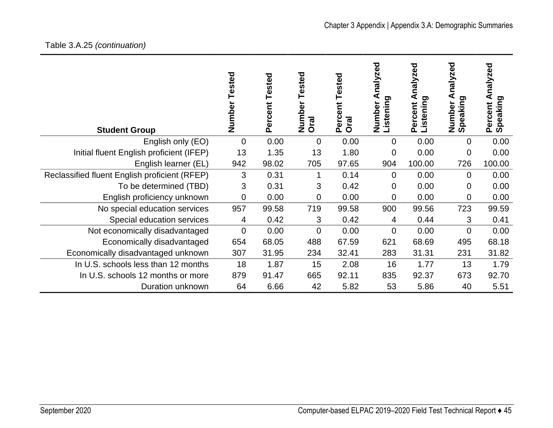| <b>Student Group</b>                          | Tested<br>Number | Tested<br>Percent | ested<br>⊢<br>Numbe<br><b>Oral</b> | Tested<br><b>tig</b><br>Perce<br><b>Oral</b> | nalyzed<br>Listening<br>Number | zed<br>naly:<br>ರಾ<br>istenin<br>Percent | nalyzed<br>peaking<br>Number<br>ທ | nalyzed<br>ರಾ<br>Speaking<br>Percent |
|-----------------------------------------------|------------------|-------------------|------------------------------------|----------------------------------------------|--------------------------------|------------------------------------------|-----------------------------------|--------------------------------------|
| English only (EO)                             | 0                | 0.00              | $\overline{0}$                     | 0.00                                         | 0                              | 0.00                                     | $\overline{0}$                    | 0.00                                 |
| Initial fluent English proficient (IFEP)      | 13               | 1.35              | 13                                 | 1.80                                         | $\mathbf 0$                    | 0.00                                     | $\overline{0}$                    | 0.00                                 |
| English learner (EL)                          | 942              | 98.02             | 705                                | 97.65                                        | 904                            | 100.00                                   | 726                               | 100.00                               |
| Reclassified fluent English proficient (RFEP) | 3                | 0.31              | 1                                  | 0.14                                         | $\Omega$                       | 0.00                                     | $\Omega$                          | 0.00                                 |
| To be determined (TBD)                        | 3                | 0.31              | 3                                  | 0.42                                         | 0                              | 0.00                                     | 0                                 | 0.00                                 |
| English proficiency unknown                   | 0                | 0.00              | 0                                  | 0.00                                         | 0                              | 0.00                                     | $\overline{0}$                    | 0.00                                 |
| No special education services                 | 957              | 99.58             | 719                                | 99.58                                        | 900                            | 99.56                                    | 723                               | 99.59                                |
| Special education services                    | 4                | 0.42              | 3                                  | 0.42                                         | 4                              | 0.44                                     | 3                                 | 0.41                                 |
| Not economically disadvantaged                | $\overline{0}$   | 0.00              | 0                                  | 0.00                                         | $\Omega$                       | 0.00                                     | $\overline{0}$                    | 0.00                                 |
| Economically disadvantaged                    | 654              | 68.05             | 488                                | 67.59                                        | 621                            | 68.69                                    | 495                               | 68.18                                |
| Economically disadvantaged unknown            | 307              | 31.95             | 234                                | 32.41                                        | 283                            | 31.31                                    | 231                               | 31.82                                |
| In U.S. schools less than 12 months           | 18               | 1.87              | 15                                 | 2.08                                         | 16                             | 1.77                                     | 13                                | 1.79                                 |
| In U.S. schools 12 months or more             | 879              | 91.47             | 665                                | 92.11                                        | 835                            | 92.37                                    | 673                               | 92.70                                |
| Duration unknown                              | 64               | 6.66              | 42                                 | 5.82                                         | 53                             | 5.86                                     | 40                                | 5.51                                 |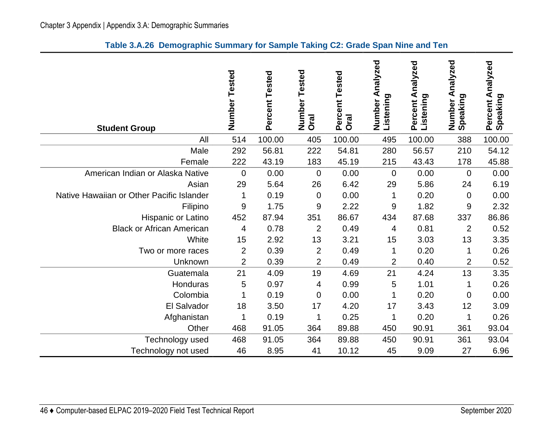| <b>Student Group</b>                      | Number<br>Tested | Percent Tested | Tested<br>Number<br>Oral | Percent Tested<br><b>Oral</b> | Analyzed<br>Listening<br>Number | Analyzed<br>Listening<br>Percent | Analyzed<br>Speaking<br>Number | Analyzed<br>Speaking<br>Percent |
|-------------------------------------------|------------------|----------------|--------------------------|-------------------------------|---------------------------------|----------------------------------|--------------------------------|---------------------------------|
| All                                       | 514              | 100.00         | 405                      | 100.00                        | 495                             | 100.00                           | 388                            | 100.00                          |
| Male                                      | 292              | 56.81          | 222                      | 54.81                         | 280                             | 56.57                            | 210                            | 54.12                           |
| Female                                    | 222              | 43.19          | 183                      | 45.19                         | 215                             | 43.43                            | 178                            | 45.88                           |
| American Indian or Alaska Native          | 0                | 0.00           | $\Omega$                 | 0.00                          | $\overline{0}$                  | 0.00                             | $\mathbf 0$                    | 0.00                            |
| Asian                                     | 29               | 5.64           | 26                       | 6.42                          | 29                              | 5.86                             | 24                             | 6.19                            |
| Native Hawaiian or Other Pacific Islander | 1                | 0.19           | $\overline{0}$           | 0.00                          | $\mathbf 1$                     | 0.20                             | $\mathbf 0$                    | 0.00                            |
| Filipino                                  | $\boldsymbol{9}$ | 1.75           | 9                        | 2.22                          | 9                               | 1.82                             | 9                              | 2.32                            |
| Hispanic or Latino                        | 452              | 87.94          | 351                      | 86.67                         | 434                             | 87.68                            | 337                            | 86.86                           |
| <b>Black or African American</b>          | 4                | 0.78           | $\overline{2}$           | 0.49                          | 4                               | 0.81                             | $\overline{2}$                 | 0.52                            |
| White                                     | 15               | 2.92           | 13                       | 3.21                          | 15                              | 3.03                             | 13                             | 3.35                            |
| Two or more races                         | $\overline{2}$   | 0.39           | $\overline{2}$           | 0.49                          | 1                               | 0.20                             | 1                              | 0.26                            |
| Unknown                                   | 2                | 0.39           | $\overline{2}$           | 0.49                          | 2                               | 0.40                             | 2                              | 0.52                            |
| Guatemala                                 | 21               | 4.09           | 19                       | 4.69                          | 21                              | 4.24                             | 13                             | 3.35                            |
| Honduras                                  | 5                | 0.97           | 4                        | 0.99                          | 5                               | 1.01                             | 1                              | 0.26                            |
| Colombia                                  | 1                | 0.19           | 0                        | 0.00                          | 1                               | 0.20                             | 0                              | 0.00                            |
| El Salvador                               | 18               | 3.50           | 17                       | 4.20                          | 17                              | 3.43                             | 12                             | 3.09                            |
| Afghanistan                               | 1                | 0.19           | 1                        | 0.25                          | 1                               | 0.20                             | 1                              | 0.26                            |
| Other                                     | 468              | 91.05          | 364                      | 89.88                         | 450                             | 90.91                            | 361                            | 93.04                           |
| Technology used                           | 468              | 91.05          | 364                      | 89.88                         | 450                             | 90.91                            | 361                            | 93.04                           |
| Technology not used                       | 46               | 8.95           | 41                       | 10.12                         | 45                              | 9.09                             | 27                             | 6.96                            |

#### **Table 3.A.26 Demographic Summary for Sample Taking C2: Grade Span Nine and Ten**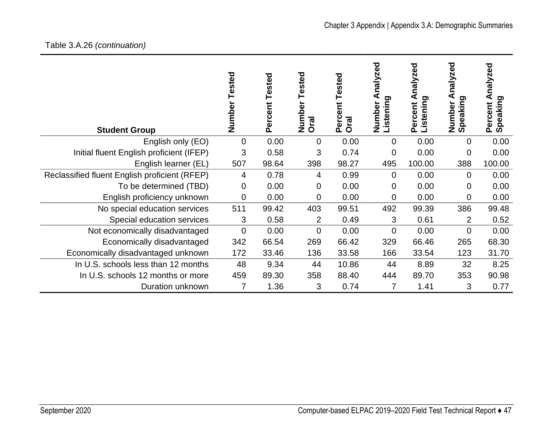# Table 3.A.26 *(continuation)*

| <b>Student Group</b>                          | Tested<br>Number | Tested<br>Percent | ested<br>Φ<br>Numbe<br>Oral | Tested<br>Percent<br><b>Oral</b> | ၓ္ၿ<br>nalyze<br>Listening<br>Number | paz<br>naly.<br>⋖<br><b>Listening</b><br>Percent | nalyzed<br>ರಾ<br>jpeaking<br>Number<br>ഗ | nalyzed<br>⋖<br>ರಾ<br>Speaking<br>Percent |
|-----------------------------------------------|------------------|-------------------|-----------------------------|----------------------------------|--------------------------------------|--------------------------------------------------|------------------------------------------|-------------------------------------------|
| English only (EO)                             | 0                | 0.00              | 0                           | 0.00                             | $\overline{0}$                       | 0.00                                             | $\Omega$                                 | 0.00                                      |
| Initial fluent English proficient (IFEP)      | 3                | 0.58              | 3                           | 0.74                             | 0                                    | 0.00                                             | 0                                        | 0.00                                      |
| English learner (EL)                          | 507              | 98.64             | 398                         | 98.27                            | 495                                  | 100.00                                           | 388                                      | 100.00                                    |
| Reclassified fluent English proficient (RFEP) | 4                | 0.78              | 4                           | 0.99                             | $\overline{0}$                       | 0.00                                             | $\Omega$                                 | 0.00                                      |
| To be determined (TBD)                        | 0                | 0.00              | 0                           | 0.00                             | $\overline{0}$                       | 0.00                                             | 0                                        | 0.00                                      |
| English proficiency unknown                   | $\mathbf 0$      | 0.00              | 0                           | 0.00                             | 0                                    | 0.00                                             | 0                                        | 0.00                                      |
| No special education services                 | 511              | 99.42             | 403                         | 99.51                            | 492                                  | 99.39                                            | 386                                      | 99.48                                     |
| Special education services                    | 3                | 0.58              | $\overline{2}$              | 0.49                             | 3                                    | 0.61                                             | 2                                        | 0.52                                      |
| Not economically disadvantaged                | $\overline{0}$   | 0.00              | 0                           | 0.00                             | $\overline{0}$                       | 0.00                                             | $\Omega$                                 | 0.00                                      |
| Economically disadvantaged                    | 342              | 66.54             | 269                         | 66.42                            | 329                                  | 66.46                                            | 265                                      | 68.30                                     |
| Economically disadvantaged unknown            | 172              | 33.46             | 136                         | 33.58                            | 166                                  | 33.54                                            | 123                                      | 31.70                                     |
| In U.S. schools less than 12 months           | 48               | 9.34              | 44                          | 10.86                            | 44                                   | 8.89                                             | 32                                       | 8.25                                      |
| In U.S. schools 12 months or more             | 459              | 89.30             | 358                         | 88.40                            | 444                                  | 89.70                                            | 353                                      | 90.98                                     |
| Duration unknown                              | 7                | 1.36              | 3                           | 0.74                             | 7                                    | 1.41                                             | 3                                        | 0.77                                      |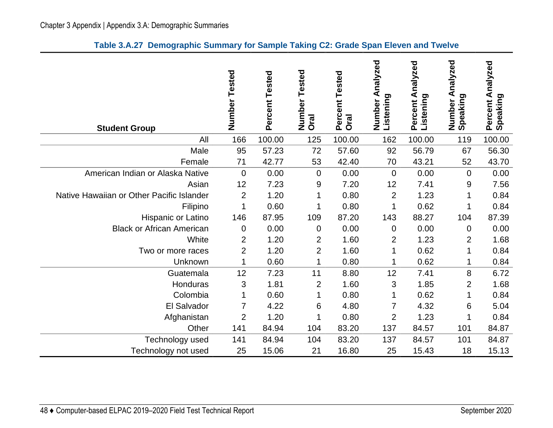| <b>Student Group</b>                      | Number<br>Tested | Percent Tested | Tested<br>Number<br><b>Oral</b> | Percent Tested<br><b>Oral</b> | nalyzed<br>⋖<br>Listening<br>Number | Percent Analyzed<br>Listening | Analyzed<br>Number A<br>Speaking | Percent Analyzed<br>Speaking |
|-------------------------------------------|------------------|----------------|---------------------------------|-------------------------------|-------------------------------------|-------------------------------|----------------------------------|------------------------------|
| All                                       | 166              | 100.00         | 125                             | 100.00                        | 162                                 | 100.00                        | 119                              | 100.00                       |
| Male                                      | 95               | 57.23          | 72                              | 57.60                         | 92                                  | 56.79                         | 67                               | 56.30                        |
| Female                                    | 71               | 42.77          | 53                              | 42.40                         | 70                                  | 43.21                         | 52                               | 43.70                        |
| American Indian or Alaska Native          | 0                | 0.00           | $\mathbf 0$                     | 0.00                          | $\overline{0}$                      | 0.00                          | $\overline{0}$                   | 0.00                         |
| Asian                                     | 12               | 7.23           | 9                               | 7.20                          | 12                                  | 7.41                          | 9                                | 7.56                         |
| Native Hawaiian or Other Pacific Islander | $\overline{2}$   | 1.20           | 1                               | 0.80                          | $\overline{2}$                      | 1.23                          | 1                                | 0.84                         |
| Filipino                                  | 1                | 0.60           | 1                               | 0.80                          | 1                                   | 0.62                          | 1                                | 0.84                         |
| Hispanic or Latino                        | 146              | 87.95          | 109                             | 87.20                         | 143                                 | 88.27                         | 104                              | 87.39                        |
| <b>Black or African American</b>          | 0                | 0.00           | $\pmb{0}$                       | 0.00                          | 0                                   | 0.00                          | 0                                | 0.00                         |
| White                                     | $\overline{2}$   | 1.20           | $\overline{2}$                  | 1.60                          | 2                                   | 1.23                          | $\overline{2}$                   | 1.68                         |
| Two or more races                         | $\overline{2}$   | 1.20           | $\overline{2}$                  | 1.60                          | 1                                   | 0.62                          | $\mathbf 1$                      | 0.84                         |
| Unknown                                   | 1                | 0.60           | 1                               | 0.80                          |                                     | 0.62                          |                                  | 0.84                         |
| Guatemala                                 | 12               | 7.23           | 11                              | 8.80                          | 12                                  | 7.41                          | 8                                | 6.72                         |
| Honduras                                  | 3                | 1.81           | $\overline{2}$                  | 1.60                          | 3                                   | 1.85                          | $\overline{2}$                   | 1.68                         |
| Colombia                                  | 1                | 0.60           | 1                               | 0.80                          | 1                                   | 0.62                          | 1                                | 0.84                         |
| El Salvador                               | 7                | 4.22           | 6                               | 4.80                          | 7                                   | 4.32                          | 6                                | 5.04                         |
| Afghanistan                               | $\overline{2}$   | 1.20           | 1                               | 0.80                          | $\overline{2}$                      | 1.23                          | 1                                | 0.84                         |
| Other                                     | 141              | 84.94          | 104                             | 83.20                         | 137                                 | 84.57                         | 101                              | 84.87                        |
| Technology used                           | 141              | 84.94          | 104                             | 83.20                         | 137                                 | 84.57                         | 101                              | 84.87                        |
| Technology not used                       | 25               | 15.06          | 21                              | 16.80                         | 25                                  | 15.43                         | 18                               | 15.13                        |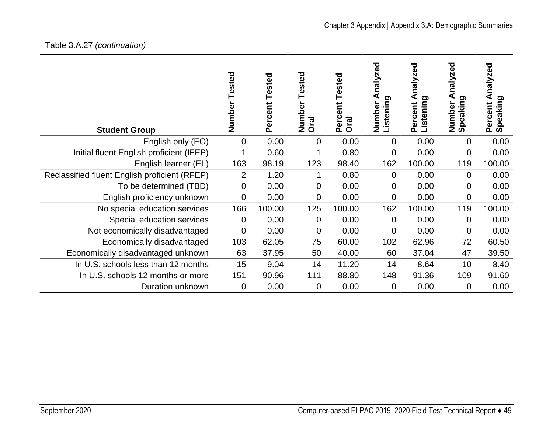## Table 3.A.27 *(continuation)*

| <b>Student Group</b>                          | Tested<br>Number | Tested<br>Percent | Tested<br>Number<br>Oral | Tested<br>ent<br>Perce<br>Oral | nalyzed<br>⋖<br>Listening<br>Number | nalyzed<br>⋖<br>Listening<br>Percent | nalyzed<br>Number A<br>Speaking | nalyzed<br>⋖<br>Speaking<br>Percent |
|-----------------------------------------------|------------------|-------------------|--------------------------|--------------------------------|-------------------------------------|--------------------------------------|---------------------------------|-------------------------------------|
| English only (EO)                             | 0                | 0.00              | $\overline{0}$           | 0.00                           | $\overline{0}$                      | 0.00                                 | 0                               | 0.00                                |
| Initial fluent English proficient (IFEP)      |                  | 0.60              |                          | 0.80                           | 0                                   | 0.00                                 | 0                               | 0.00                                |
| English learner (EL)                          | 163              | 98.19             | 123                      | 98.40                          | 162                                 | 100.00                               | 119                             | 100.00                              |
| Reclassified fluent English proficient (RFEP) | $\overline{2}$   | 1.20              | 1                        | 0.80                           | $\overline{0}$                      | 0.00                                 | $\overline{0}$                  | 0.00                                |
| To be determined (TBD)                        | 0                | 0.00              | 0                        | 0.00                           | 0                                   | 0.00                                 | 0                               | 0.00                                |
| English proficiency unknown                   | 0                | 0.00              | 0                        | 0.00                           | 0                                   | 0.00                                 | 0                               | 0.00                                |
| No special education services                 | 166              | 100.00            | 125                      | 100.00                         | 162                                 | 100.00                               | 119                             | 100.00                              |
| Special education services                    | 0                | 0.00              | 0                        | 0.00                           | 0                                   | 0.00                                 | 0                               | 0.00                                |
| Not economically disadvantaged                | 0                | 0.00              | $\mathbf 0$              | 0.00                           | $\mathbf 0$                         | 0.00                                 | $\overline{0}$                  | 0.00                                |
| Economically disadvantaged                    | 103              | 62.05             | 75                       | 60.00                          | 102                                 | 62.96                                | 72                              | 60.50                               |
| Economically disadvantaged unknown            | 63               | 37.95             | 50                       | 40.00                          | 60                                  | 37.04                                | 47                              | 39.50                               |
| In U.S. schools less than 12 months           | 15               | 9.04              | 14                       | 11.20                          | 14                                  | 8.64                                 | 10                              | 8.40                                |
| In U.S. schools 12 months or more             | 151              | 90.96             | 111                      | 88.80                          | 148                                 | 91.36                                | 109                             | 91.60                               |
| Duration unknown                              | 0                | 0.00              | 0                        | 0.00                           | 0                                   | 0.00                                 | 0                               | 0.00                                |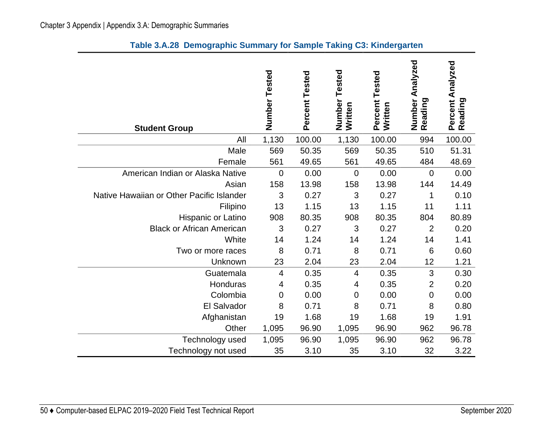| <b>Student Group</b>                      | Number<br>Tested | Percent Tested | Number<br>Tested<br>Written | Percent Tested<br>Written | Number Analyzed<br>Reading | Percent Analyzed<br>Reading |
|-------------------------------------------|------------------|----------------|-----------------------------|---------------------------|----------------------------|-----------------------------|
| All                                       | 1,130            | 100.00         | 1,130                       | 100.00                    | 994                        | 100.00                      |
| Male                                      | 569              | 50.35          | 569                         | 50.35                     | 510                        | 51.31                       |
| Female                                    | 561              | 49.65          | 561                         | 49.65                     | 484                        | 48.69                       |
| American Indian or Alaska Native          | $\overline{0}$   | 0.00           | $\mathbf 0$                 | 0.00                      | $\overline{0}$             | 0.00                        |
| Asian                                     | 158              | 13.98          | 158                         | 13.98                     | 144                        | 14.49                       |
| Native Hawaiian or Other Pacific Islander | 3                | 0.27           | 3                           | 0.27                      | 1                          | 0.10                        |
| Filipino                                  | 13               | 1.15           | 13                          | 1.15                      | 11                         | 1.11                        |
| Hispanic or Latino                        | 908              | 80.35          | 908                         | 80.35                     | 804                        | 80.89                       |
| <b>Black or African American</b>          | 3                | 0.27           | 3                           | 0.27                      | $\overline{2}$             | 0.20                        |
| White                                     | 14               | 1.24           | 14                          | 1.24                      | 14                         | 1.41                        |
| Two or more races                         | 8                | 0.71           | 8                           | 0.71                      | 6                          | 0.60                        |
| Unknown                                   | 23               | 2.04           | 23                          | 2.04                      | 12                         | 1.21                        |
| Guatemala                                 | $\overline{4}$   | 0.35           | 4                           | 0.35                      | 3                          | 0.30                        |
| Honduras                                  | 4                | 0.35           | 4                           | 0.35                      | $\overline{2}$             | 0.20                        |
| Colombia                                  | 0                | 0.00           | 0                           | 0.00                      | $\mathbf 0$                | 0.00                        |
| El Salvador                               | 8                | 0.71           | 8                           | 0.71                      | 8                          | 0.80                        |
| Afghanistan                               | 19               | 1.68           | 19                          | 1.68                      | 19                         | 1.91                        |
| Other                                     | 1,095            | 96.90          | 1,095                       | 96.90                     | 962                        | 96.78                       |
| Technology used                           | 1,095            | 96.90          | 1,095                       | 96.90                     | 962                        | 96.78                       |
| Technology not used                       | 35               | 3.10           | 35                          | 3.10                      | 32                         | 3.22                        |

## **Table 3.A.28 Demographic Summary for Sample Taking C3: Kindergarten**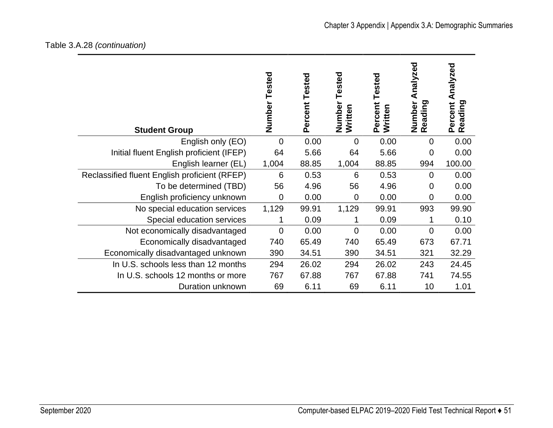## Table 3.A.28 *(continuation)*

| <b>Student Group</b>                          | Number Tested  | Tested<br>Percent | Tested<br>Number<br>Written | Tested<br>Percent<br>Written | Analyzed<br>Number<br>Reading | Analyzed<br>Percent<br>Reading |
|-----------------------------------------------|----------------|-------------------|-----------------------------|------------------------------|-------------------------------|--------------------------------|
| English only (EO)                             | $\overline{0}$ | 0.00              | $\overline{0}$              | 0.00                         | $\overline{0}$                | 0.00                           |
| Initial fluent English proficient (IFEP)      | 64             | 5.66              | 64                          | 5.66                         | $\mathbf 0$                   | 0.00                           |
| English learner (EL)                          | 1,004          | 88.85             | 1,004                       | 88.85                        | 994                           | 100.00                         |
| Reclassified fluent English proficient (RFEP) | 6              | 0.53              | 6                           | 0.53                         | $\overline{0}$                | 0.00                           |
| To be determined (TBD)                        | 56             | 4.96              | 56                          | 4.96                         | $\overline{0}$                | 0.00                           |
| English proficiency unknown                   | $\overline{0}$ | 0.00              | $\overline{0}$              | 0.00                         | $\mathbf 0$                   | 0.00                           |
| No special education services                 | 1,129          | 99.91             | 1,129                       | 99.91                        | 993                           | 99.90                          |
| Special education services                    |                | 0.09              |                             | 0.09                         |                               | 0.10                           |
| Not economically disadvantaged                | $\Omega$       | 0.00              | $\Omega$                    | 0.00                         | $\Omega$                      | 0.00                           |
| Economically disadvantaged                    | 740            | 65.49             | 740                         | 65.49                        | 673                           | 67.71                          |
| Economically disadvantaged unknown            | 390            | 34.51             | 390                         | 34.51                        | 321                           | 32.29                          |
| In U.S. schools less than 12 months           | 294            | 26.02             | 294                         | 26.02                        | 243                           | 24.45                          |
| In U.S. schools 12 months or more             | 767            | 67.88             | 767                         | 67.88                        | 741                           | 74.55                          |
| Duration unknown                              | 69             | 6.11              | 69                          | 6.11                         | 10                            | 1.01                           |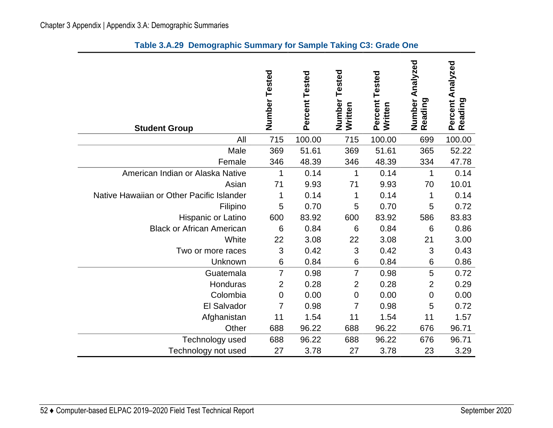| <b>Student Group</b>                      | Number Tested  | Percent Tested | Tested<br>Number<br>Written | Percent Tested<br>Written | Analyzed<br>Number<br>Reading | Percent Analyzed<br>Reading |
|-------------------------------------------|----------------|----------------|-----------------------------|---------------------------|-------------------------------|-----------------------------|
| All                                       | 715            | 100.00         | 715                         | 100.00                    | 699                           | 100.00                      |
| Male                                      | 369            | 51.61          | 369                         | 51.61                     | 365                           | 52.22                       |
| Female                                    | 346            | 48.39          | 346                         | 48.39                     | 334                           | 47.78                       |
| American Indian or Alaska Native          | 1              | 0.14           | 1                           | 0.14                      | 1                             | 0.14                        |
| Asian                                     | 71             | 9.93           | 71                          | 9.93                      | 70                            | 10.01                       |
| Native Hawaiian or Other Pacific Islander | 1              | 0.14           | 1                           | 0.14                      | 1                             | 0.14                        |
| Filipino                                  | 5              | 0.70           | 5                           | 0.70                      | 5                             | 0.72                        |
| Hispanic or Latino                        | 600            | 83.92          | 600                         | 83.92                     | 586                           | 83.83                       |
| <b>Black or African American</b>          | 6              | 0.84           | $6\phantom{1}6$             | 0.84                      | 6                             | 0.86                        |
| White                                     | 22             | 3.08           | 22                          | 3.08                      | 21                            | 3.00                        |
| Two or more races                         | 3              | 0.42           | 3                           | 0.42                      | 3                             | 0.43                        |
| Unknown                                   | 6              | 0.84           | 6                           | 0.84                      | 6                             | 0.86                        |
| Guatemala                                 | $\overline{7}$ | 0.98           | $\overline{7}$              | 0.98                      | 5                             | 0.72                        |
| Honduras                                  | $\overline{2}$ | 0.28           | $\overline{2}$              | 0.28                      | $\overline{2}$                | 0.29                        |
| Colombia                                  | $\mathbf 0$    | 0.00           | $\mathbf 0$                 | 0.00                      | 0                             | 0.00                        |
| El Salvador                               | 7              | 0.98           | 7                           | 0.98                      | 5                             | 0.72                        |
| Afghanistan                               | 11             | 1.54           | 11                          | 1.54                      | 11                            | 1.57                        |
| Other                                     | 688            | 96.22          | 688                         | 96.22                     | 676                           | 96.71                       |
| Technology used                           | 688            | 96.22          | 688                         | 96.22                     | 676                           | 96.71                       |
| Technology not used                       | 27             | 3.78           | 27                          | 3.78                      | 23                            | 3.29                        |

## **Table 3.A.29 Demographic Summary for Sample Taking C3: Grade One**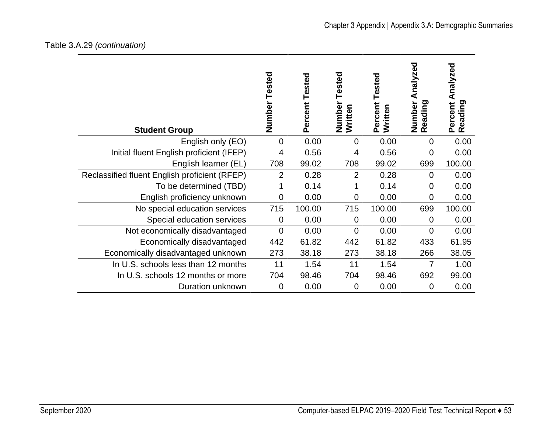## Table 3.A.29 *(continuation)*

| <b>Student Group</b>                          | Number Tested  | Tested<br>Percent | Tested<br>Number<br>Written | Tested<br>Percent<br>Written | Analyzed<br>Number<br>Reading | Percent Analyzed<br>Reading |
|-----------------------------------------------|----------------|-------------------|-----------------------------|------------------------------|-------------------------------|-----------------------------|
| English only (EO)                             | $\Omega$       | 0.00              | $\overline{0}$              | 0.00                         | $\overline{0}$                | 0.00                        |
| Initial fluent English proficient (IFEP)      | 4              | 0.56              | $\overline{4}$              | 0.56                         | $\mathbf 0$                   | 0.00                        |
| English learner (EL)                          | 708            | 99.02             | 708                         | 99.02                        | 699                           | 100.00                      |
| Reclassified fluent English proficient (RFEP) | $\overline{2}$ | 0.28              | $\overline{2}$              | 0.28                         | $\overline{0}$                | 0.00                        |
| To be determined (TBD)                        |                | 0.14              | 1                           | 0.14                         | 0                             | 0.00                        |
| English proficiency unknown                   | $\mathbf 0$    | 0.00              | $\mathbf 0$                 | 0.00                         | $\overline{0}$                | 0.00                        |
| No special education services                 | 715            | 100.00            | 715                         | 100.00                       | 699                           | 100.00                      |
| Special education services                    | $\mathbf 0$    | 0.00              | $\mathbf 0$                 | 0.00                         | 0                             | 0.00                        |
| Not economically disadvantaged                | $\overline{0}$ | 0.00              | $\overline{0}$              | 0.00                         | $\overline{0}$                | 0.00                        |
| Economically disadvantaged                    | 442            | 61.82             | 442                         | 61.82                        | 433                           | 61.95                       |
| Economically disadvantaged unknown            | 273            | 38.18             | 273                         | 38.18                        | 266                           | 38.05                       |
| In U.S. schools less than 12 months           | 11             | 1.54              | 11                          | 1.54                         | 7                             | 1.00                        |
| In U.S. schools 12 months or more             | 704            | 98.46             | 704                         | 98.46                        | 692                           | 99.00                       |
| Duration unknown                              | 0              | 0.00              | 0                           | 0.00                         | 0                             | 0.00                        |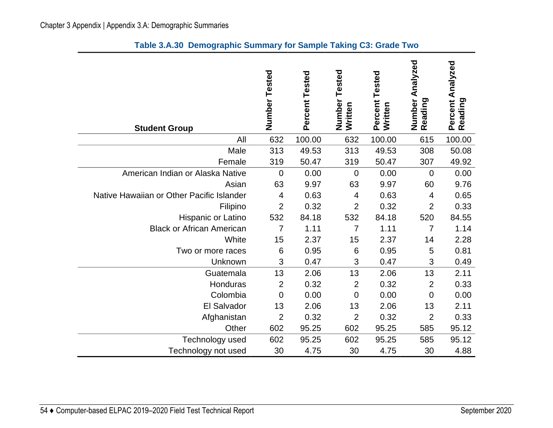| <b>Student Group</b>                      | Number Tested  | Percent Tested | Tested<br>Number<br>Written | Percent Tested<br>Written | Number Analyzed<br>Reading | Percent Analyzed<br>Reading |
|-------------------------------------------|----------------|----------------|-----------------------------|---------------------------|----------------------------|-----------------------------|
| All                                       | 632            | 100.00         | 632                         | 100.00                    | 615                        | 100.00                      |
| Male                                      | 313            | 49.53          | 313                         | 49.53                     | 308                        | 50.08                       |
| Female                                    | 319            | 50.47          | 319                         | 50.47                     | 307                        | 49.92                       |
| American Indian or Alaska Native          | $\mathbf 0$    | 0.00           | 0                           | 0.00                      | $\overline{0}$             | 0.00                        |
| Asian                                     | 63             | 9.97           | 63                          | 9.97                      | 60                         | 9.76                        |
| Native Hawaiian or Other Pacific Islander | $\overline{4}$ | 0.63           | 4                           | 0.63                      | 4                          | 0.65                        |
| Filipino                                  | $\overline{2}$ | 0.32           | $\overline{2}$              | 0.32                      | $\overline{2}$             | 0.33                        |
| Hispanic or Latino                        | 532            | 84.18          | 532                         | 84.18                     | 520                        | 84.55                       |
| <b>Black or African American</b>          | $\overline{7}$ | 1.11           | $\overline{7}$              | 1.11                      | $\overline{7}$             | 1.14                        |
| White                                     | 15             | 2.37           | 15                          | 2.37                      | 14                         | 2.28                        |
| Two or more races                         | 6              | 0.95           | 6                           | 0.95                      | 5                          | 0.81                        |
| Unknown                                   | 3              | 0.47           | 3                           | 0.47                      | 3                          | 0.49                        |
| Guatemala                                 | 13             | 2.06           | 13                          | 2.06                      | 13                         | 2.11                        |
| Honduras                                  | $\overline{2}$ | 0.32           | $\overline{2}$              | 0.32                      | $\overline{2}$             | 0.33                        |
| Colombia                                  | $\mathbf 0$    | 0.00           | 0                           | 0.00                      | $\mathbf 0$                | 0.00                        |
| El Salvador                               | 13             | 2.06           | 13                          | 2.06                      | 13                         | 2.11                        |
| Afghanistan                               | $\overline{2}$ | 0.32           | $\overline{2}$              | 0.32                      | $\overline{2}$             | 0.33                        |
| Other                                     | 602            | 95.25          | 602                         | 95.25                     | 585                        | 95.12                       |
| Technology used                           | 602            | 95.25          | 602                         | 95.25                     | 585                        | 95.12                       |
| Technology not used                       | 30             | 4.75           | 30                          | 4.75                      | 30                         | 4.88                        |

## **Table 3.A.30 Demographic Summary for Sample Taking C3: Grade Two**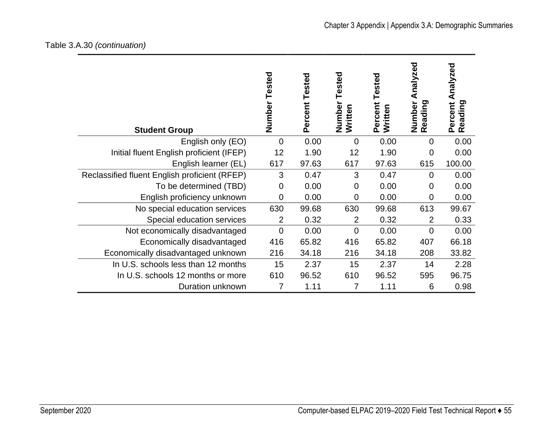## Table 3.A.30 *(continuation)*

| <b>Student Group</b>                          | Number Tested  | Tested<br>Percent | Tested<br>Number<br>Written | Tested<br>Percent<br>Written | Analyzed<br>Number<br>Reading | Analyzed<br>Percent<br>Reading |
|-----------------------------------------------|----------------|-------------------|-----------------------------|------------------------------|-------------------------------|--------------------------------|
| English only (EO)                             | $\Omega$       | 0.00              | $\Omega$                    | 0.00                         | $\overline{0}$                | 0.00                           |
| Initial fluent English proficient (IFEP)      | 12             | 1.90              | 12                          | 1.90                         | $\mathbf 0$                   | 0.00                           |
| English learner (EL)                          | 617            | 97.63             | 617                         | 97.63                        | 615                           | 100.00                         |
| Reclassified fluent English proficient (RFEP) | 3              | 0.47              | 3                           | 0.47                         | $\overline{0}$                | 0.00                           |
| To be determined (TBD)                        | $\mathbf 0$    | 0.00              | $\Omega$                    | 0.00                         | 0                             | 0.00                           |
| English proficiency unknown                   | $\mathbf 0$    | 0.00              | $\mathbf 0$                 | 0.00                         | $\mathbf 0$                   | 0.00                           |
| No special education services                 | 630            | 99.68             | 630                         | 99.68                        | 613                           | 99.67                          |
| Special education services                    | $\overline{2}$ | 0.32              | $\overline{2}$              | 0.32                         | 2                             | 0.33                           |
| Not economically disadvantaged                | $\overline{0}$ | 0.00              | $\overline{0}$              | 0.00                         | $\overline{0}$                | 0.00                           |
| Economically disadvantaged                    | 416            | 65.82             | 416                         | 65.82                        | 407                           | 66.18                          |
| Economically disadvantaged unknown            | 216            | 34.18             | 216                         | 34.18                        | 208                           | 33.82                          |
| In U.S. schools less than 12 months           | 15             | 2.37              | 15                          | 2.37                         | 14                            | 2.28                           |
| In U.S. schools 12 months or more             | 610            | 96.52             | 610                         | 96.52                        | 595                           | 96.75                          |
| Duration unknown                              | 7              | 1.11              | 7                           | 1.11                         | 6                             | 0.98                           |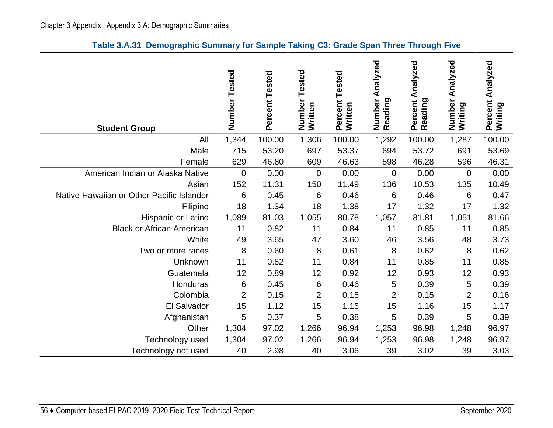|  | Table 3.A.31 Demographic Summary for Sample Taking C3: Grade Span Three Through Five |  |  |  |  |
|--|--------------------------------------------------------------------------------------|--|--|--|--|
|--|--------------------------------------------------------------------------------------|--|--|--|--|

| <b>Student Group</b>                      | Number Tested  | Percent Tested | Tested<br>Number<br>Written | Tested<br>Percent<br>Written | Analyzed<br>Number<br>Reading | Analyzed<br>Percent<br>Reading | Analyzed<br>Number<br>Writing | Analyzed<br>Percent<br>Writing |
|-------------------------------------------|----------------|----------------|-----------------------------|------------------------------|-------------------------------|--------------------------------|-------------------------------|--------------------------------|
| All                                       | 1,344          | 100.00         | 1,306                       | 100.00                       | 1,292                         | 100.00                         | 1,287                         | 100.00                         |
| Male                                      | 715            | 53.20          | 697                         | 53.37                        | 694                           | 53.72                          | 691                           | 53.69                          |
| Female                                    | 629            | 46.80          | 609                         | 46.63                        | 598                           | 46.28                          | 596                           | 46.31                          |
| American Indian or Alaska Native          | $\overline{0}$ | 0.00           | $\mathbf 0$                 | 0.00                         | $\mathbf 0$                   | 0.00                           | $\mathbf{0}$                  | 0.00                           |
| Asian                                     | 152            | 11.31          | 150                         | 11.49                        | 136                           | 10.53                          | 135                           | 10.49                          |
| Native Hawaiian or Other Pacific Islander | 6              | 0.45           | 6                           | 0.46                         | $6\phantom{1}6$               | 0.46                           | 6                             | 0.47                           |
| Filipino                                  | 18             | 1.34           | 18                          | 1.38                         | 17                            | 1.32                           | 17                            | 1.32                           |
| Hispanic or Latino                        | 1,089          | 81.03          | 1,055                       | 80.78                        | 1,057                         | 81.81                          | 1,051                         | 81.66                          |
| <b>Black or African American</b>          | 11             | 0.82           | 11                          | 0.84                         | 11                            | 0.85                           | 11                            | 0.85                           |
| White                                     | 49             | 3.65           | 47                          | 3.60                         | 46                            | 3.56                           | 48                            | 3.73                           |
| Two or more races                         | 8              | 0.60           | 8                           | 0.61                         | 8                             | 0.62                           | 8                             | 0.62                           |
| Unknown                                   | 11             | 0.82           | 11                          | 0.84                         | 11                            | 0.85                           | 11                            | 0.85                           |
| Guatemala                                 | 12             | 0.89           | 12                          | 0.92                         | 12                            | 0.93                           | 12                            | 0.93                           |
| Honduras                                  | 6              | 0.45           | 6                           | 0.46                         | 5                             | 0.39                           | 5                             | 0.39                           |
| Colombia                                  | $\overline{2}$ | 0.15           | $\overline{2}$              | 0.15                         | $\overline{2}$                | 0.15                           | $\overline{2}$                | 0.16                           |
| El Salvador                               | 15             | 1.12           | 15                          | 1.15                         | 15                            | 1.16                           | 15                            | 1.17                           |
| Afghanistan                               | 5              | 0.37           | 5                           | 0.38                         | 5                             | 0.39                           | 5                             | 0.39                           |
| Other                                     | 1,304          | 97.02          | 1,266                       | 96.94                        | 1,253                         | 96.98                          | 1,248                         | 96.97                          |
| Technology used                           | 1,304          | 97.02          | 1,266                       | 96.94                        | 1,253                         | 96.98                          | 1,248                         | 96.97                          |
| Technology not used                       | 40             | 2.98           | 40                          | 3.06                         | 39                            | 3.02                           | 39                            | 3.03                           |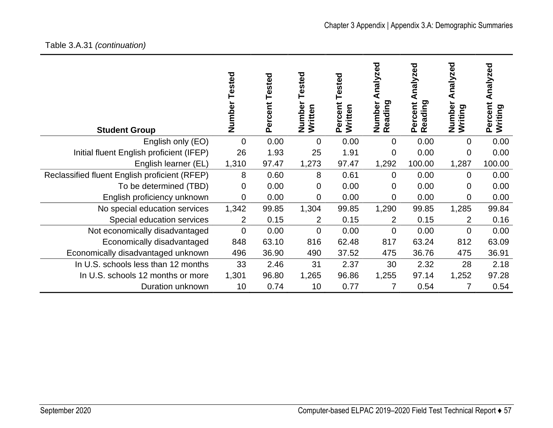# Table 3.A.31 *(continuation)*

| <b>Student Group</b>                          | Tested<br>Number | Tested<br>Percent | ested<br>Number<br>Written | ested<br>Percent<br>Written | nalyzed<br>⋖<br>Reading<br>Number | nalyzed<br>Reading<br>Percent | nalyzed<br>⋖<br>Number<br>Writing | Analyzed<br>Percent<br>Writing |
|-----------------------------------------------|------------------|-------------------|----------------------------|-----------------------------|-----------------------------------|-------------------------------|-----------------------------------|--------------------------------|
| English only (EO)                             | $\overline{0}$   | 0.00              | 0                          | 0.00                        | 0                                 | 0.00                          | 0                                 | 0.00                           |
| Initial fluent English proficient (IFEP)      | 26               | 1.93              | 25                         | 1.91                        | 0                                 | 0.00                          | $\mathbf 0$                       | 0.00                           |
| English learner (EL)                          | 1,310            | 97.47             | 1,273                      | 97.47                       | 1,292                             | 100.00                        | 1,287                             | 100.00                         |
| Reclassified fluent English proficient (RFEP) | 8                | 0.60              | 8                          | 0.61                        | $\mathbf 0$                       | 0.00                          | $\overline{0}$                    | 0.00                           |
| To be determined (TBD)                        | 0                | 0.00              | $\overline{0}$             | 0.00                        | 0                                 | 0.00                          | $\Omega$                          | 0.00                           |
| English proficiency unknown                   | 0                | 0.00              | $\overline{0}$             | 0.00                        | 0                                 | 0.00                          | $\overline{0}$                    | 0.00                           |
| No special education services                 | 1,342            | 99.85             | 1,304                      | 99.85                       | 1,290                             | 99.85                         | 1,285                             | 99.84                          |
| Special education services                    | 2                | 0.15              | $\overline{2}$             | 0.15                        | $\overline{2}$                    | 0.15                          | $\overline{2}$                    | 0.16                           |
| Not economically disadvantaged                | 0                | 0.00              | $\overline{0}$             | 0.00                        | $\overline{0}$                    | 0.00                          | $\overline{0}$                    | 0.00                           |
| Economically disadvantaged                    | 848              | 63.10             | 816                        | 62.48                       | 817                               | 63.24                         | 812                               | 63.09                          |
| Economically disadvantaged unknown            | 496              | 36.90             | 490                        | 37.52                       | 475                               | 36.76                         | 475                               | 36.91                          |
| In U.S. schools less than 12 months           | 33               | 2.46              | 31                         | 2.37                        | 30                                | 2.32                          | 28                                | 2.18                           |
| In U.S. schools 12 months or more             | 1,301            | 96.80             | 1,265                      | 96.86                       | 1,255                             | 97.14                         | 1,252                             | 97.28                          |
| Duration unknown                              | 10               | 0.74              | 10                         | 0.77                        |                                   | 0.54                          | 7                                 | 0.54                           |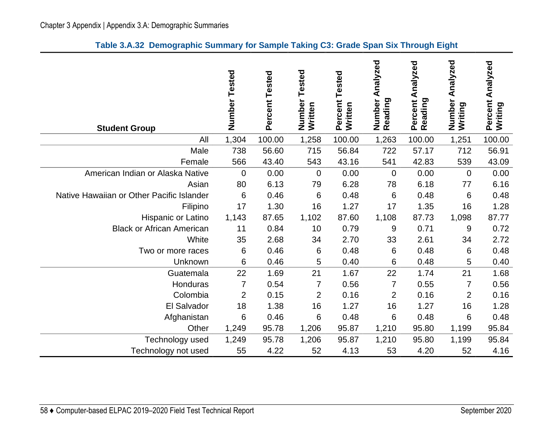|  |  |  |  |  |  |  | Table 3.A.32 Demographic Summary for Sample Taking C3: Grade Span Six Through Eight |
|--|--|--|--|--|--|--|-------------------------------------------------------------------------------------|
|--|--|--|--|--|--|--|-------------------------------------------------------------------------------------|

| <b>Student Group</b>                      | Number Tested  | Percent Tested | ested<br>⊢<br>Number<br>Written | Percent Tested<br>Written | Analyzed<br>Number<br>Reading | Percent Analyzed<br>Reading | Analyzed<br>Number<br>Writing | Percent Analyzed<br>Writing |
|-------------------------------------------|----------------|----------------|---------------------------------|---------------------------|-------------------------------|-----------------------------|-------------------------------|-----------------------------|
| All                                       | 1,304          | 100.00         | 1,258                           | 100.00                    | 1,263                         | 100.00                      | 1,251                         | 100.00                      |
| Male                                      | 738            | 56.60          | 715                             | 56.84                     | 722                           | 57.17                       | 712                           | 56.91                       |
| Female                                    | 566            | 43.40          | 543                             | 43.16                     | 541                           | 42.83                       | 539                           | 43.09                       |
| American Indian or Alaska Native          | 0              | 0.00           | $\mathbf 0$                     | 0.00                      | $\overline{0}$                | 0.00                        | $\Omega$                      | 0.00                        |
| Asian                                     | 80             | 6.13           | 79                              | 6.28                      | 78                            | 6.18                        | 77                            | 6.16                        |
| Native Hawaiian or Other Pacific Islander | 6              | 0.46           | 6                               | 0.48                      | 6                             | 0.48                        | 6                             | 0.48                        |
| Filipino                                  | 17             | 1.30           | 16                              | 1.27                      | 17                            | 1.35                        | 16                            | 1.28                        |
| Hispanic or Latino                        | 1,143          | 87.65          | 1,102                           | 87.60                     | 1,108                         | 87.73                       | 1,098                         | 87.77                       |
| <b>Black or African American</b>          | 11             | 0.84           | 10                              | 0.79                      | 9                             | 0.71                        | 9                             | 0.72                        |
| White                                     | 35             | 2.68           | 34                              | 2.70                      | 33                            | 2.61                        | 34                            | 2.72                        |
| Two or more races                         | 6              | 0.46           | 6                               | 0.48                      | 6                             | 0.48                        | 6                             | 0.48                        |
| Unknown                                   | 6              | 0.46           | 5                               | 0.40                      | 6                             | 0.48                        | 5                             | 0.40                        |
| Guatemala                                 | 22             | 1.69           | 21                              | 1.67                      | 22                            | 1.74                        | 21                            | 1.68                        |
| Honduras                                  | $\overline{7}$ | 0.54           | $\overline{7}$                  | 0.56                      | $\overline{7}$                | 0.55                        | $\overline{7}$                | 0.56                        |
| Colombia                                  | $\overline{2}$ | 0.15           | 2                               | 0.16                      | $\overline{2}$                | 0.16                        | $\overline{2}$                | 0.16                        |
| El Salvador                               | 18             | 1.38           | 16                              | 1.27                      | 16                            | 1.27                        | 16                            | 1.28                        |
| Afghanistan                               | 6              | 0.46           | 6                               | 0.48                      | 6                             | 0.48                        | 6                             | 0.48                        |
| Other                                     | 1,249          | 95.78          | 1,206                           | 95.87                     | 1,210                         | 95.80                       | 1,199                         | 95.84                       |
| Technology used                           | 1,249          | 95.78          | 1,206                           | 95.87                     | 1,210                         | 95.80                       | 1,199                         | 95.84                       |
| Technology not used                       | 55             | 4.22           | 52                              | 4.13                      | 53                            | 4.20                        | 52                            | 4.16                        |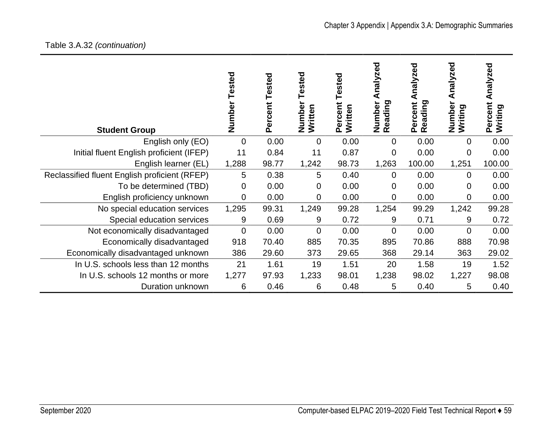# Table 3.A.32 *(continuation)*

| <b>Student Group</b>                          | Tested<br>Number | Tested<br>Percent | ested<br>Numbe<br>Written | ested<br>Percent<br>Written | ್ಥಾ<br>nalyzr<br>Reading<br>Numbe | nalyzed<br>⋖<br>Reading<br>Percent | ್ಠಾ<br>nalyze<br>⋖<br>Numbe<br>ත<br>Writing | Analyzed<br>Percent<br>ರಾ<br>Writing |
|-----------------------------------------------|------------------|-------------------|---------------------------|-----------------------------|-----------------------------------|------------------------------------|---------------------------------------------|--------------------------------------|
| English only (EO)                             | $\overline{0}$   | 0.00              | 0                         | 0.00                        | 0                                 | 0.00                               | 0                                           | 0.00                                 |
| Initial fluent English proficient (IFEP)      | 11               | 0.84              | 11                        | 0.87                        | 0                                 | 0.00                               | 0                                           | 0.00                                 |
| English learner (EL)                          | 1,288            | 98.77             | 1,242                     | 98.73                       | 1,263                             | 100.00                             | 1,251                                       | 100.00                               |
| Reclassified fluent English proficient (RFEP) | 5                | 0.38              | 5                         | 0.40                        | $\mathbf 0$                       | 0.00                               | $\mathbf 0$                                 | 0.00                                 |
| To be determined (TBD)                        | 0                | 0.00              | 0                         | 0.00                        | 0                                 | 0.00                               | 0                                           | 0.00                                 |
| English proficiency unknown                   | $\overline{0}$   | 0.00              | 0                         | 0.00                        | 0                                 | 0.00                               | 0                                           | 0.00                                 |
| No special education services                 | 1,295            | 99.31             | 1,249                     | 99.28                       | 1,254                             | 99.29                              | 1,242                                       | 99.28                                |
| Special education services                    | 9                | 0.69              | 9                         | 0.72                        | 9                                 | 0.71                               | 9                                           | 0.72                                 |
| Not economically disadvantaged                | $\overline{0}$   | 0.00              | 0                         | 0.00                        | $\overline{0}$                    | 0.00                               | 0                                           | 0.00                                 |
| Economically disadvantaged                    | 918              | 70.40             | 885                       | 70.35                       | 895                               | 70.86                              | 888                                         | 70.98                                |
| Economically disadvantaged unknown            | 386              | 29.60             | 373                       | 29.65                       | 368                               | 29.14                              | 363                                         | 29.02                                |
| In U.S. schools less than 12 months           | 21               | 1.61              | 19                        | 1.51                        | 20                                | 1.58                               | 19                                          | 1.52                                 |
| In U.S. schools 12 months or more             | 1,277            | 97.93             | 1,233                     | 98.01                       | 1,238                             | 98.02                              | 1,227                                       | 98.08                                |
| Duration unknown                              | 6                | 0.46              | 6                         | 0.48                        | 5                                 | 0.40                               | 5                                           | 0.40                                 |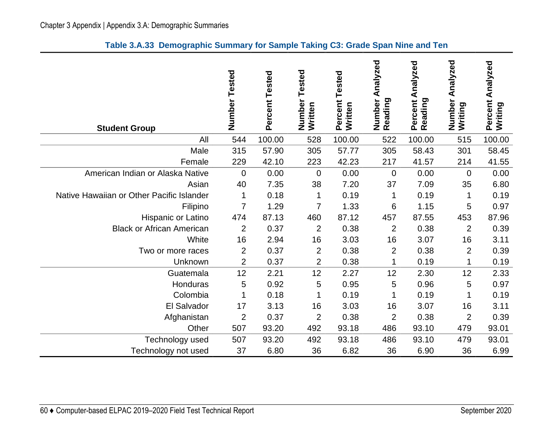| <b>Student Group</b>                      | Number<br>Tested | Percent Tested | Tested<br>Number<br>Written | Tested<br>Percent<br>Written | Analyzed<br>Number<br>Reading | Analyzed<br>Reading<br>Percent | Analyzed<br>Number<br>Writing | Analyzed<br>Percent<br>Writing |
|-------------------------------------------|------------------|----------------|-----------------------------|------------------------------|-------------------------------|--------------------------------|-------------------------------|--------------------------------|
| All                                       | 544              | 100.00         | 528                         | 100.00                       | 522                           | 100.00                         | 515                           | 100.00                         |
| Male                                      | 315              | 57.90          | 305                         | 57.77                        | 305                           | 58.43                          | 301                           | 58.45                          |
| Female                                    | 229              | 42.10          | 223                         | 42.23                        | 217                           | 41.57                          | 214                           | 41.55                          |
| American Indian or Alaska Native          | $\mathbf 0$      | 0.00           | $\overline{0}$              | 0.00                         | $\overline{0}$                | 0.00                           | $\overline{0}$                | 0.00                           |
| Asian                                     | 40               | 7.35           | 38                          | 7.20                         | 37                            | 7.09                           | 35                            | 6.80                           |
| Native Hawaiian or Other Pacific Islander | 1                | 0.18           | 1                           | 0.19                         |                               | 0.19                           |                               | 0.19                           |
| Filipino                                  | $\overline{7}$   | 1.29           | $\overline{7}$              | 1.33                         | 6                             | 1.15                           | 5                             | 0.97                           |
| Hispanic or Latino                        | 474              | 87.13          | 460                         | 87.12                        | 457                           | 87.55                          | 453                           | 87.96                          |
| <b>Black or African American</b>          | $\overline{2}$   | 0.37           | $\overline{2}$              | 0.38                         | $\overline{2}$                | 0.38                           | $\overline{2}$                | 0.39                           |
| White                                     | 16               | 2.94           | 16                          | 3.03                         | 16                            | 3.07                           | 16                            | 3.11                           |
| Two or more races                         | $\overline{2}$   | 0.37           | $\overline{2}$              | 0.38                         | $\overline{2}$                | 0.38                           | $\overline{2}$                | 0.39                           |
| Unknown                                   | $\overline{2}$   | 0.37           | $\overline{2}$              | 0.38                         |                               | 0.19                           |                               | 0.19                           |
| Guatemala                                 | 12               | 2.21           | 12                          | 2.27                         | 12                            | 2.30                           | 12                            | 2.33                           |
| Honduras                                  | 5                | 0.92           | 5                           | 0.95                         | 5                             | 0.96                           | 5                             | 0.97                           |
| Colombia                                  | 1                | 0.18           | 1                           | 0.19                         | 1                             | 0.19                           | 1                             | 0.19                           |
| El Salvador                               | 17               | 3.13           | 16                          | 3.03                         | 16                            | 3.07                           | 16                            | 3.11                           |
| Afghanistan                               | $\overline{2}$   | 0.37           | 2                           | 0.38                         | $\overline{2}$                | 0.38                           | $\overline{2}$                | 0.39                           |
| Other                                     | 507              | 93.20          | 492                         | 93.18                        | 486                           | 93.10                          | 479                           | 93.01                          |
| Technology used                           | 507              | 93.20          | 492                         | 93.18                        | 486                           | 93.10                          | 479                           | 93.01                          |
| Technology not used                       | 37               | 6.80           | 36                          | 6.82                         | 36                            | 6.90                           | 36                            | 6.99                           |

### **Table 3.A.33 Demographic Summary for Sample Taking C3: Grade Span Nine and Ten**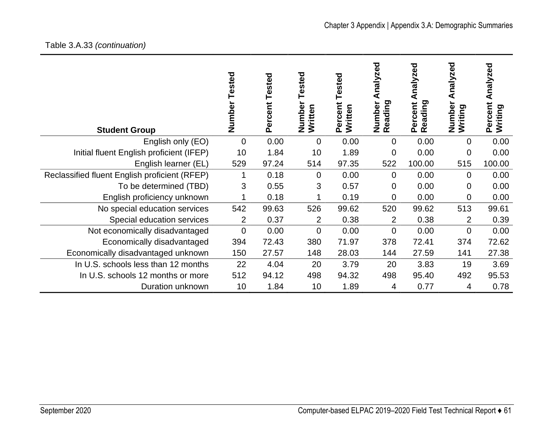| <b>Student Group</b>                          | Tested<br>Number | Percent Tested | ested<br>Number<br>Written | ested<br>Percent<br>Written | nalyzed<br>Reading<br>Number | nalyzed<br>Reading<br>Percent | Analyzed<br>Number<br>Writing | Analyzed<br>Percent<br>Writing |
|-----------------------------------------------|------------------|----------------|----------------------------|-----------------------------|------------------------------|-------------------------------|-------------------------------|--------------------------------|
| English only (EO)                             | $\overline{0}$   | 0.00           | $\overline{0}$             | 0.00                        | 0                            | 0.00                          | $\mathbf 0$                   | 0.00                           |
| Initial fluent English proficient (IFEP)      | 10               | 1.84           | 10                         | 1.89                        | $\overline{0}$               | 0.00                          | $\mathbf 0$                   | 0.00                           |
| English learner (EL)                          | 529              | 97.24          | 514                        | 97.35                       | 522                          | 100.00                        | 515                           | 100.00                         |
| Reclassified fluent English proficient (RFEP) |                  | 0.18           | $\overline{0}$             | 0.00                        | $\Omega$                     | 0.00                          | $\Omega$                      | 0.00                           |
| To be determined (TBD)                        | 3                | 0.55           | 3                          | 0.57                        | 0                            | 0.00                          | 0                             | 0.00                           |
| English proficiency unknown                   |                  | 0.18           |                            | 0.19                        | 0                            | 0.00                          | $\overline{0}$                | 0.00                           |
| No special education services                 | 542              | 99.63          | 526                        | 99.62                       | 520                          | 99.62                         | 513                           | 99.61                          |
| Special education services                    | 2                | 0.37           | $\overline{2}$             | 0.38                        | $\overline{2}$               | 0.38                          | $\overline{2}$                | 0.39                           |
| Not economically disadvantaged                | 0                | 0.00           | $\overline{0}$             | 0.00                        | $\Omega$                     | 0.00                          | $\mathbf 0$                   | 0.00                           |
| Economically disadvantaged                    | 394              | 72.43          | 380                        | 71.97                       | 378                          | 72.41                         | 374                           | 72.62                          |
| Economically disadvantaged unknown            | 150              | 27.57          | 148                        | 28.03                       | 144                          | 27.59                         | 141                           | 27.38                          |
| In U.S. schools less than 12 months           | 22               | 4.04           | 20                         | 3.79                        | 20                           | 3.83                          | 19                            | 3.69                           |
| In U.S. schools 12 months or more             | 512              | 94.12          | 498                        | 94.32                       | 498                          | 95.40                         | 492                           | 95.53                          |
| Duration unknown                              | 10               | 1.84           | 10                         | 1.89                        | 4                            | 0.77                          | 4                             | 0.78                           |

# Table 3.A.33 *(continuation)*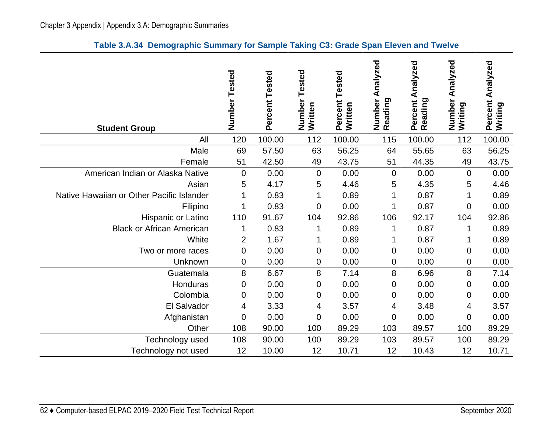| <b>Student Group</b>                      | Number<br>Tested | Percent Tested | Tested<br>Number<br>Written | Percent Tested<br>Written | Analyzed<br>Number<br>Reading | Analyzed<br>Percent<br>Reading | Analyzed<br>Number<br>Writing | Analyzed<br>Percent<br>Writing |
|-------------------------------------------|------------------|----------------|-----------------------------|---------------------------|-------------------------------|--------------------------------|-------------------------------|--------------------------------|
| All                                       | 120              | 100.00         | 112                         | 100.00                    | 115                           | 100.00                         | 112                           | 100.00                         |
| Male                                      | 69               | 57.50          | 63                          | 56.25                     | 64                            | 55.65                          | 63                            | 56.25                          |
| Female                                    | 51               | 42.50          | 49                          | 43.75                     | 51                            | 44.35                          | 49                            | 43.75                          |
| American Indian or Alaska Native          | 0                | 0.00           | $\mathbf 0$                 | 0.00                      | $\overline{0}$                | 0.00                           | $\overline{0}$                | 0.00                           |
| Asian                                     | 5                | 4.17           | 5                           | 4.46                      | 5                             | 4.35                           | 5                             | 4.46                           |
| Native Hawaiian or Other Pacific Islander | 1                | 0.83           | 1                           | 0.89                      | 1                             | 0.87                           | 1                             | 0.89                           |
| Filipino                                  | 1                | 0.83           | 0                           | 0.00                      |                               | 0.87                           | 0                             | 0.00                           |
| Hispanic or Latino                        | 110              | 91.67          | 104                         | 92.86                     | 106                           | 92.17                          | 104                           | 92.86                          |
| <b>Black or African American</b>          | 1                | 0.83           | 1                           | 0.89                      | 1                             | 0.87                           | 1                             | 0.89                           |
| White                                     | $\overline{2}$   | 1.67           | 1                           | 0.89                      | 1                             | 0.87                           | 1                             | 0.89                           |
| Two or more races                         | $\mathbf 0$      | 0.00           | 0                           | 0.00                      | $\mathbf 0$                   | 0.00                           | $\mathbf 0$                   | 0.00                           |
| Unknown                                   | 0                | 0.00           | 0                           | 0.00                      | 0                             | 0.00                           | $\mathbf 0$                   | 0.00                           |
| Guatemala                                 | 8                | 6.67           | 8                           | 7.14                      | 8                             | 6.96                           | 8                             | 7.14                           |
| Honduras                                  | 0                | 0.00           | 0                           | 0.00                      | 0                             | 0.00                           | 0                             | 0.00                           |
| Colombia                                  | 0                | 0.00           | 0                           | 0.00                      | 0                             | 0.00                           | 0                             | 0.00                           |
| El Salvador                               | 4                | 3.33           | 4                           | 3.57                      | 4                             | 3.48                           | 4                             | 3.57                           |
| Afghanistan                               | 0                | 0.00           | 0                           | 0.00                      | $\mathbf 0$                   | 0.00                           | $\mathbf 0$                   | 0.00                           |
| Other                                     | 108              | 90.00          | 100                         | 89.29                     | 103                           | 89.57                          | 100                           | 89.29                          |
| Technology used                           | 108              | 90.00          | 100                         | 89.29                     | 103                           | 89.57                          | 100                           | 89.29                          |
| Technology not used                       | 12               | 10.00          | 12                          | 10.71                     | 12                            | 10.43                          | 12                            | 10.71                          |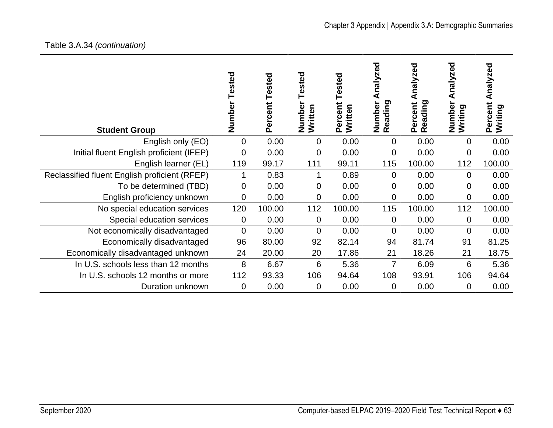## Table 3.A.34 *(continuation)*

| <b>Student Group</b>                          | Number Tested | Percent Tested | ested<br>Number<br>Written | Tested<br>Percent<br>Written | nalyzed<br>Reading<br>Number | nalyzed<br>⋖<br>Reading<br>Percent | Analyzed<br>Number<br>Writing | Analyzed<br>Percent<br>Writing |
|-----------------------------------------------|---------------|----------------|----------------------------|------------------------------|------------------------------|------------------------------------|-------------------------------|--------------------------------|
| English only (EO)                             | 0             | 0.00           | $\mathbf 0$                | 0.00                         | 0                            | 0.00                               | $\mathbf 0$                   | 0.00                           |
| Initial fluent English proficient (IFEP)      | 0             | 0.00           | 0                          | 0.00                         | 0                            | 0.00                               | 0                             | 0.00                           |
| English learner (EL)                          | 119           | 99.17          | 111                        | 99.11                        | 115                          | 100.00                             | 112                           | 100.00                         |
| Reclassified fluent English proficient (RFEP) | 1             | 0.83           | 1                          | 0.89                         | $\overline{0}$               | 0.00                               | $\Omega$                      | 0.00                           |
| To be determined (TBD)                        | 0             | 0.00           | 0                          | 0.00                         | 0                            | 0.00                               | 0                             | 0.00                           |
| English proficiency unknown                   | 0             | 0.00           | 0                          | 0.00                         | 0                            | 0.00                               | 0                             | 0.00                           |
| No special education services                 | 120           | 100.00         | 112                        | 100.00                       | 115                          | 100.00                             | 112                           | 100.00                         |
| Special education services                    | 0             | 0.00           | $\mathbf 0$                | 0.00                         | $\mathbf 0$                  | 0.00                               | $\mathbf 0$                   | 0.00                           |
| Not economically disadvantaged                | 0             | 0.00           | $\overline{0}$             | 0.00                         | $\overline{0}$               | 0.00                               | $\overline{0}$                | 0.00                           |
| Economically disadvantaged                    | 96            | 80.00          | 92                         | 82.14                        | 94                           | 81.74                              | 91                            | 81.25                          |
| Economically disadvantaged unknown            | 24            | 20.00          | 20                         | 17.86                        | 21                           | 18.26                              | 21                            | 18.75                          |
| In U.S. schools less than 12 months           | 8             | 6.67           | 6                          | 5.36                         | 7                            | 6.09                               | 6                             | 5.36                           |
| In U.S. schools 12 months or more             | 112           | 93.33          | 106                        | 94.64                        | 108                          | 93.91                              | 106                           | 94.64                          |
| Duration unknown                              | 0             | 0.00           | $\overline{0}$             | 0.00                         | 0                            | 0.00                               | $\mathbf 0$                   | 0.00                           |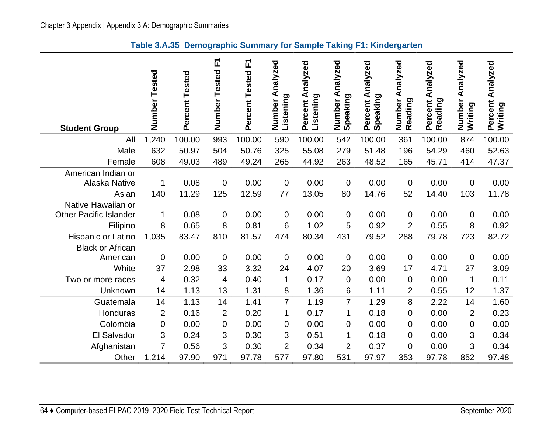**Table 3.A.35 Demographic Summary for Sample Taking F1: Kindergarten** 

|                                                     | Number Tested  | Percent Tested | Number Tested F1 | Percent Tested F1 | Analyzed<br>Listening<br>Number | Percent Analyzed<br>Listening | Analyzed<br>Speaking<br>Number | Percent Analyzed<br>Speaking | Analyzed<br>Number<br>Reading | Percent Analyzed<br>Reading | Analyzed<br>Number<br>Writing | Analyzed<br>Percent<br>Writing |
|-----------------------------------------------------|----------------|----------------|------------------|-------------------|---------------------------------|-------------------------------|--------------------------------|------------------------------|-------------------------------|-----------------------------|-------------------------------|--------------------------------|
| <b>Student Group</b>                                |                |                |                  |                   |                                 |                               |                                |                              |                               |                             |                               |                                |
| All                                                 | 1,240          | 100.00         | 993              | 100.00            | 590                             | 100.00                        | 542                            | 100.00                       | 361                           | 100.00                      | 874                           | 100.00                         |
| Male                                                | 632            | 50.97          | 504              | 50.76             | 325                             | 55.08                         | 279                            | 51.48                        | 196                           | 54.29                       | 460                           | 52.63                          |
| Female                                              | 608            | 49.03          | 489              | 49.24             | 265                             | 44.92                         | 263                            | 48.52                        | 165                           | 45.71                       | 414                           | 47.37                          |
| American Indian or<br><b>Alaska Native</b><br>Asian | 1<br>140       | 0.08           | 0                | 0.00              | $\overline{0}$                  | 0.00                          | $\mathbf 0$                    | 0.00                         | $\mathbf 0$<br>52             | 0.00                        | $\mathbf 0$<br>103            | 0.00                           |
| Native Hawaiian or                                  |                | 11.29          | 125              | 12.59             | 77                              | 13.05                         | 80                             | 14.76                        |                               | 14.40                       |                               | 11.78                          |
| <b>Other Pacific Islander</b>                       | 1              | 0.08           | 0                | 0.00              | $\mathbf 0$                     | 0.00                          | $\mathbf 0$                    | 0.00                         | $\pmb{0}$                     | 0.00                        | 0                             | 0.00                           |
| Filipino                                            | 8              | 0.65           | 8                | 0.81              | 6                               | 1.02                          | 5                              | 0.92                         | $\overline{2}$                | 0.55                        | 8                             | 0.92                           |
| Hispanic or Latino                                  | 1,035          | 83.47          | 810              | 81.57             | 474                             | 80.34                         | 431                            | 79.52                        | 288                           | 79.78                       | 723                           | 82.72                          |
| <b>Black or African</b>                             |                |                |                  |                   |                                 |                               |                                |                              |                               |                             |                               |                                |
| American                                            | $\mathbf 0$    | 0.00           | 0                | 0.00              | 0                               | 0.00                          | $\mathbf 0$                    | 0.00                         | $\boldsymbol{0}$              | 0.00                        | $\mathbf 0$                   | 0.00                           |
| White                                               | 37             | 2.98           | 33               | 3.32              | 24                              | 4.07                          | 20                             | 3.69                         | 17                            | 4.71                        | 27                            | 3.09                           |
| Two or more races                                   | $\overline{4}$ | 0.32           | 4                | 0.40              | $\mathbf 1$                     | 0.17                          | $\mathbf 0$                    | 0.00                         | $\mathbf 0$                   | 0.00                        | 1                             | 0.11                           |
| Unknown                                             | 14             | 1.13           | 13               | 1.31              | 8                               | 1.36                          | 6                              | 1.11                         | $\overline{2}$                | 0.55                        | 12                            | 1.37                           |
| Guatemala                                           | 14             | 1.13           | 14               | 1.41              | $\overline{7}$                  | 1.19                          | $\overline{7}$                 | 1.29                         | 8                             | 2.22                        | 14                            | 1.60                           |
| Honduras                                            | $\overline{2}$ | 0.16           | $\overline{2}$   | 0.20              | 1                               | 0.17                          | 1                              | 0.18                         | $\mathbf 0$                   | 0.00                        | $\overline{2}$                | 0.23                           |
| Colombia                                            | $\mathbf 0$    | 0.00           | 0                | 0.00              | 0                               | 0.00                          | $\mathbf 0$                    | 0.00                         | $\mathbf 0$                   | 0.00                        | $\mathbf 0$                   | 0.00                           |
| El Salvador                                         | 3              | 0.24           | 3                | 0.30              | 3                               | 0.51                          | 1                              | 0.18                         | 0                             | 0.00                        | 3                             | 0.34                           |
| Afghanistan                                         | 7              | 0.56           | 3                | 0.30              | $\overline{2}$                  | 0.34                          | $\overline{2}$                 | 0.37                         | $\mathbf 0$                   | 0.00                        | 3                             | 0.34                           |
| Other                                               | 1,214          | 97.90          | 971              | 97.78             | 577                             | 97.80                         | 531                            | 97.97                        | 353                           | 97.78                       | 852                           | 97.48                          |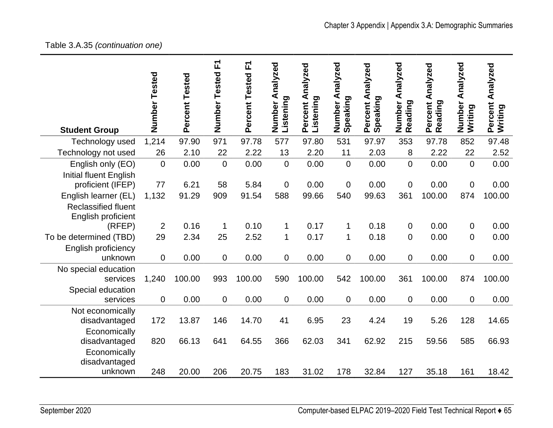# Table 3.A.35 *(continuation one)*

|                               | Number<br>Tested | Percent Tested | 正<br>Number Tested | 고<br>Percent Tested | Analyzed<br>Listening<br>Number | Percent Analyzed<br>Listening | Analyzed<br>Speaking<br>Number | Percent Analyzed<br>Speaking | Number Analyzed<br>Reading | Percent Analyzed<br>Reading | Number Analyzed<br>Writing | Percent Analyzed<br>Writing |
|-------------------------------|------------------|----------------|--------------------|---------------------|---------------------------------|-------------------------------|--------------------------------|------------------------------|----------------------------|-----------------------------|----------------------------|-----------------------------|
| <b>Student Group</b>          |                  |                | 971                |                     |                                 |                               |                                |                              |                            |                             |                            |                             |
| Technology used               | 1,214            | 97.90          |                    | 97.78               | 577                             | 97.80                         | 531                            | 97.97                        | 353                        | 97.78                       | 852                        | 97.48                       |
| Technology not used           | 26               | 2.10           | 22                 | 2.22                | 13                              | 2.20                          | 11                             | 2.03                         | 8                          | 2.22                        | 22                         | 2.52                        |
| English only (EO)             | $\overline{0}$   | 0.00           | 0                  | 0.00                | $\mathbf 0$                     | 0.00                          | $\overline{0}$                 | 0.00                         | $\overline{0}$             | 0.00                        | $\overline{0}$             | 0.00                        |
| <b>Initial fluent English</b> |                  |                |                    |                     |                                 |                               |                                |                              |                            |                             |                            |                             |
| proficient (IFEP)             | 77               | 6.21           | 58                 | 5.84                | 0                               | 0.00                          | $\mathbf 0$                    | 0.00                         | $\mathbf 0$                | 0.00                        | $\mathbf 0$                | 0.00                        |
| English learner (EL)          | 1,132            | 91.29          | 909                | 91.54               | 588                             | 99.66                         | 540                            | 99.63                        | 361                        | 100.00                      | 874                        | 100.00                      |
| <b>Reclassified fluent</b>    |                  |                |                    |                     |                                 |                               |                                |                              |                            |                             |                            |                             |
| English proficient            |                  |                |                    |                     |                                 |                               |                                |                              |                            |                             |                            |                             |
| (RFEP)                        | $\overline{2}$   | 0.16           | 1                  | 0.10                | $\mathbf 1$                     | 0.17                          | 1                              | 0.18                         | $\mathbf 0$                | 0.00                        | 0                          | 0.00                        |
| To be determined (TBD)        | 29               | 2.34           | 25                 | 2.52                | $\mathbf 1$                     | 0.17                          | $\mathbf{1}$                   | 0.18                         | $\mathbf 0$                | 0.00                        | $\mathbf 0$                | 0.00                        |
| English proficiency           |                  |                |                    |                     |                                 |                               |                                |                              |                            |                             |                            |                             |
| unknown                       | $\overline{0}$   | 0.00           | 0                  | 0.00                | 0                               | 0.00                          | $\mathbf 0$                    | 0.00                         | $\overline{0}$             | 0.00                        | $\overline{0}$             | 0.00                        |
| No special education          |                  |                |                    |                     |                                 |                               |                                |                              |                            |                             |                            |                             |
| services                      | 1,240            | 100.00         | 993                | 100.00              | 590                             | 100.00                        | 542                            | 100.00                       | 361                        | 100.00                      | 874                        | 100.00                      |
| Special education             |                  |                |                    |                     |                                 |                               |                                |                              |                            |                             |                            |                             |
| services                      | 0                | 0.00           | 0                  | 0.00                | 0                               | 0.00                          | $\mathbf 0$                    | 0.00                         | $\mathbf 0$                | 0.00                        | $\overline{0}$             | 0.00                        |
| Not economically              |                  |                |                    |                     |                                 |                               |                                |                              |                            |                             |                            |                             |
| disadvantaged                 | 172              | 13.87          | 146                | 14.70               | 41                              | 6.95                          | 23                             | 4.24                         | 19                         | 5.26                        | 128                        | 14.65                       |
| Economically                  |                  |                |                    |                     |                                 |                               |                                |                              |                            |                             |                            |                             |
| disadvantaged                 | 820              | 66.13          | 641                | 64.55               | 366                             | 62.03                         | 341                            | 62.92                        | 215                        | 59.56                       | 585                        | 66.93                       |
| Economically                  |                  |                |                    |                     |                                 |                               |                                |                              |                            |                             |                            |                             |
| disadvantaged                 |                  |                |                    |                     |                                 |                               |                                |                              |                            |                             |                            |                             |
| unknown                       | 248              | 20.00          | 206                | 20.75               | 183                             | 31.02                         | 178                            | 32.84                        | 127                        | 35.18                       | 161                        | 18.42                       |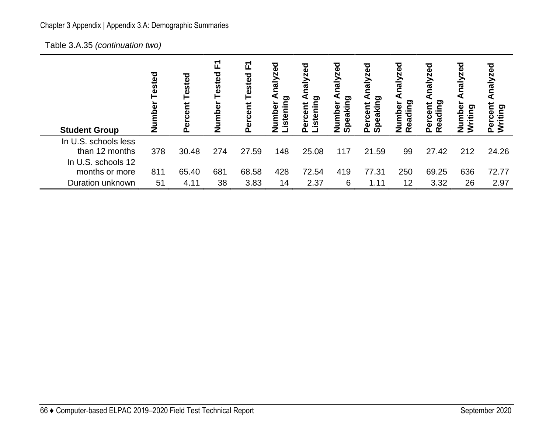# Chapter 3 Appendix | Appendix 3.A: Demographic Summaries

Table 3.A.35 *(continuation two)*

| <b>Student Group</b>                   | ested<br><u>ξ</u><br>ž | ರ<br>ಕ<br>īes<br>rcent<br>آھ<br>P | 됴<br>Tested<br>Number | ∐<br><b>Tested</b><br>rcent<br>ō<br>۵ | τ<br>Ō<br>$\overline{\mathbf{E}}$<br>ත<br>istenin<br>umber | ಠ<br>Σã<br>ਾ<br>₽<br><u>ن</u><br>n<br>ω | zed<br>$\frac{1}{6}$<br>ත<br>ō<br>eaki<br>о<br>o<br>ഗ | ಕಠ<br>Ñ<br>∕lg<br>peaking<br>ercent<br>൨<br>ഗ | <b>Daz</b><br>naly<br>eading<br>umbei<br>$\mathbf{r}$<br>z | zed<br>Reading<br>Percent | nalyzed<br>umber<br>ဥ္<br>涅<br>z | ਹ<br>E<br>ರಾ<br>洹 |
|----------------------------------------|------------------------|-----------------------------------|-----------------------|---------------------------------------|------------------------------------------------------------|-----------------------------------------|-------------------------------------------------------|-----------------------------------------------|------------------------------------------------------------|---------------------------|----------------------------------|-------------------|
| In U.S. schools less<br>than 12 months | 378                    | 30.48                             | 274                   | 27.59                                 | 148                                                        | 25.08                                   | 117                                                   | 21.59                                         | 99                                                         | 27.42                     | 212                              | 24.26             |
| In U.S. schools 12<br>months or more   | 811                    | 65.40                             | 681                   | 68.58                                 | 428                                                        | 72.54                                   | 419                                                   | 77.31                                         | 250                                                        | 69.25                     | 636                              | 72.77             |
| Duration unknown                       | 51                     | 4.11                              | 38                    | 3.83                                  | 14                                                         | 2.37                                    | 6                                                     | 1.11                                          | 12                                                         | 3.32                      | 26                               | 2.97              |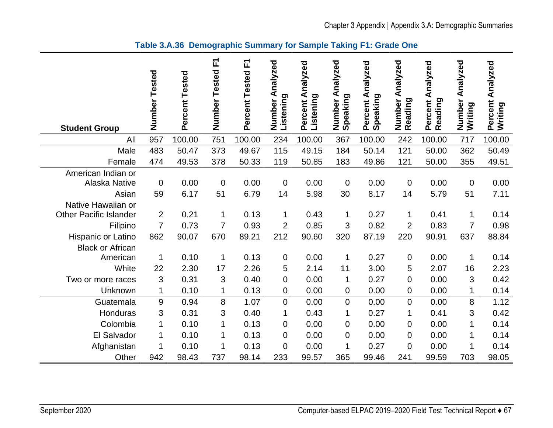| <b>Student Group</b>                                | Number<br>Tested  | Percent Tested | 工<br>Number<br>Tested | 正<br>Percent Tested | nalyzed<br>⋖<br>Listening<br>Number | Percent Analyzed<br>Listening | Analyzed<br>Number A<br>Speaking | Percent Analyzed<br>Speaking | Analyzed<br>Number<br>Reading | Percent Analyzed<br>Reading | Analyzed<br>Number<br>Writing | Percent Analyzed<br>Writing |
|-----------------------------------------------------|-------------------|----------------|-----------------------|---------------------|-------------------------------------|-------------------------------|----------------------------------|------------------------------|-------------------------------|-----------------------------|-------------------------------|-----------------------------|
| All                                                 | 957               | 100.00         | 751                   | 100.00              | 234                                 | 100.00                        | 367                              | 100.00                       | 242                           | 100.00                      | 717                           | 100.00                      |
| Male                                                | 483               | 50.47          | 373                   | 49.67               | 115                                 | 49.15                         | 184                              | 50.14                        | 121                           | 50.00                       | 362                           | 50.49                       |
| Female                                              | 474               | 49.53          | 378                   | 50.33               | 119                                 | 50.85                         | 183                              | 49.86                        | 121                           | 50.00                       | 355                           | 49.51                       |
| American Indian or<br><b>Alaska Native</b><br>Asian | $\mathbf 0$<br>59 | 0.00<br>6.17   | $\mathbf 0$<br>51     | 0.00<br>6.79        | $\mathbf 0$<br>14                   | 0.00<br>5.98                  | $\boldsymbol{0}$<br>30           | 0.00<br>8.17                 | $\mathbf 0$<br>14             | 0.00<br>5.79                | $\mathbf 0$<br>51             | 0.00<br>7.11                |
| Native Hawaiian or<br><b>Other Pacific Islander</b> | $\overline{2}$    | 0.21           | $\mathbf{1}$          | 0.13                | $\mathbf{1}$                        | 0.43                          | 1                                | 0.27                         | 1                             | 0.41                        | $\mathbf 1$                   | 0.14                        |
| Filipino                                            | $\overline{7}$    | 0.73           | $\overline{7}$        | 0.93                | $\overline{2}$                      | 0.85                          | 3                                | 0.82                         | $\overline{2}$                | 0.83                        | $\overline{7}$                | 0.98                        |
| Hispanic or Latino<br><b>Black or African</b>       | 862               | 90.07          | 670                   | 89.21               | 212                                 | 90.60                         | 320                              | 87.19                        | 220                           | 90.91                       | 637                           | 88.84                       |
| American                                            | 1                 | 0.10           | 1                     | 0.13                | $\mathbf 0$                         | 0.00                          | 1                                | 0.27                         | 0                             | 0.00                        | 1                             | 0.14                        |
| White                                               | 22                | 2.30           | 17                    | 2.26                | 5                                   | 2.14                          | 11                               | 3.00                         | 5                             | 2.07                        | 16                            | 2.23                        |
| Two or more races                                   | 3                 | 0.31           | 3                     | 0.40                | $\mathbf 0$                         | 0.00                          | 1                                | 0.27                         | 0                             | 0.00                        | 3                             | 0.42                        |
| Unknown                                             | 1                 | 0.10           | 1                     | 0.13                | 0                                   | 0.00                          | $\mathbf 0$                      | 0.00                         | 0                             | 0.00                        | 1                             | 0.14                        |
| Guatemala                                           | 9                 | 0.94           | 8                     | 1.07                | $\mathbf 0$                         | 0.00                          | $\overline{0}$                   | 0.00                         | $\overline{0}$                | 0.00                        | 8                             | 1.12                        |
| Honduras                                            | 3                 | 0.31           | 3                     | 0.40                | 1                                   | 0.43                          | 1                                | 0.27                         | 1                             | 0.41                        | 3                             | 0.42                        |
| Colombia                                            | 1                 | 0.10           | 1                     | 0.13                | $\mathbf 0$                         | 0.00                          | $\boldsymbol{0}$                 | 0.00                         | 0                             | 0.00                        | 1                             | 0.14                        |
| El Salvador                                         | 1                 | 0.10           | 1                     | 0.13                | $\mathbf 0$                         | 0.00                          | $\mathbf 0$                      | 0.00                         | 0                             | 0.00                        | 1                             | 0.14                        |
| Afghanistan                                         | 1                 | 0.10           | 1                     | 0.13                | $\overline{0}$                      | 0.00                          | 1                                | 0.27                         | $\mathbf 0$                   | 0.00                        | $\mathbf 1$                   | 0.14                        |
| Other                                               | 942               | 98.43          | 737                   | 98.14               | 233                                 | 99.57                         | 365                              | 99.46                        | 241                           | 99.59                       | 703                           | 98.05                       |

**Table 3.A.36 Demographic Summary for Sample Taking F1: Grade One**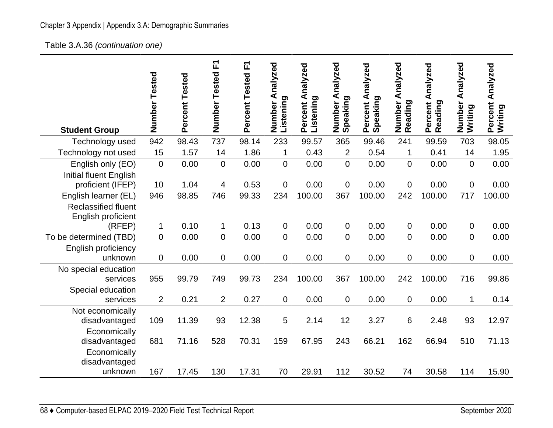# Chapter 3 Appendix | Appendix 3.A: Demographic Summaries

Table 3.A.36 *(continuation one)* 

| <b>Student Group</b>                                                     | Number<br>Tested | Percent Tested | F<br>Number Tested | 正<br>Percent Tested | Number Analyzed<br>Listening | Percent Analyzed<br>Listening | Analyzed<br>Speaking<br>Number | Percent Analyzed<br>Speaking | Analyzed<br>Number<br>Reading | Percent Analyzed<br>Reading | Number Analyzed<br>Writing | Percent Analyzed<br>Writing |
|--------------------------------------------------------------------------|------------------|----------------|--------------------|---------------------|------------------------------|-------------------------------|--------------------------------|------------------------------|-------------------------------|-----------------------------|----------------------------|-----------------------------|
| Technology used                                                          | 942              | 98.43          | 737                | 98.14               | 233                          | 99.57                         | 365                            | 99.46                        | 241                           | 99.59                       | 703                        | 98.05                       |
| Technology not used                                                      | 15               | 1.57           | 14                 | 1.86                | 1                            | 0.43                          | $\overline{2}$                 | 0.54                         | $\mathbf 1$                   | 0.41                        | 14                         | 1.95                        |
| English only (EO)<br><b>Initial fluent English</b>                       | $\overline{0}$   | 0.00           | 0                  | 0.00                | 0                            | 0.00                          | $\overline{0}$                 | 0.00                         | $\overline{0}$                | 0.00                        | $\overline{0}$             | 0.00                        |
| proficient (IFEP)                                                        | 10               | 1.04           | 4                  | 0.53                | 0                            | 0.00                          | $\mathbf 0$                    | 0.00                         | 0                             | 0.00                        | $\mathbf 0$                | 0.00                        |
| English learner (EL)<br><b>Reclassified fluent</b><br>English proficient | 946              | 98.85          | 746                | 99.33               | 234                          | 100.00                        | 367                            | 100.00                       | 242                           | 100.00                      | 717                        | 100.00                      |
| (RFEP)                                                                   | 1                | 0.10           | 1                  | 0.13                | 0                            | 0.00                          | $\mathbf 0$                    | 0.00                         | 0                             | 0.00                        | 0                          | 0.00                        |
| To be determined (TBD)                                                   | $\mathbf 0$      | 0.00           | 0                  | 0.00                | 0                            | 0.00                          | $\mathbf 0$                    | 0.00                         | 0                             | 0.00                        | $\overline{0}$             | 0.00                        |
| English proficiency<br>unknown                                           | $\mathbf 0$      | 0.00           | 0                  | 0.00                | 0                            | 0.00                          | $\mathbf 0$                    | 0.00                         | 0                             | 0.00                        | $\overline{0}$             | 0.00                        |
| No special education<br>services                                         | 955              | 99.79          | 749                | 99.73               | 234                          | 100.00                        | 367                            | 100.00                       | 242                           | 100.00                      | 716                        | 99.86                       |
| Special education<br>services                                            | $\overline{2}$   | 0.21           | $\overline{2}$     | 0.27                | 0                            | 0.00                          | $\mathbf 0$                    | 0.00                         | 0                             | 0.00                        | $\mathbf 1$                | 0.14                        |
| Not economically<br>disadvantaged                                        | 109              | 11.39          | 93                 | 12.38               | 5                            | 2.14                          | 12                             | 3.27                         | 6                             | 2.48                        | 93                         | 12.97                       |
| Economically<br>disadvantaged                                            | 681              | 71.16          | 528                | 70.31               | 159                          | 67.95                         | 243                            | 66.21                        | 162                           | 66.94                       | 510                        | 71.13                       |
| Economically<br>disadvantaged<br>unknown                                 | 167              | 17.45          | 130                | 17.31               | 70                           | 29.91                         | 112                            | 30.52                        | 74                            | 30.58                       | 114                        | 15.90                       |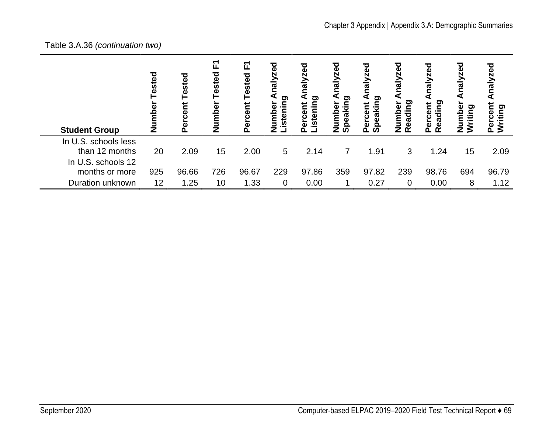### Table 3.A.36 *(continuation two)*

| <b>Student Group</b>                                                           | ested<br>Ž | Tested<br>ercent<br>$\Omega$ | 正<br>Tested<br>Number | 고<br>Tested<br>Percent | ठ<br>०<br>ส<br>ਾ<br>ه | <b>zed</b><br>Naly<br>istening<br>Ĕ<br><b>UOC</b><br>ō | pez<br>Nei<br>eaking<br>$\bar{\mathbf{e}}$<br><u>ទីក</u><br>Ω<br>z<br>ທ | <b>zed</b><br>peaking<br>ercent<br>൨<br>ഗ | nalyzed<br>eading<br>umbe<br>z<br>$\alpha$ | <b>zed</b><br>eading<br>Percent<br>$\alpha$ | nalyzed<br>mber<br>iting<br>$\bar{\bar{z}}$ | τ<br>Ξ<br>ටා<br>itin |
|--------------------------------------------------------------------------------|------------|------------------------------|-----------------------|------------------------|-----------------------|--------------------------------------------------------|-------------------------------------------------------------------------|-------------------------------------------|--------------------------------------------|---------------------------------------------|---------------------------------------------|----------------------|
| In U.S. schools less<br>than 12 months<br>In U.S. schools 12<br>months or more | 20<br>925  | 2.09<br>96.66                | 15<br>726             | 2.00<br>96.67          | 5<br>229              | 2.14<br>97.86                                          | $\overline{7}$<br>359                                                   | 1.91<br>97.82                             | 3<br>239                                   | 1.24<br>98.76                               | 15<br>694                                   | 2.09<br>96.79        |
| Duration unknown                                                               | 12         | 1.25                         | 10                    | 1.33                   | 0                     | 0.00                                                   |                                                                         | 0.27                                      | $\overline{0}$                             | 0.00                                        | 8                                           | 1.12                 |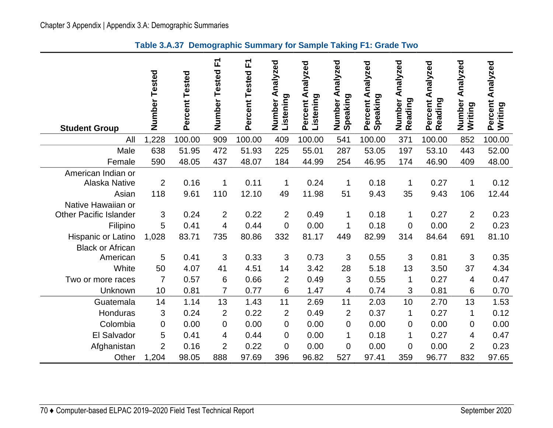|                                            | Number<br>Tested | Percent Tested | Number Tested F1 | Percent Tested F1 | Analyzed<br>Listening<br>Number | Percent Analyzed<br>Listening | Analyzed<br>Speaking<br>Number | Percent Analyzed<br>Speaking | Analyzed<br>Number<br>Reading | Percent Analyzed<br>Reading | Number Analyzed<br>Writing | Analyzed<br>Percent<br>Writing |
|--------------------------------------------|------------------|----------------|------------------|-------------------|---------------------------------|-------------------------------|--------------------------------|------------------------------|-------------------------------|-----------------------------|----------------------------|--------------------------------|
| <b>Student Group</b>                       |                  |                |                  |                   |                                 |                               |                                |                              |                               |                             |                            |                                |
| All                                        | 1,228            | 100.00         | 909              | 100.00            | 409                             | 100.00                        | 541                            | 100.00                       | 371                           | 100.00                      | 852                        | 100.00                         |
| Male                                       | 638              | 51.95          | 472              | 51.93             | 225                             | 55.01                         | 287                            | 53.05                        | 197                           | 53.10                       | 443                        | 52.00                          |
| Female                                     | 590              | 48.05          | 437              | 48.07             | 184                             | 44.99                         | 254                            | 46.95                        | 174                           | 46.90                       | 409                        | 48.00                          |
| American Indian or<br><b>Alaska Native</b> | $\overline{2}$   | 0.16           | $\mathbf{1}$     | 0.11              | 1                               | 0.24                          | $\mathbf 1$                    | 0.18                         | 1                             | 0.27                        | 1                          | 0.12                           |
| Asian                                      | 118              | 9.61           | 110              | 12.10             | 49                              | 11.98                         | 51                             | 9.43                         | 35                            | 9.43                        | 106                        | 12.44                          |
| Native Hawaiian or                         |                  |                |                  |                   |                                 |                               |                                |                              |                               |                             |                            |                                |
| <b>Other Pacific Islander</b>              | 3                | 0.24           | $\overline{2}$   | 0.22              | $\overline{2}$                  | 0.49                          | 1                              | 0.18                         | 1                             | 0.27                        | $\overline{2}$             | 0.23                           |
| Filipino                                   | 5                | 0.41           | 4                | 0.44              | 0                               | 0.00                          | 1                              | 0.18                         | $\mathbf 0$                   | 0.00                        | $\overline{2}$             | 0.23                           |
| Hispanic or Latino                         | 1,028            | 83.71          | 735              | 80.86             | 332                             | 81.17                         | 449                            | 82.99                        | 314                           | 84.64                       | 691                        | 81.10                          |
| <b>Black or African</b>                    |                  |                |                  |                   |                                 |                               |                                |                              |                               |                             |                            |                                |
| American                                   | 5                | 0.41           | 3                | 0.33              | 3                               | 0.73                          | 3                              | 0.55                         | 3                             | 0.81                        | 3                          | 0.35                           |
| White                                      | 50               | 4.07           | 41               | 4.51              | 14                              | 3.42                          | 28                             | 5.18                         | 13                            | 3.50                        | 37                         | 4.34                           |
| Two or more races                          | $\overline{7}$   | 0.57           | 6                | 0.66              | $\overline{2}$                  | 0.49                          | 3                              | 0.55                         | 1                             | 0.27                        | 4                          | 0.47                           |
| Unknown                                    | 10               | 0.81           | $\overline{7}$   | 0.77              | 6                               | 1.47                          | $\overline{4}$                 | 0.74                         | 3                             | 0.81                        | 6                          | 0.70                           |
| Guatemala                                  | 14               | 1.14           | 13               | 1.43              | 11                              | 2.69                          | 11                             | 2.03                         | 10                            | 2.70                        | 13                         | 1.53                           |
| Honduras                                   | 3                | 0.24           | $\overline{2}$   | 0.22              | $\overline{2}$                  | 0.49                          | $\overline{2}$                 | 0.37                         | 1                             | 0.27                        | 1                          | 0.12                           |
| Colombia                                   | $\overline{0}$   | 0.00           | 0                | 0.00              | 0                               | 0.00                          | $\mathbf 0$                    | 0.00                         | $\mathbf 0$                   | 0.00                        | 0                          | 0.00                           |
| El Salvador                                | 5                | 0.41           | 4                | 0.44              | 0                               | 0.00                          | 1                              | 0.18                         | 1                             | 0.27                        | 4                          | 0.47                           |
| Afghanistan                                | $\overline{2}$   | 0.16           | $\overline{2}$   | 0.22              | $\overline{0}$                  | 0.00                          | $\overline{0}$                 | 0.00                         | $\overline{0}$                | 0.00                        | $\overline{2}$             | 0.23                           |
| Other                                      | 1,204            | 98.05          | 888              | 97.69             | 396                             | 96.82                         | 527                            | 97.41                        | 359                           | 96.77                       | 832                        | 97.65                          |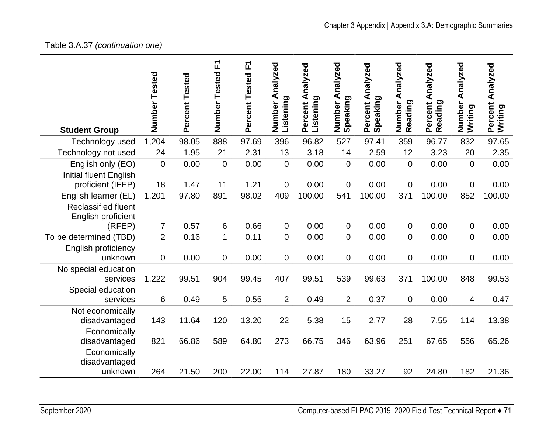## Table 3.A.37 *(continuation one)*

| <b>Student Group</b>                                                            | Number Tested  | Percent Tested | Number Tested F1 | 고<br>Percent Tested | Number Analyzed<br>Listening | Percent Analyzed<br>Listening | Analyzed<br>Speaking<br>Number | Percent Analyzed<br>Speaking | Analyzed<br>Number /<br>Reading | Percent Analyzed<br>Reading | Analyzed<br>Number<br>Writing | Percent Analyzed<br>Writing |
|---------------------------------------------------------------------------------|----------------|----------------|------------------|---------------------|------------------------------|-------------------------------|--------------------------------|------------------------------|---------------------------------|-----------------------------|-------------------------------|-----------------------------|
| Technology used                                                                 | 1,204          | 98.05          | 888              | 97.69               | 396                          | 96.82                         | 527                            | 97.41                        | 359                             | 96.77                       | 832                           | 97.65                       |
| Technology not used                                                             | 24             | 1.95           | 21               | 2.31                | 13                           | 3.18                          | 14                             | 2.59                         | 12                              | 3.23                        | 20                            | 2.35                        |
| English only (EO)<br><b>Initial fluent English</b>                              | $\overline{0}$ | 0.00           | $\mathbf 0$      | 0.00                | $\mathbf 0$                  | 0.00                          | $\mathbf 0$                    | 0.00                         | $\mathbf 0$                     | 0.00                        | $\overline{0}$                | 0.00                        |
| proficient (IFEP)                                                               | 18             | 1.47           | 11               | 1.21                | $\overline{0}$               | 0.00                          | $\boldsymbol{0}$               | 0.00                         | $\boldsymbol{0}$                | 0.00                        | $\mathbf 0$                   | 0.00                        |
| English learner (EL)<br><b>Reclassified fluent</b><br><b>English proficient</b> | 1,201          | 97.80          | 891              | 98.02               | 409                          | 100.00                        | 541                            | 100.00                       | 371                             | 100.00                      | 852                           | 100.00                      |
| (RFEP)                                                                          | $\overline{7}$ | 0.57           | 6                | 0.66                | 0                            | 0.00                          | $\mathbf 0$                    | 0.00                         | 0                               | 0.00                        | $\mathbf 0$                   | 0.00                        |
| To be determined (TBD)<br>English proficiency                                   | $\overline{2}$ | 0.16           | 1                | 0.11                | 0                            | 0.00                          | $\mathbf 0$                    | 0.00                         | $\mathbf 0$                     | 0.00                        | $\overline{0}$                | 0.00                        |
| unknown                                                                         | 0              | 0.00           | 0                | 0.00                | 0                            | 0.00                          | $\boldsymbol{0}$               | 0.00                         | 0                               | 0.00                        | $\mathbf 0$                   | 0.00                        |
| No special education<br>services                                                | 1,222          | 99.51          | 904              | 99.45               | 407                          | 99.51                         | 539                            | 99.63                        | 371                             | 100.00                      | 848                           | 99.53                       |
| Special education<br>services                                                   | 6              | 0.49           | 5                | 0.55                | $\overline{2}$               | 0.49                          | $\overline{2}$                 | 0.37                         | $\mathbf 0$                     | 0.00                        | 4                             | 0.47                        |
| Not economically<br>disadvantaged                                               | 143            | 11.64          | 120              | 13.20               | 22                           | 5.38                          | 15                             | 2.77                         | 28                              | 7.55                        | 114                           | 13.38                       |
| Economically<br>disadvantaged                                                   | 821            | 66.86          | 589              | 64.80               | 273                          | 66.75                         | 346                            | 63.96                        | 251                             | 67.65                       | 556                           | 65.26                       |
| Economically<br>disadvantaged<br>unknown                                        | 264            | 21.50          | 200              | 22.00               | 114                          | 27.87                         | 180                            | 33.27                        | 92                              | 24.80                       | 182                           | 21.36                       |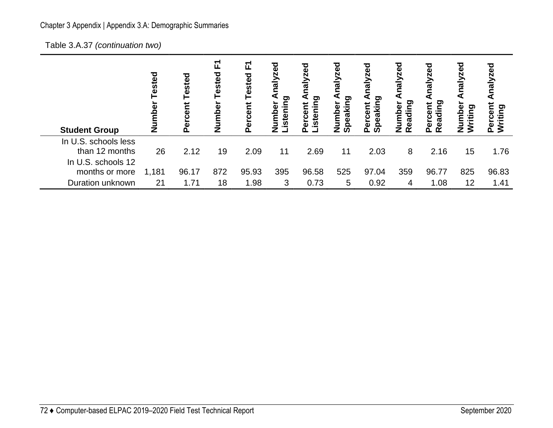Table 3.A.37 *(continuation two)*

| <b>Student Group</b>                                         | ested<br>mbei<br>ž | ested<br><b>Tre</b><br>قا | ↽<br>ய<br>Tested<br>mber<br><u>う</u> | 됴<br>Tested<br>cent<br>ō<br>൨ | రై<br>$\frac{1}{2}$<br>ටා<br>istenin<br>mber | ಠ<br>ත<br>Ξ<br>ω<br>stei<br><u>ت</u><br>Φ | zed<br>ಕ<br>ರಾ<br>ត<br>z<br>ഗ | ढ़<br>Ñ<br>Net<br>eaking<br>rcent<br>ō<br>Ω<br>൨<br>ഗ | paz<br>Μ<br>⋖<br>eading<br>umber<br>$\alpha$<br>z | zed<br>Reading<br>Percent | nalyzed<br>Number<br>ဥ္<br>훋 | o<br>Ξ<br>ರಾ<br>itin |
|--------------------------------------------------------------|--------------------|---------------------------|--------------------------------------|-------------------------------|----------------------------------------------|-------------------------------------------|-------------------------------|-------------------------------------------------------|---------------------------------------------------|---------------------------|------------------------------|----------------------|
| In U.S. schools less<br>than 12 months<br>In U.S. schools 12 | 26                 | 2.12                      | 19                                   | 2.09                          | 11                                           | 2.69                                      | 11                            | 2.03                                                  | 8                                                 | 2.16                      | 15                           | 1.76                 |
| months or more                                               | 1,181              | 96.17                     | 872                                  | 95.93                         | 395                                          | 96.58                                     | 525                           | 97.04                                                 | 359                                               | 96.77                     | 825                          | 96.83                |
| Duration unknown                                             | 21                 | 1.71                      | 18                                   | 1.98                          | 3                                            | 0.73                                      | 5                             | 0.92                                                  | 4                                                 | 1.08                      | 12                           | 1.41                 |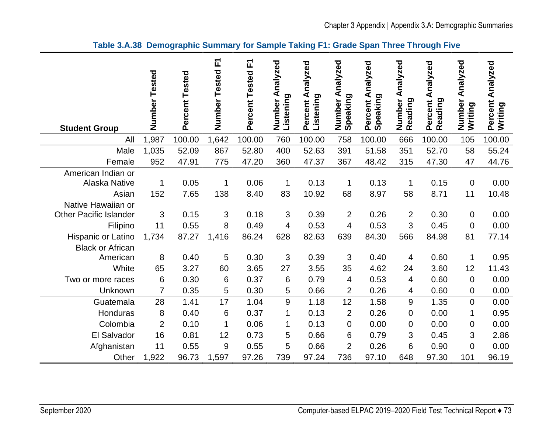### **Table 3.A.38 Demographic Summary for Sample Taking F1: Grade Span Three Through Five**

|                                                     |                |                | Number Tested F1 | Percent Tested F1 | Number Analyzed | Percent Analyzed | Analyzed           | Percent Analyzed<br>Speaking | Analyzed          | Percent Analyzed | Analyzed          | Percent Analyzed |
|-----------------------------------------------------|----------------|----------------|------------------|-------------------|-----------------|------------------|--------------------|------------------------------|-------------------|------------------|-------------------|------------------|
| <b>Student Group</b>                                | Number Tested  | Percent Tested |                  |                   | Listening       | Listening        | Speaking<br>Number |                              | Number<br>Reading | Reading          | Number<br>Writing | Writing          |
| All                                                 | 1,987          | 100.00         | 1,642            | 100.00            | 760             | 100.00           | 758                | 100.00                       | 666               | 100.00           | 105               | 100.00           |
| Male                                                | 1,035          | 52.09          | 867              | 52.80             | 400             | 52.63            | 391                | 51.58                        | 351               | 52.70            | 58                | 55.24            |
| Female                                              | 952            | 47.91          | 775              | 47.20             | 360             | 47.37            | 367                | 48.42                        | 315               | 47.30            | 47                | 44.76            |
| American Indian or<br><b>Alaska Native</b>          | 1              | 0.05           | $\mathbf 1$      | 0.06              | 1               | 0.13             | 1                  | 0.13                         | 1                 | 0.15             | $\mathbf 0$       | 0.00             |
| Asian                                               | 152            | 7.65           | 138              | 8.40              | 83              | 10.92            | 68                 | 8.97                         | 58                | 8.71             | 11                | 10.48            |
| Native Hawaiian or<br><b>Other Pacific Islander</b> | 3              | 0.15           | 3                | 0.18              | 3               | 0.39             | $\overline{2}$     | 0.26                         | $\overline{2}$    | 0.30             | $\mathbf 0$       | 0.00             |
| Filipino                                            | 11             | 0.55           | 8                | 0.49              | 4               | 0.53             | $\overline{4}$     | 0.53                         | 3                 | 0.45             | $\mathbf 0$       | 0.00             |
| Hispanic or Latino<br><b>Black or African</b>       | 1,734          | 87.27          | 1,416            | 86.24             | 628             | 82.63            | 639                | 84.30                        | 566               | 84.98            | 81                | 77.14            |
| American                                            | 8              | 0.40           | 5                | 0.30              | 3               | 0.39             | 3                  | 0.40                         | 4                 | 0.60             | $\mathbf 1$       | 0.95             |
| White                                               | 65             | 3.27           | 60               | 3.65              | 27              | 3.55             | 35                 | 4.62                         | 24                | 3.60             | 12                | 11.43            |
| Two or more races                                   | 6              | 0.30           | $6\phantom{1}6$  | 0.37              | 6               | 0.79             | 4                  | 0.53                         | 4                 | 0.60             | $\mathbf 0$       | 0.00             |
| Unknown                                             | 7              | 0.35           | 5                | 0.30              | 5               | 0.66             | $\overline{2}$     | 0.26                         | 4                 | 0.60             | 0                 | 0.00             |
| Guatemala                                           | 28             | 1.41           | 17               | 1.04              | $\overline{9}$  | 1.18             | 12                 | 1.58                         | 9                 | 1.35             | $\overline{0}$    | 0.00             |
| Honduras                                            | 8              | 0.40           | $6\phantom{1}6$  | 0.37              | $\mathbf 1$     | 0.13             | $\overline{2}$     | 0.26                         | $\mathbf 0$       | 0.00             | $\mathbf{1}$      | 0.95             |
| Colombia                                            | $\overline{2}$ | 0.10           | $\mathbf 1$      | 0.06              | $\mathbf{1}$    | 0.13             | $\overline{0}$     | 0.00                         | $\mathbf 0$       | 0.00             | $\mathbf 0$       | 0.00             |
| El Salvador                                         | 16             | 0.81           | 12               | 0.73              | 5               | 0.66             | 6                  | 0.79                         | 3                 | 0.45             | 3                 | 2.86             |
| Afghanistan                                         | 11             | 0.55           | 9                | 0.55              | 5               | 0.66             | $\overline{2}$     | 0.26                         | 6                 | 0.90             | $\mathbf 0$       | 0.00             |
| Other                                               | 1,922          | 96.73          | 1,597            | 97.26             | 739             | 97.24            | 736                | 97.10                        | 648               | 97.30            | 101               | 96.19            |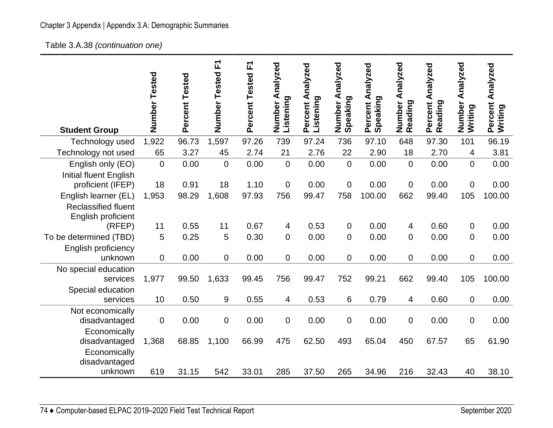Table 3.A.38 *(continuation one)* 

| <b>Student Group</b>                                                     | Number<br>Tested | Percent Tested | F<br>Number<br>Tested | 正<br>Percent Tested | Number Analyzed<br>Listening | Percent Analyzed<br>Listening | Number Analyzed<br>Speaking | Percent Analyzed<br>Speaking | Analyzed<br>Number<br>Reading | Percent Analyzed<br>Reading | Analyzed<br>Number<br>Writing | Percent Analyzed<br>Writing |
|--------------------------------------------------------------------------|------------------|----------------|-----------------------|---------------------|------------------------------|-------------------------------|-----------------------------|------------------------------|-------------------------------|-----------------------------|-------------------------------|-----------------------------|
| Technology used                                                          | 1,922            | 96.73          | 1,597                 | 97.26               | 739                          | 97.24                         | 736                         | 97.10                        | 648                           | 97.30                       | 101                           | 96.19                       |
| Technology not used                                                      | 65               | 3.27           | 45                    | 2.74                | 21                           | 2.76                          | 22                          | 2.90                         | 18                            | 2.70                        | 4                             | 3.81                        |
| English only (EO)<br><b>Initial fluent English</b>                       | $\Omega$         | 0.00           | $\overline{0}$        | 0.00                | $\mathbf 0$                  | 0.00                          | $\overline{0}$              | 0.00                         | $\overline{0}$                | 0.00                        | $\overline{0}$                | 0.00                        |
| proficient (IFEP)                                                        | 18               | 0.91           | 18                    | 1.10                | $\boldsymbol{0}$             | 0.00                          | $\overline{0}$              | 0.00                         | $\mathbf 0$                   | 0.00                        | $\mathbf 0$                   | 0.00                        |
| English learner (EL)<br><b>Reclassified fluent</b><br>English proficient | 1,953            | 98.29          | 1,608                 | 97.93               | 756                          | 99.47                         | 758                         | 100.00                       | 662                           | 99.40                       | 105                           | 100.00                      |
| (RFEP)                                                                   | 11               | 0.55           | 11                    | 0.67                | 4                            | 0.53                          | 0                           | 0.00                         | 4                             | 0.60                        | 0                             | 0.00                        |
| To be determined (TBD)                                                   | 5                | 0.25           | 5                     | 0.30                | $\mathbf 0$                  | 0.00                          | 0                           | 0.00                         | $\mathbf 0$                   | 0.00                        | $\mathbf 0$                   | 0.00                        |
| English proficiency<br>unknown                                           | $\overline{0}$   | 0.00           | $\mathbf 0$           | 0.00                | $\mathbf 0$                  | 0.00                          | 0                           | 0.00                         | $\mathbf 0$                   | 0.00                        | $\mathbf 0$                   | 0.00                        |
| No special education                                                     |                  |                |                       |                     |                              |                               |                             |                              |                               |                             |                               |                             |
| services<br>Special education                                            | 1,977            | 99.50          | 1,633                 | 99.45               | 756                          | 99.47                         | 752                         | 99.21                        | 662                           | 99.40                       | 105                           | 100.00                      |
| services                                                                 | 10               | 0.50           | 9                     | 0.55                | 4                            | 0.53                          | 6                           | 0.79                         | 4                             | 0.60                        | $\mathbf 0$                   | 0.00                        |
| Not economically<br>disadvantaged                                        | $\overline{0}$   | 0.00           | $\boldsymbol{0}$      | 0.00                | $\boldsymbol{0}$             | 0.00                          | 0                           | 0.00                         | $\overline{0}$                | 0.00                        | $\boldsymbol{0}$              | 0.00                        |
| Economically<br>disadvantaged                                            | 1,368            | 68.85          | 1,100                 | 66.99               | 475                          | 62.50                         | 493                         | 65.04                        | 450                           | 67.57                       | 65                            | 61.90                       |
| Economically<br>disadvantaged<br>unknown                                 | 619              | 31.15          | 542                   | 33.01               | 285                          | 37.50                         | 265                         | 34.96                        | 216                           | 32.43                       | 40                            | 38.10                       |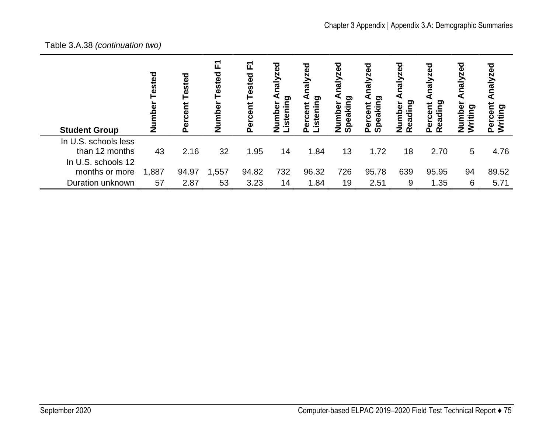# Table 3.A.38 *(continuation two)*

| <b>Student Group</b>                                         | Tested<br>mbel<br>ž | ℧<br>Teste<br>Φ<br>Δ. | 됴<br>Tested<br>Number | 고<br>ਹ<br>Teste<br>$\mathbf{a}$ | ಠ<br>naly<br>istening<br>Number | lalyzed<br>o<br>istening<br>ercent<br>n | ್ಳಾ<br>ত<br>ටා<br>peakin<br>umber<br>z<br>ഗ | zed<br>Μ<br>ත<br><u>ت</u><br>$\overline{\mathbf{a}}$<br>മഗ | <b>Daz</b><br>$\frac{1}{6}$<br>ဥ္<br>ەً<br>Ω<br>ಡ<br>zα | halyzed<br>ဥ<br>Percent<br>Readi | nalyzed<br>Φ<br>iting<br>ά<br>Ε<br>š<br>Ž. | o<br>iyze<br>I<br>rcent<br>iting<br>$\dot{\bar{\mathbf{z}}}$<br>Δ. |
|--------------------------------------------------------------|---------------------|-----------------------|-----------------------|---------------------------------|---------------------------------|-----------------------------------------|---------------------------------------------|------------------------------------------------------------|---------------------------------------------------------|----------------------------------|--------------------------------------------|--------------------------------------------------------------------|
| In U.S. schools less<br>than 12 months<br>In U.S. schools 12 | 43                  | 2.16                  | 32                    | 1.95                            | 14                              | 1.84                                    | 13                                          | 1.72                                                       | 18                                                      | 2.70                             | 5                                          | 4.76                                                               |
| months or more                                               | 1,887               | 94.97                 | 1,557                 | 94.82                           | 732                             | 96.32                                   | 726                                         | 95.78                                                      | 639                                                     | 95.95                            | 94                                         | 89.52                                                              |
| Duration unknown                                             | 57                  | 2.87                  | 53                    | 3.23                            | 14                              | 1.84                                    | 19                                          | 2.51                                                       | 9                                                       | 1.35                             | 6                                          | 5.71                                                               |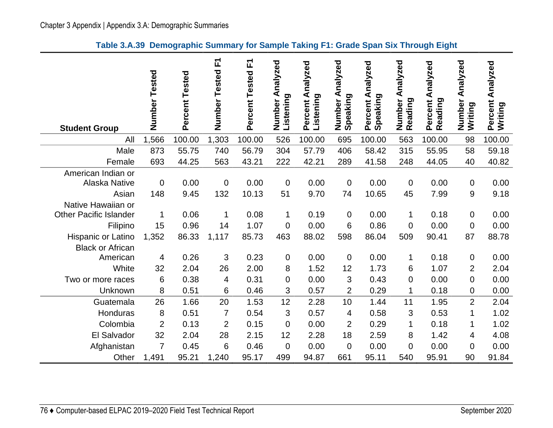### **Table 3.A.39 Demographic Summary for Sample Taking F1: Grade Span Six Through Eight**

| <b>Student Group</b>                                | Number Tested      | Percent Tested | Number Tested F1   | 正<br>Percent Tested | Number Analyzed<br>Listening | Percent Analyzed<br>Listening | Analyzed<br>Speaking<br>Number | Percent Analyzed<br>Speaking | Analyzed<br>Number<br>Reading | Percent Analyzed<br>Reading | Analyzed<br>Number<br>Writing | Percent Analyzed<br>Writing |
|-----------------------------------------------------|--------------------|----------------|--------------------|---------------------|------------------------------|-------------------------------|--------------------------------|------------------------------|-------------------------------|-----------------------------|-------------------------------|-----------------------------|
| All                                                 | 1,566              | 100.00         | 1,303              | 100.00              | 526                          | 100.00                        | 695                            | 100.00                       | 563                           | 100.00                      | 98                            | 100.00                      |
| Male                                                | 873                | 55.75          | 740                | 56.79               | 304                          | 57.79                         | 406                            | 58.42                        | 315                           | 55.95                       | 58                            | 59.18                       |
| Female                                              | 693                | 44.25          | 563                | 43.21               | 222                          | 42.21                         | 289                            | 41.58                        | 248                           | 44.05                       | 40                            | 40.82                       |
| American Indian or<br><b>Alaska Native</b><br>Asian | $\mathbf 0$<br>148 | 0.00<br>9.45   | $\mathbf 0$<br>132 | 0.00<br>10.13       | $\mathbf 0$<br>51            | 0.00<br>9.70                  | $\overline{0}$<br>74           | 0.00<br>10.65                | $\mathbf 0$<br>45             | 0.00<br>7.99                | 0<br>9                        | 0.00<br>9.18                |
| Native Hawaiian or<br><b>Other Pacific Islander</b> |                    | 0.06           |                    | 0.08                |                              | 0.19                          |                                | 0.00                         |                               | 0.18                        |                               | 0.00                        |
|                                                     | 1                  |                | 1                  |                     | $\mathbf 1$                  |                               | $\mathbf 0$                    |                              | $\mathbf 1$                   |                             | 0                             |                             |
| Filipino                                            | 15                 | 0.96           | 14                 | 1.07                | $\overline{0}$               | 0.00                          | 6                              | 0.86                         | 0                             | 0.00                        | 0                             | 0.00                        |
| Hispanic or Latino<br><b>Black or African</b>       | 1,352              | 86.33          | 1,117              | 85.73               | 463                          | 88.02                         | 598                            | 86.04                        | 509                           | 90.41                       | 87                            | 88.78                       |
| American                                            | 4                  | 0.26           | 3                  | 0.23                | $\mathbf 0$                  | 0.00                          | $\mathbf 0$                    | 0.00                         | 1                             | 0.18                        | 0                             | 0.00                        |
| White                                               | 32                 | 2.04           | 26                 | 2.00                | 8                            | 1.52                          | 12                             | 1.73                         | 6                             | 1.07                        | $\overline{2}$                | 2.04                        |
| Two or more races                                   | 6                  | 0.38           | $\overline{4}$     | 0.31                | $\overline{0}$               | 0.00                          | 3                              | 0.43                         | $\mathbf 0$                   | 0.00                        | 0                             | 0.00                        |
| Unknown                                             | 8                  | 0.51           | 6                  | 0.46                | 3                            | 0.57                          | $\overline{2}$                 | 0.29                         | 1                             | 0.18                        | 0                             | 0.00                        |
| Guatemala                                           | 26                 | 1.66           | 20                 | 1.53                | 12                           | 2.28                          | 10                             | 1.44                         | 11                            | 1.95                        | $\overline{2}$                | 2.04                        |
| Honduras                                            | 8                  | 0.51           | $\overline{7}$     | 0.54                | 3                            | 0.57                          | 4                              | 0.58                         | 3                             | 0.53                        | 1                             | 1.02                        |
| Colombia                                            | $\overline{2}$     | 0.13           | $\overline{2}$     | 0.15                | $\overline{0}$               | 0.00                          | $\overline{2}$                 | 0.29                         | 1                             | 0.18                        | 1                             | 1.02                        |
| El Salvador                                         | 32                 | 2.04           | 28                 | 2.15                | 12                           | 2.28                          | 18                             | 2.59                         | 8                             | 1.42                        | 4                             | 4.08                        |
| Afghanistan                                         | $\overline{7}$     | 0.45           | 6                  | 0.46                | $\overline{0}$               | 0.00                          | $\overline{0}$                 | 0.00                         | 0                             | 0.00                        | 0                             | 0.00                        |
| Other                                               | 1,491              | 95.21          | 1,240              | 95.17               | 499                          | 94.87                         | 661                            | 95.11                        | 540                           | 95.91                       | 90                            | 91.84                       |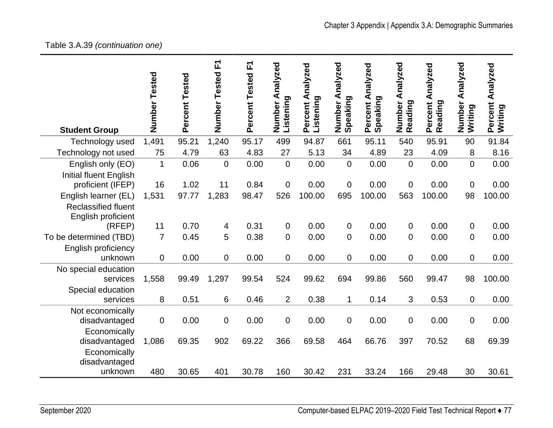## Table 3.A.39 *(continuation one)*

| <b>Student Group</b>                               | Number<br>Tested | Percent Tested | Number Tested F1 | Percent Tested F1 | Number Analyzed<br>Listening | Percent Analyzed<br>Listening | Analyzed<br>Speaking<br>Number | Percent Analyzed<br>Speaking | Analyzed<br>Number<br>Reading | Percent Analyzed<br>Reading | Analyzed<br>Number<br>Writing | Percent Analyzed<br>Writing |
|----------------------------------------------------|------------------|----------------|------------------|-------------------|------------------------------|-------------------------------|--------------------------------|------------------------------|-------------------------------|-----------------------------|-------------------------------|-----------------------------|
| Technology used                                    | 1,491            | 95.21          | 1,240            | 95.17             | 499                          | 94.87                         | 661                            | 95.11                        | 540                           | 95.91                       | 90                            | 91.84                       |
| Technology not used                                | 75               | 4.79           | 63               | 4.83              | 27                           | 5.13                          | 34                             | 4.89                         | 23                            | 4.09                        | 8                             | 8.16                        |
| English only (EO)<br><b>Initial fluent English</b> | $\mathbf{1}$     | 0.06           | $\mathbf 0$      | 0.00              | $\overline{0}$               | 0.00                          | $\overline{0}$                 | 0.00                         | $\mathbf 0$                   | 0.00                        | $\overline{0}$                | 0.00                        |
| proficient (IFEP)                                  | 16               | 1.02           | 11               | 0.84              | $\boldsymbol{0}$             | 0.00                          | $\mathbf 0$                    | 0.00                         | $\mathbf 0$                   | 0.00                        | $\mathbf 0$                   | 0.00                        |
| English learner (EL)                               | 1,531            | 97.77          | 1,283            | 98.47             | 526                          | 100.00                        | 695                            | 100.00                       | 563                           | 100.00                      | 98                            | 100.00                      |
| <b>Reclassified fluent</b><br>English proficient   |                  |                |                  |                   |                              |                               |                                |                              |                               |                             |                               |                             |
| (RFEP)                                             | 11               | 0.70           | 4                | 0.31              | $\overline{0}$               | 0.00                          | $\overline{0}$                 | 0.00                         | 0                             | 0.00                        | 0                             | 0.00                        |
| To be determined (TBD)<br>English proficiency      | $\overline{7}$   | 0.45           | 5                | 0.38              | $\mathbf 0$                  | 0.00                          | 0                              | 0.00                         | 0                             | 0.00                        | 0                             | 0.00                        |
| unknown                                            | 0                | 0.00           | $\mathbf 0$      | 0.00              | 0                            | 0.00                          | $\overline{0}$                 | 0.00                         | $\mathbf 0$                   | 0.00                        | $\mathbf 0$                   | 0.00                        |
| No special education                               |                  |                |                  |                   |                              |                               |                                |                              |                               |                             |                               |                             |
| services                                           | 1,558            | 99.49          | 1,297            | 99.54             | 524                          | 99.62                         | 694                            | 99.86                        | 560                           | 99.47                       | 98                            | 100.00                      |
| Special education                                  |                  |                |                  |                   |                              |                               |                                |                              |                               |                             |                               |                             |
| services                                           | 8                | 0.51           | 6                | 0.46              | $\overline{2}$               | 0.38                          | 1                              | 0.14                         | 3                             | 0.53                        | 0                             | 0.00                        |
| Not economically<br>disadvantaged                  | 0                | 0.00           | $\boldsymbol{0}$ | 0.00              | $\boldsymbol{0}$             | 0.00                          | $\mathbf 0$                    | 0.00                         | $\boldsymbol{0}$              | 0.00                        | 0                             | 0.00                        |
| Economically                                       |                  |                |                  |                   |                              |                               |                                |                              |                               |                             |                               |                             |
| disadvantaged                                      | 1,086            | 69.35          | 902              | 69.22             | 366                          | 69.58                         | 464                            | 66.76                        | 397                           | 70.52                       | 68                            | 69.39                       |
| Economically<br>disadvantaged                      |                  |                |                  |                   |                              |                               |                                |                              |                               |                             |                               |                             |
| unknown                                            | 480              | 30.65          | 401              | 30.78             | 160                          | 30.42                         | 231                            | 33.24                        | 166                           | 29.48                       | 30                            | 30.61                       |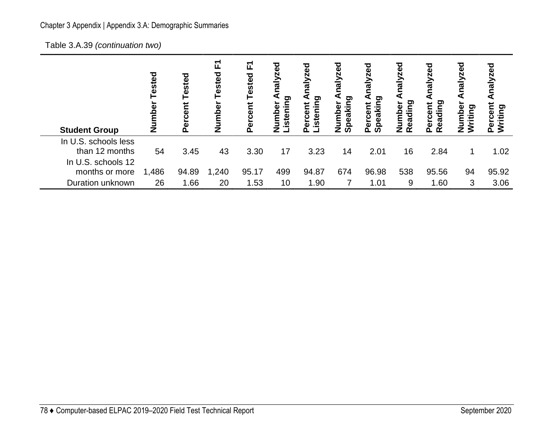Table 3.A.39 *(continuation two)*

| <b>Student Group</b>                                         | ested<br>mbe<br>ž | შ<br>მ<br>ies<br>ھ<br>ھ | 고<br>Tested<br>Number | 正<br>Tested<br>rcent<br>_<br><u>ዉ</u> | ℧<br>Analy<br>istening<br>umber<br>7 | lyzed<br>₫<br>istening<br>rcent<br>ō<br>൨ | ా<br>peaking<br>umber<br>z | ಠ<br>ΣĒ<br><u>ත</u><br>ω<br>ن<br>ō<br>൨ | ಠ<br>ဥ<br>ه<br>eadii<br>$\boldsymbol{\gamma}$ | යි<br><b>Nalyze</b><br>ဥ<br>Percent<br>Readi | nalyzed<br>Φ<br>ρg<br>$\mathbf \Omega$<br>追<br>Z | nalyzed<br>Percent<br>Writing |
|--------------------------------------------------------------|-------------------|-------------------------|-----------------------|---------------------------------------|--------------------------------------|-------------------------------------------|----------------------------|-----------------------------------------|-----------------------------------------------|----------------------------------------------|--------------------------------------------------|-------------------------------|
| In U.S. schools less<br>than 12 months<br>In U.S. schools 12 | 54                | 3.45                    | 43                    | 3.30                                  | 17                                   | 3.23                                      | 14                         | 2.01                                    | 16                                            | 2.84                                         | 1                                                | 1.02                          |
| months or more                                               | 1,486             | 94.89                   | 1,240                 | 95.17                                 | 499                                  | 94.87                                     | 674                        | 96.98                                   | 538                                           | 95.56                                        | 94                                               | 95.92                         |
| Duration unknown                                             | 26                | 1.66                    | 20                    | 1.53                                  | 10                                   | 1.90                                      |                            | 1.01                                    | 9                                             | 1.60                                         | 3                                                | 3.06                          |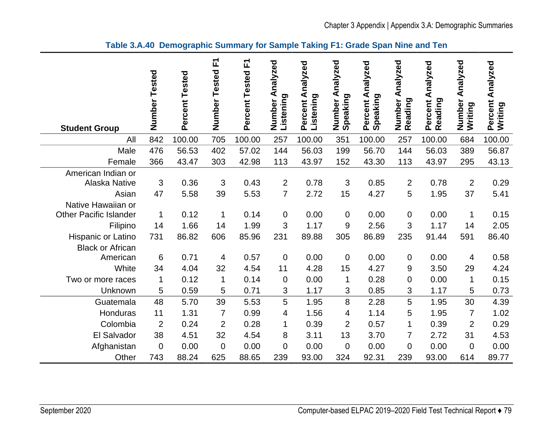| <b>Student Group</b>                                               | Number<br>Tested | Percent Tested | 고<br>Number Tested | 고<br>Percent Tested | nalyzed<br>₹<br>Listening<br>Number | Percent Analyzed<br>Listening | Number Analyzed<br>Speaking | Percent Analyzed<br>Speaking | Number Analyzed<br>Reading | Percent Analyzed<br>Reading | Number Analyzed<br>Writing | Percent Analyzed<br>Writing |
|--------------------------------------------------------------------|------------------|----------------|--------------------|---------------------|-------------------------------------|-------------------------------|-----------------------------|------------------------------|----------------------------|-----------------------------|----------------------------|-----------------------------|
| All                                                                | 842              | 100.00         | 705                | 100.00              | 257                                 | 100.00                        | 351                         | 100.00                       | 257                        | 100.00                      | 684                        | 100.00                      |
| Male                                                               | 476              | 56.53          | 402                | 57.02               | 144                                 | 56.03                         | 199                         | 56.70                        | 144                        | 56.03                       | 389                        | 56.87                       |
| Female                                                             | 366              | 43.47          | 303                | 42.98               | 113                                 | 43.97                         | 152                         | 43.30                        | 113                        | 43.97                       | 295                        | 43.13                       |
| American Indian or<br>Alaska Native<br>Asian<br>Native Hawaiian or | 3<br>47          | 0.36<br>5.58   | 3<br>39            | 0.43<br>5.53        | $\overline{2}$<br>$\overline{7}$    | 0.78<br>2.72                  | 3<br>15                     | 0.85<br>4.27                 | $\overline{2}$<br>5        | 0.78<br>1.95                | $\overline{2}$<br>37       | 0.29<br>5.41                |
| <b>Other Pacific Islander</b>                                      | 1                | 0.12           | 1                  | 0.14                | $\boldsymbol{0}$                    | 0.00                          | $\boldsymbol{0}$            | 0.00                         | $\pmb{0}$                  | 0.00                        | 1                          | 0.15                        |
| Filipino                                                           | 14               | 1.66           | 14                 | 1.99                | 3                                   | 1.17                          | 9                           | 2.56                         | 3                          | 1.17                        | 14                         | 2.05                        |
| Hispanic or Latino<br><b>Black or African</b>                      | 731              | 86.82          | 606                | 85.96               | 231                                 | 89.88                         | 305                         | 86.89                        | 235                        | 91.44                       | 591                        | 86.40                       |
| American                                                           | 6                | 0.71           | 4                  | 0.57                | $\mathbf 0$                         | 0.00                          | 0                           | 0.00                         | $\pmb{0}$                  | 0.00                        | 4                          | 0.58                        |
| White                                                              | 34               | 4.04           | 32                 | 4.54                | 11                                  | 4.28                          | 15                          | 4.27                         | $\boldsymbol{9}$           | 3.50                        | 29                         | 4.24                        |
| Two or more races                                                  | 1                | 0.12           | 1                  | 0.14                | $\boldsymbol{0}$                    | 0.00                          | 1                           | 0.28                         | 0                          | 0.00                        | 1                          | 0.15                        |
| Unknown                                                            | 5                | 0.59           | 5                  | 0.71                | $\mathfrak{S}$                      | 1.17                          | 3                           | 0.85                         | 3                          | 1.17                        | 5                          | 0.73                        |
| Guatemala                                                          | 48               | 5.70           | 39                 | 5.53                | 5                                   | 1.95                          | 8                           | 2.28                         | 5                          | 1.95                        | 30                         | 4.39                        |
| Honduras                                                           | 11               | 1.31           | 7                  | 0.99                | 4                                   | 1.56                          | 4                           | 1.14                         | 5                          | 1.95                        | $\overline{7}$             | 1.02                        |
| Colombia                                                           | $\overline{2}$   | 0.24           | $\overline{2}$     | 0.28                | 1                                   | 0.39                          | $\overline{2}$              | 0.57                         | 1                          | 0.39                        | $\overline{2}$             | 0.29                        |
| El Salvador                                                        | 38               | 4.51           | 32                 | 4.54                | 8                                   | 3.11                          | 13                          | 3.70                         | 7                          | 2.72                        | 31                         | 4.53                        |
| Afghanistan                                                        | $\mathbf 0$      | 0.00           | $\overline{0}$     | 0.00                | $\mathbf 0$                         | 0.00                          | $\boldsymbol{0}$            | 0.00                         | $\mathbf 0$                | 0.00                        | $\mathbf 0$                | 0.00                        |
| Other                                                              | 743              | 88.24          | 625                | 88.65               | 239                                 | 93.00                         | 324                         | 92.31                        | 239                        | 93.00                       | 614                        | 89.77                       |

### **Table 3.A.40 Demographic Summary for Sample Taking F1: Grade Span Nine and Ten**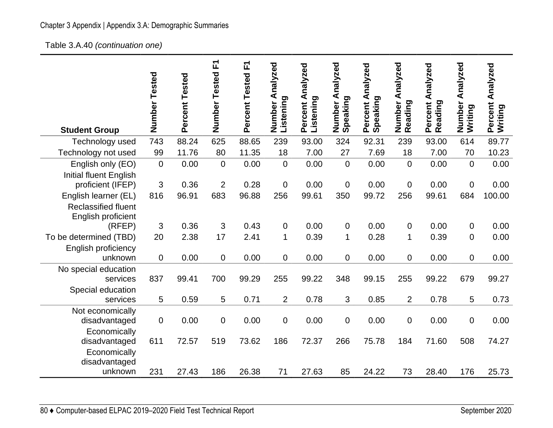Table 3.A.40 *(continuation one)* 

|                                                    | Number<br>Tested | Percent Tested | F<br>Number<br>Tested | 正<br>Percent Tested | Number Analyzed<br>Listening | Percent Analyzed<br>Listening | Analyzed<br>Speaking<br>Number | Percent Analyzed<br>Speaking | Analyzed<br>Number<br>Reading | Percent Analyzed<br>Reading | Number Analyzed<br>Writing | Percent Analyzed<br>Writing |
|----------------------------------------------------|------------------|----------------|-----------------------|---------------------|------------------------------|-------------------------------|--------------------------------|------------------------------|-------------------------------|-----------------------------|----------------------------|-----------------------------|
| <b>Student Group</b>                               |                  |                |                       |                     |                              |                               |                                |                              |                               |                             |                            |                             |
| Technology used                                    | 743              | 88.24          | 625                   | 88.65               | 239                          | 93.00                         | 324                            | 92.31                        | 239                           | 93.00                       | 614                        | 89.77                       |
| Technology not used                                | 99               | 11.76          | 80                    | 11.35               | 18                           | 7.00                          | 27                             | 7.69                         | 18                            | 7.00                        | 70                         | 10.23                       |
| English only (EO)                                  | $\mathbf 0$      | 0.00           | 0                     | 0.00                | 0                            | 0.00                          | $\mathbf 0$                    | 0.00                         | $\mathbf 0$                   | 0.00                        | $\mathbf 0$                | 0.00                        |
| <b>Initial fluent English</b><br>proficient (IFEP) | 3                | 0.36           | $\overline{2}$        | 0.28                | 0                            | 0.00                          | $\mathbf 0$                    | 0.00                         | 0                             | 0.00                        | $\mathbf 0$                | 0.00                        |
| English learner (EL)                               | 816              | 96.91          | 683                   | 96.88               | 256                          | 99.61                         | 350                            | 99.72                        | 256                           | 99.61                       | 684                        | 100.00                      |
| <b>Reclassified fluent</b><br>English proficient   |                  |                |                       |                     |                              |                               |                                |                              |                               |                             |                            |                             |
| (RFEP)                                             | 3                | 0.36           | 3                     | 0.43                | 0                            | 0.00                          | $\overline{0}$                 | 0.00                         | 0                             | 0.00                        | 0                          | 0.00                        |
| To be determined (TBD)                             | 20               | 2.38           | 17                    | 2.41                | 1                            | 0.39                          | $\mathbf{1}$                   | 0.28                         | $\mathbf 1$                   | 0.39                        | $\overline{0}$             | 0.00                        |
| English proficiency                                |                  |                |                       |                     |                              |                               |                                |                              |                               |                             |                            |                             |
| unknown                                            | $\mathbf 0$      | 0.00           | 0                     | 0.00                | 0                            | 0.00                          | $\mathbf 0$                    | 0.00                         | 0                             | 0.00                        | $\mathbf 0$                | 0.00                        |
| No special education                               |                  |                |                       |                     |                              |                               |                                |                              |                               |                             |                            |                             |
| services                                           | 837              | 99.41          | 700                   | 99.29               | 255                          | 99.22                         | 348                            | 99.15                        | 255                           | 99.22                       | 679                        | 99.27                       |
| Special education<br>services                      | 5                | 0.59           | 5                     | 0.71                | $\overline{2}$               | 0.78                          | 3                              | 0.85                         | $\overline{2}$                | 0.78                        | 5                          | 0.73                        |
| Not economically                                   |                  |                |                       |                     |                              |                               |                                |                              |                               |                             |                            |                             |
| disadvantaged                                      | $\mathbf 0$      | 0.00           | 0                     | 0.00                | 0                            | 0.00                          | $\mathbf 0$                    | 0.00                         | 0                             | 0.00                        | $\mathbf 0$                | 0.00                        |
| Economically                                       |                  |                |                       |                     |                              |                               |                                |                              |                               |                             |                            |                             |
| disadvantaged                                      | 611              | 72.57          | 519                   | 73.62               | 186                          | 72.37                         | 266                            | 75.78                        | 184                           | 71.60                       | 508                        | 74.27                       |
| Economically                                       |                  |                |                       |                     |                              |                               |                                |                              |                               |                             |                            |                             |
| disadvantaged                                      |                  |                |                       |                     |                              |                               |                                |                              |                               |                             |                            |                             |
| unknown                                            | 231              | 27.43          | 186                   | 26.38               | 71                           | 27.63                         | 85                             | 24.22                        | 73                            | 28.40                       | 176                        | 25.73                       |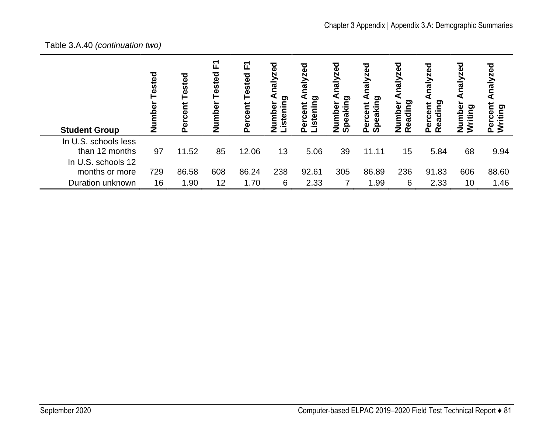### Table 3.A.40 *(continuation two)*

| <b>Student Group</b>                                         | Tested<br>Ž | Tested<br>rcent | 正<br>Tested<br>Number | 正<br>Tested<br>Percent | రై<br>$\frac{1}{2}$<br>o.<br>ه<br>م<br>E<br>sten | zed<br>Neu<br>gui<br>ざ<br>isteni<br>ნე<br>ს<br>ō | <b>zed</b><br>naly<br>peaking<br>ō<br>ξ<br>z<br>ഗ | lalyzed<br>peaking<br>Percent<br>ທ | nalyzed<br>⋖<br>eading<br>umber<br>z<br>$\alpha$ | nalyzed<br>Reading<br>Percent | Analyzed<br>umber<br>iting<br>š<br>z | ਠ<br>E<br>ರಾ<br>洹 |
|--------------------------------------------------------------|-------------|-----------------|-----------------------|------------------------|--------------------------------------------------|--------------------------------------------------|---------------------------------------------------|------------------------------------|--------------------------------------------------|-------------------------------|--------------------------------------|-------------------|
| In U.S. schools less<br>than 12 months<br>In U.S. schools 12 | 97          | 11.52           | 85                    | 12.06                  | 13                                               | 5.06                                             | 39                                                | 11.11                              | 15                                               | 5.84                          | 68                                   | 9.94              |
| months or more                                               | 729         | 86.58           | 608                   | 86.24                  | 238                                              | 92.61                                            | 305                                               | 86.89                              | 236                                              | 91.83                         | 606                                  | 88.60             |
| Duration unknown                                             | 16          | 1.90            | 12                    | 1.70                   | 6                                                | 2.33                                             |                                                   | 1.99                               | 6                                                | 2.33                          | 10                                   | 1.46              |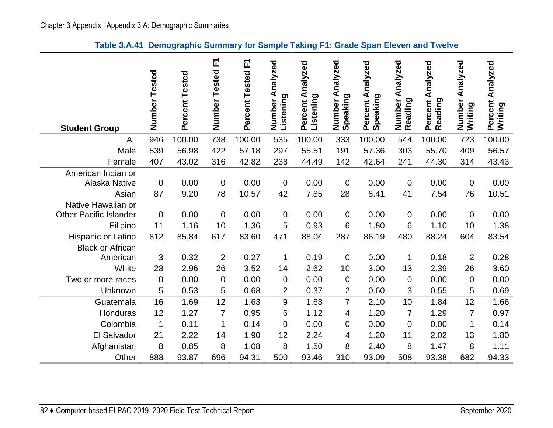### **Table 3.A.41 Demographic Summary for Sample Taking F1: Grade Span Eleven and Twelve**

| <b>Student Group</b>                                | Number Tested | Percent Tested | 正<br>Number Tested     | <u>r</u><br>Percent Tested | Analyzed<br>Listening<br>Number | Percent Analyzed<br>Listening | Analyzed<br>Number A<br>Speaking | Percent Analyzed<br>Speaking | Analyzed<br>Number<br>Reading | Percent Analyzed<br>Reading | Number Analyzed<br>Writing | Percent Analyzed<br>Writing |
|-----------------------------------------------------|---------------|----------------|------------------------|----------------------------|---------------------------------|-------------------------------|----------------------------------|------------------------------|-------------------------------|-----------------------------|----------------------------|-----------------------------|
| All                                                 | 946           | 100.00         | 738                    | 100.00                     | 535                             | 100.00                        | 333                              | 100.00                       | 544                           | 100.00                      | 723                        | 100.00                      |
| Male                                                | 539           | 56.98          | 422                    | 57.18                      | 297                             | 55.51                         | 191                              | 57.36                        | 303                           | 55.70                       | 409                        | 56.57                       |
| Female                                              | 407           | 43.02          | 316                    | 42.82                      | 238                             | 44.49                         | 142                              | 42.64                        | 241                           | 44.30                       | 314                        | 43.43                       |
| American Indian or<br><b>Alaska Native</b><br>Asian | 0<br>87       | 0.00<br>9.20   | $\boldsymbol{0}$<br>78 | 0.00<br>10.57              | $\mathbf 0$<br>42               | 0.00<br>7.85                  | $\mathbf 0$<br>28                | 0.00<br>8.41                 | $\mathbf 0$<br>41             | 0.00<br>7.54                | $\mathbf 0$<br>76          | 0.00<br>10.51               |
| Native Hawaiian or<br><b>Other Pacific Islander</b> |               |                |                        |                            |                                 |                               |                                  |                              |                               |                             |                            |                             |
|                                                     | $\mathbf 0$   | 0.00<br>1.16   | $\mathbf 0$<br>10      | 0.00<br>1.36               | $\mathbf 0$                     | 0.00                          | $\mathbf 0$                      | 0.00                         | $\mathbf 0$                   | 0.00<br>1.10                | $\mathbf 0$                | 0.00                        |
| Filipino                                            | 11            |                |                        |                            | 5                               | 0.93                          | 6                                | 1.80                         | 6                             |                             | 10                         | 1.38                        |
| Hispanic or Latino<br><b>Black or African</b>       | 812           | 85.84          | 617                    | 83.60                      | 471                             | 88.04                         | 287                              | 86.19                        | 480                           | 88.24                       | 604                        | 83.54                       |
| American                                            | 3             | 0.32           | $\overline{2}$         | 0.27                       | 1                               | 0.19                          | 0                                | 0.00                         | 1                             | 0.18                        | $\overline{2}$             | 0.28                        |
| White                                               | 28            | 2.96           | 26                     | 3.52                       | 14                              | 2.62                          | 10                               | 3.00                         | 13                            | 2.39                        | 26                         | 3.60                        |
| Two or more races                                   | $\mathbf 0$   | 0.00           | $\mathbf 0$            | 0.00                       | $\mathbf 0$                     | 0.00                          | $\overline{0}$                   | 0.00                         | $\mathbf 0$                   | 0.00                        | $\mathbf 0$                | 0.00                        |
| Unknown                                             | 5             | 0.53           | 5                      | 0.68                       | $\overline{2}$                  | 0.37                          | $\overline{2}$                   | 0.60                         | 3                             | 0.55                        | 5                          | 0.69                        |
| Guatemala                                           | 16            | 1.69           | 12                     | 1.63                       | $\boldsymbol{9}$                | 1.68                          | $\overline{7}$                   | 2.10                         | 10                            | 1.84                        | 12                         | 1.66                        |
| Honduras                                            | 12            | 1.27           | $\overline{7}$         | 0.95                       | 6                               | 1.12                          | 4                                | 1.20                         | $\overline{7}$                | 1.29                        | $\overline{7}$             | 0.97                        |
| Colombia                                            | $\mathbf 1$   | 0.11           | 1                      | 0.14                       | $\overline{0}$                  | 0.00                          | 0                                | 0.00                         | $\mathbf 0$                   | 0.00                        | 1                          | 0.14                        |
| El Salvador                                         | 21            | 2.22           | 14                     | 1.90                       | 12                              | 2.24                          | 4                                | 1.20                         | 11                            | 2.02                        | 13                         | 1.80                        |
| Afghanistan                                         | 8             | 0.85           | 8                      | 1.08                       | 8                               | 1.50                          | 8                                | 2.40                         | 8                             | 1.47                        | 8                          | 1.11                        |
| Other                                               | 888           | 93.87          | 696                    | 94.31                      | 500                             | 93.46                         | 310                              | 93.09                        | 508                           | 93.38                       | 682                        | 94.33                       |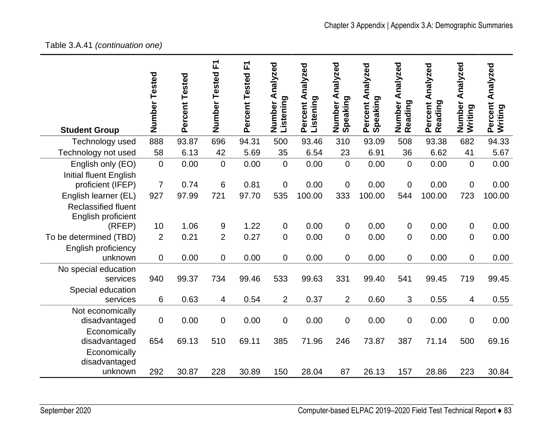### Table 3.A.41 *(continuation one)*

| <b>Student Group</b>          | Number<br>Tested | Percent Tested | 正<br>Number<br>Tested | 正<br>Percent Tested | Analyzed<br>Listening<br>Number | Percent Analyzed<br>Listening | Number Analyzed<br>Speaking | Percent Analyzed<br>Speaking | Number Analyzed<br>Reading | Percent Analyzed<br>Reading | Number Analyzed<br>Writing | Percent Analyzed<br>Writing |
|-------------------------------|------------------|----------------|-----------------------|---------------------|---------------------------------|-------------------------------|-----------------------------|------------------------------|----------------------------|-----------------------------|----------------------------|-----------------------------|
|                               | 888              | 93.87          | 696                   | 94.31               | 500                             | 93.46                         | 310                         | 93.09                        | 508                        | 93.38                       | 682                        | 94.33                       |
| Technology used               |                  |                |                       |                     |                                 |                               |                             |                              |                            |                             |                            |                             |
| Technology not used           | 58               | 6.13           | 42                    | 5.69                | 35                              | 6.54                          | 23                          | 6.91                         | 36                         | 6.62                        | 41                         | 5.67                        |
| English only (EO)             | $\overline{0}$   | 0.00           | $\overline{0}$        | 0.00                | $\mathbf 0$                     | 0.00                          | $\mathbf 0$                 | 0.00                         | $\overline{0}$             | 0.00                        | $\mathbf 0$                | 0.00                        |
| <b>Initial fluent English</b> |                  |                |                       |                     |                                 |                               |                             |                              |                            |                             |                            |                             |
| proficient (IFEP)             | $\overline{7}$   | 0.74           | 6                     | 0.81                | $\mathbf 0$                     | 0.00                          | $\mathbf 0$                 | 0.00                         | $\mathbf 0$                | 0.00                        | $\mathbf 0$                | 0.00                        |
| English learner (EL)          | 927              | 97.99          | 721                   | 97.70               | 535                             | 100.00                        | 333                         | 100.00                       | 544                        | 100.00                      | 723                        | 100.00                      |
| <b>Reclassified fluent</b>    |                  |                |                       |                     |                                 |                               |                             |                              |                            |                             |                            |                             |
| English proficient            |                  |                |                       |                     |                                 |                               |                             |                              |                            |                             |                            |                             |
| (RFEP)                        | 10               | 1.06           | 9                     | 1.22                | 0                               | 0.00                          | 0                           | 0.00                         | 0                          | 0.00                        | 0                          | 0.00                        |
| To be determined (TBD)        | $\overline{2}$   | 0.21           | $\overline{2}$        | 0.27                | $\mathbf 0$                     | 0.00                          | $\mathbf 0$                 | 0.00                         | $\overline{0}$             | 0.00                        | $\mathbf 0$                | 0.00                        |
| <b>English proficiency</b>    |                  |                |                       |                     |                                 |                               |                             |                              |                            |                             |                            |                             |
| unknown                       | $\mathbf 0$      | 0.00           | 0                     | 0.00                | $\mathbf 0$                     | 0.00                          | $\overline{0}$              | 0.00                         | $\mathbf 0$                | 0.00                        | $\mathbf 0$                | 0.00                        |
| No special education          |                  |                |                       |                     |                                 |                               |                             |                              |                            |                             |                            |                             |
| services                      | 940              | 99.37          | 734                   | 99.46               | 533                             | 99.63                         | 331                         | 99.40                        | 541                        | 99.45                       | 719                        | 99.45                       |
| Special education             |                  |                |                       |                     |                                 |                               |                             |                              |                            |                             |                            |                             |
| services                      | 6                | 0.63           | 4                     | 0.54                | $\overline{2}$                  | 0.37                          | 2                           | 0.60                         | 3                          | 0.55                        | 4                          | 0.55                        |
| Not economically              |                  |                |                       |                     |                                 |                               |                             |                              |                            |                             |                            |                             |
| disadvantaged                 | $\mathbf 0$      | 0.00           | 0                     | 0.00                | $\mathbf 0$                     | 0.00                          | $\overline{0}$              | 0.00                         | $\mathbf 0$                | 0.00                        | $\mathbf 0$                | 0.00                        |
| Economically                  |                  |                |                       |                     |                                 |                               |                             |                              |                            |                             |                            |                             |
| disadvantaged                 | 654              | 69.13          | 510                   | 69.11               | 385                             | 71.96                         | 246                         | 73.87                        | 387                        | 71.14                       | 500                        | 69.16                       |
| Economically                  |                  |                |                       |                     |                                 |                               |                             |                              |                            |                             |                            |                             |
| disadvantaged                 |                  |                |                       |                     |                                 |                               |                             |                              |                            |                             |                            |                             |
| unknown                       | 292              | 30.87          | 228                   | 30.89               | 150                             | 28.04                         | 87                          | 26.13                        | 157                        | 28.86                       | 223                        | 30.84                       |